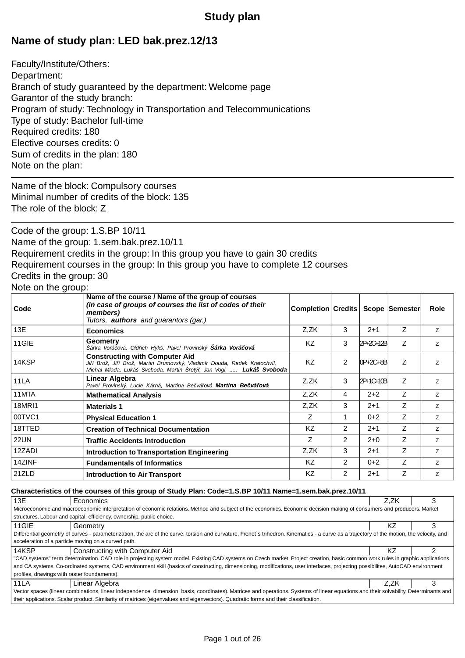# **Study plan**

# **Name of study plan: LED bak.prez.12/13**

Faculty/Institute/Others: Department: Branch of study guaranteed by the department: Welcome page Garantor of the study branch: Program of study: Technology in Transportation and Telecommunications Type of study: Bachelor full-time Required credits: 180 Elective courses credits: 0 Sum of credits in the plan: 180 Note on the plan:

Name of the block: Compulsory courses Minimal number of credits of the block: 135 The role of the block: Z

Code of the group: 1.S.BP 10/11 Name of the group: 1.sem.bak.prez.10/11 Requirement credits in the group: In this group you have to gain 30 credits Requirement courses in the group: In this group you have to complete 12 courses Credits in the group: 30

## Note on the group:

| Code          | Name of the course / Name of the group of courses<br>(in case of groups of courses the list of codes of their<br>members)<br>Tutors, <b>authors</b> and guarantors (gar.)                       | Completion Credits |                |           | Scope Semester | Role           |
|---------------|-------------------------------------------------------------------------------------------------------------------------------------------------------------------------------------------------|--------------------|----------------|-----------|----------------|----------------|
| 13E           | <b>Economics</b>                                                                                                                                                                                | Z,ZK               | 3              | $2+1$     | Z              | Z.             |
| 11GIE         | Geometry<br>Šárka Vorá ová, Old ich Hykš, Pavel Provinský <b>Šárka Vorá ová</b>                                                                                                                 | <b>KZ</b>          | 3              | 2P+2C+12B | Z              | Z              |
| 14KSP         | <b>Constructing with Computer Aid</b><br>Ji í Brož, Ji í Brož, Martin Brumovský, Vladimír Douda, Radek Kratochvíl,<br>Michal Mlada, Lukáš Svoboda, Martin Šrotý, Jan Vogl, <b>Lukáš Svoboda</b> | KZ                 | 2              | 0P+2C+8B  | Z              | Z              |
| 11LA          | Linear Algebra<br>Pavel Provinský, Lucie Kárná, Martina Be vá ová Martina Be vá ová                                                                                                             | Z,ZK               | 3              | 2P+1C+10B | Z              | Z              |
| 11MTA         | <b>Mathematical Analysis</b>                                                                                                                                                                    | Z,ZK               | 4              | $2 + 2$   | Z              | Z              |
| <b>18MRI1</b> | <b>Materials 1</b>                                                                                                                                                                              | Z,ZK               | 3              | $2+1$     | Z              | Z              |
| 00TVC1        | <b>Physical Education 1</b>                                                                                                                                                                     | Ζ                  |                | $0 + 2$   | Ζ              | Z              |
| 18TTED        | <b>Creation of Technical Documentation</b>                                                                                                                                                      | <b>KZ</b>          | $\overline{2}$ | $2 + 1$   | Z              | Z.             |
| <b>22UN</b>   | <b>Traffic Accidents Introduction</b>                                                                                                                                                           | Z                  | $\mathcal{P}$  | $2+0$     | Z              | $\overline{z}$ |
| 12ZADI        | Introduction to Transportation Engineering                                                                                                                                                      | Z,ZK               | 3              | $2 + 1$   | Z              | Z.             |
| 14ZINF        | <b>Fundamentals of Informatics</b>                                                                                                                                                              | KZ                 | 2              | $0 + 2$   | Z              | Z              |
| 21ZLD         | <b>Introduction to Air Transport</b>                                                                                                                                                            | <b>KZ</b>          | 2              | $2+1$     | Z              | Z              |

#### **Characteristics of the courses of this group of Study Plan: Code=1.S.BP 10/11 Name=1.sem.bak.prez.10/11**

| 13E                                                                                                                                                                                        | Economics                                                                                                                                                                       | Z.ZK |  |  |
|--------------------------------------------------------------------------------------------------------------------------------------------------------------------------------------------|---------------------------------------------------------------------------------------------------------------------------------------------------------------------------------|------|--|--|
|                                                                                                                                                                                            | Microeconomic and macroeconomic interpretation of economic relations. Method and subject of the economics. Economic decision making of consumers and producers. Market          |      |  |  |
| structures. Labour and capital, efficiency, ownership, public choice.                                                                                                                      |                                                                                                                                                                                 |      |  |  |
| 11GIE                                                                                                                                                                                      | Geometry                                                                                                                                                                        | ΚZ   |  |  |
| Differential geometry of curves - parameterization, the arc of the curve, torsion and curvature. Frenet's trihedron. Kinematics - a curve as a trajectory of the motion, the velocity, and |                                                                                                                                                                                 |      |  |  |
|                                                                                                                                                                                            | acceleration of a particle moving on a curved path.                                                                                                                             |      |  |  |
| 14KSP                                                                                                                                                                                      | Constructing with Computer Aid                                                                                                                                                  | ΚZ   |  |  |
|                                                                                                                                                                                            | "CAD systems" term determination. CAD role in projecting system model. Existing CAD systems on Czech market. Project creation, basic common work rules in graphic applications  |      |  |  |
|                                                                                                                                                                                            | and CA systems. Co-ordinated systems, CAD environment skill (basics of constructing, dimensioning, modifications, user interfaces, projecting possibilites, AutoCAD environment |      |  |  |
| profiles, drawings with raster foundaments).                                                                                                                                               |                                                                                                                                                                                 |      |  |  |
| <b>11LA</b>                                                                                                                                                                                | Linear Algebra                                                                                                                                                                  | Z.ZK |  |  |
| Vector spaces (linear combinations, linear independence, dimension, basis, coordinates). Matrices and operations. Systems of linear equations and their solvability. Determinants and      |                                                                                                                                                                                 |      |  |  |
| their applications. Scalar product. Similarity of matrices (eigenvalues and eigenvectors). Quadratic forms and their classification.                                                       |                                                                                                                                                                                 |      |  |  |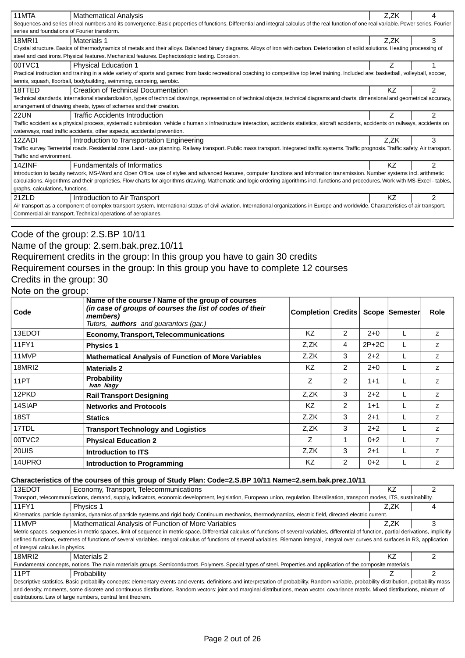| 11MTA                                        | <b>Mathematical Analysis</b>                                                                                                                                                                      | Z,ZK | 4              |  |  |
|----------------------------------------------|---------------------------------------------------------------------------------------------------------------------------------------------------------------------------------------------------|------|----------------|--|--|
|                                              | Sequences and series of real numbers and its convergence. Basic properties of functions. Differential and integral calculus of the real function of one real variable. Power series, Fourier      |      |                |  |  |
| series and foundations of Fourier transform. |                                                                                                                                                                                                   |      |                |  |  |
| 18MRI1                                       | Materials 1                                                                                                                                                                                       | Z.ZK | 3              |  |  |
|                                              | Crystal structure. Basics of thermodynamics of metals and their alloys. Balanced binary diagrams. Alloys of iron with carbon. Deterioration of solid solutions. Heating processing of             |      |                |  |  |
|                                              | steel and cast irons. Physical features. Mechanical features. Dephectostopic testing. Corosion.                                                                                                   |      |                |  |  |
| 00TVC1                                       | <b>Physical Education 1</b>                                                                                                                                                                       |      |                |  |  |
|                                              | Practical instruction and training in a wide variety of sports and games: from basic recreational coaching to competitive top level training. Included are: basketball, volleyball, soccer,       |      |                |  |  |
|                                              | tennis, squash, floorball, bodybuilding, swimming, canoeing, aerobic.                                                                                                                             |      |                |  |  |
| 18TTED                                       | <b>Creation of Technical Documentation</b>                                                                                                                                                        | ΚZ   | $\mathcal{P}$  |  |  |
|                                              | Technical standards, international standardization, types of technical drawings, representation of technical objects, technical diagrams and charts, dimensional and geometrical accuracy,        |      |                |  |  |
|                                              | arrangement of drawing sheets, types of schemes and their creation.                                                                                                                               |      |                |  |  |
| <b>22UN</b>                                  | <b>Traffic Accidents Introduction</b>                                                                                                                                                             |      | $\overline{2}$ |  |  |
|                                              | Traffic accident as a physical process, systematic submission, vehicle x human x infrastructure interaction, accidents statistics, aircraft accidents, accidents on railways, accidents on        |      |                |  |  |
|                                              | waterways, road traffic accidents, other aspects, accidental prevention.                                                                                                                          |      |                |  |  |
| 12ZADI                                       | Introduction to Transportation Engineering                                                                                                                                                        | Z.ZK | 3              |  |  |
|                                              | Traffic survey. Terrestrial roads. Residential zone. Land - use planning. Railway transport. Public mass transport. Integrated traffic systems. Traffic prognosis. Traffic safety. Air transport. |      |                |  |  |
| Traffic and environment.                     |                                                                                                                                                                                                   |      |                |  |  |
| 14ZINF                                       | Fundamentals of Informatics                                                                                                                                                                       | ΚZ   | 2              |  |  |
|                                              | Introduction to faculty network, MS-Word and Open Office, use of styles and advanced features, computer functions and information transmission. Number systems incl. arithmetic                   |      |                |  |  |
|                                              | calculations. Algorithms and their proprieties. Flow charts for algorithms drawing. Mathematic and logic ordering algorithms incl. functions and procedures. Work with MS-Excel - tables,         |      |                |  |  |
| graphs, calculations, functions.             |                                                                                                                                                                                                   |      |                |  |  |
| 21ZLD                                        | Introduction to Air Transport                                                                                                                                                                     | ΚZ   | $\mathcal{P}$  |  |  |
|                                              | Air transport as a component of complex transport system. International status of civil aviation. International organizations in Europe and worldwide. Characteristics of air transport.          |      |                |  |  |
|                                              | Commercial air transport. Technical operations of aeroplanes.                                                                                                                                     |      |                |  |  |
|                                              |                                                                                                                                                                                                   |      |                |  |  |

### Code of the group: 2.S.BP 10/11

## Name of the group: 2.sem.bak.prez.10/11

## Requirement credits in the group: In this group you have to gain 30 credits

Requirement courses in the group: In this group you have to complete 12 courses

### Credits in the group: 30

### Note on the group:

| Code   | Name of the course / Name of the group of courses<br>(in case of groups of courses the list of codes of their<br>members)<br>Tutors, <b>authors</b> and guarantors (gar.) | <b>Completion Credits</b> |                |         | Scope Semester | <b>Role</b>    |
|--------|---------------------------------------------------------------------------------------------------------------------------------------------------------------------------|---------------------------|----------------|---------|----------------|----------------|
| 13EDOT | <b>Economy, Transport, Telecommunications</b>                                                                                                                             | <b>KZ</b>                 | $\overline{2}$ | $2+0$   |                | Z              |
| 11FY1  | <b>Physics 1</b>                                                                                                                                                          | Z,ZK                      | 4              | $2P+2C$ |                | Z              |
| 11MVP  | <b>Mathematical Analysis of Function of More Variables</b>                                                                                                                | Z.ZK                      | 3              | $2+2$   |                | Z              |
| 18MRI2 | <b>Materials 2</b>                                                                                                                                                        | KZ                        | $\overline{2}$ | $2+0$   |                | Z              |
| 11PT   | <b>Probability</b><br>Ivan Nagy                                                                                                                                           | Z                         | 2              | $1 + 1$ |                | Z              |
| 12PKD  | <b>Rail Transport Designing</b>                                                                                                                                           | Z,ZK                      | 3              | $2+2$   |                | Z              |
| 14SIAP | <b>Networks and Protocols</b>                                                                                                                                             | KZ                        | $\overline{2}$ | $1 + 1$ |                | Z              |
| 18ST   | <b>Statics</b>                                                                                                                                                            | Z,ZK                      | 3              | $2+1$   |                | Z              |
| 17TDL  | <b>Transport Technology and Logistics</b>                                                                                                                                 | Z.ZK                      | 3              | $2 + 2$ |                | Z              |
| 00TVC2 | <b>Physical Education 2</b>                                                                                                                                               | Z                         |                | $0+2$   |                | $\overline{z}$ |
| 20UIS  | Introduction to ITS                                                                                                                                                       | Z,ZK                      | 3              | $2+1$   |                | Z              |
| 14UPRO | Introduction to Programming                                                                                                                                               | KZ                        | $\overline{2}$ | $0 + 2$ |                | Z              |

#### **Characteristics of the courses of this group of Study Plan: Code=2.S.BP 10/11 Name=2.sem.bak.prez.10/11**

| 13EDOT                                                                                                                                                                                       | Economy, Transport, Telecommunications                                                                                                                                                           | ΚZ   |  |  |  |
|----------------------------------------------------------------------------------------------------------------------------------------------------------------------------------------------|--------------------------------------------------------------------------------------------------------------------------------------------------------------------------------------------------|------|--|--|--|
|                                                                                                                                                                                              | Transport, telecommunications, demand, supply, indicators, economic development, legislation, European union, regulation, liberalisation, transport modes, ITS, sustainability,                  |      |  |  |  |
| 11FY1                                                                                                                                                                                        | Physics 1                                                                                                                                                                                        | Z.ZK |  |  |  |
|                                                                                                                                                                                              | Kinematics, particle dynamics, dynamics of particle systems and rigid body. Continuum mechanics, thermodynamics, electric field, directed electric current.                                      |      |  |  |  |
| 11MVP                                                                                                                                                                                        | Mathematical Analysis of Function of More Variables                                                                                                                                              | Z.ZK |  |  |  |
|                                                                                                                                                                                              | Metric spaces, sequences in metric spaces, limit of sequence in metric space. Differential calculus of functions of several variables, differential of function, partial derivations, implicitly |      |  |  |  |
|                                                                                                                                                                                              | defined functions, extremes of functions of several variables. Integral calculus of functions of several variables, Riemann integral, integral over curves and surfaces in R3, application       |      |  |  |  |
| of integral calculus in physics.                                                                                                                                                             |                                                                                                                                                                                                  |      |  |  |  |
| 18MRI2                                                                                                                                                                                       | Materials 2                                                                                                                                                                                      | ΚZ   |  |  |  |
|                                                                                                                                                                                              | Fundamental concepts, notions. The main materials groups. Semiconductors. Polymers. Special types of steel. Properties and application of the composite materials.                               |      |  |  |  |
| 11PT                                                                                                                                                                                         | Probability                                                                                                                                                                                      |      |  |  |  |
| Descriptive statistics. Basic probability concepts: elementary events and events, definitions and interpretation of probability. Random variable, probability distribution, probability mass |                                                                                                                                                                                                  |      |  |  |  |
| and density, moments, some discrete and continuous distributions. Random vectors: joint and marginal distributions, mean vector, covariance matrix. Mixed distributions, mixture of          |                                                                                                                                                                                                  |      |  |  |  |
| distributions. Law of large numbers, central limit theorem.                                                                                                                                  |                                                                                                                                                                                                  |      |  |  |  |
|                                                                                                                                                                                              |                                                                                                                                                                                                  |      |  |  |  |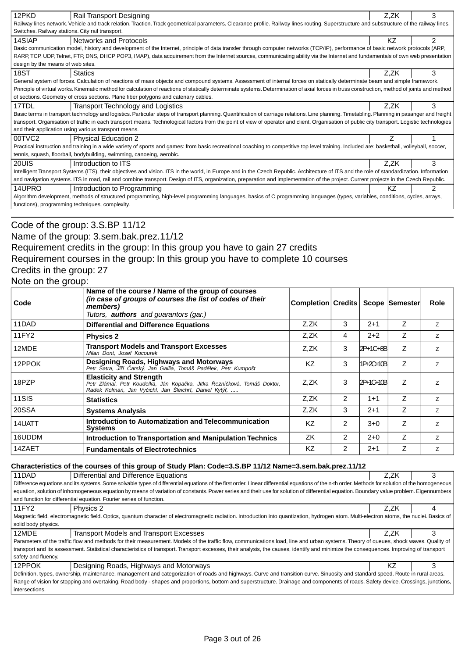| 12PKD                                                                                                                                                                                | Rail Transport Designing                                                                                                                                                                      | Z.ZK      | 3 |  |  |
|--------------------------------------------------------------------------------------------------------------------------------------------------------------------------------------|-----------------------------------------------------------------------------------------------------------------------------------------------------------------------------------------------|-----------|---|--|--|
|                                                                                                                                                                                      | Railway lines network. Vehicle and track relation. Traction. Track geometrical parameters. Clearance profile. Railway lines routing. Superstructure and substructure of the railway lines.    |           |   |  |  |
| Switches. Railway stations. City rail transport.                                                                                                                                     |                                                                                                                                                                                               |           |   |  |  |
| 14SIAP                                                                                                                                                                               | Networks and Protocols                                                                                                                                                                        | <b>KZ</b> | 2 |  |  |
|                                                                                                                                                                                      | Basic communication model, history and development of the Internet, principle of data transfer through computer networks (TCP/IP), performance of basic network protocols (ARP,               |           |   |  |  |
|                                                                                                                                                                                      | RARP, TCP, UDP, Telnet, FTP, DNS, DHCP POP3, IMAP), data acquirement from the Internet sources, communicating ability via the Internet and fundamentals of own web presentation               |           |   |  |  |
| design by the means of web sites.                                                                                                                                                    |                                                                                                                                                                                               |           |   |  |  |
| 18ST                                                                                                                                                                                 | <b>Statics</b>                                                                                                                                                                                | Z.ZK      | 3 |  |  |
|                                                                                                                                                                                      | General system of forces. Calculation of reactions of mass objects and compound systems. Assessment of internal forces on statically determinate beam and simple framework.                   |           |   |  |  |
|                                                                                                                                                                                      | Principle of virtual works. Kinematic method for calculation of reactions of statically determinate systems. Determination of axial forces in truss construction, method of joints and method |           |   |  |  |
|                                                                                                                                                                                      | of sections. Geometry of cross sections. Plane fiber polygons and catenary cables.                                                                                                            |           |   |  |  |
| 17TDL                                                                                                                                                                                | Transport Technology and Logistics                                                                                                                                                            | Z.ZK      | 3 |  |  |
|                                                                                                                                                                                      | Basic terms in transport technology and logistics. Particular steps of transport planning. Quantification of carriage relations. Line planning. Timetabling. Planning in pasanger and freight |           |   |  |  |
|                                                                                                                                                                                      | transport. Organisation of traffic in each transport means. Technological factors from the point of view of operator and client. Organisation of public city transport. Logistic technologies |           |   |  |  |
|                                                                                                                                                                                      | and their application using various transport means.                                                                                                                                          |           |   |  |  |
| 00TVC2                                                                                                                                                                               | <b>Physical Education 2</b>                                                                                                                                                                   |           |   |  |  |
|                                                                                                                                                                                      | Practical instruction and training in a wide variety of sports and games: from basic recreational coaching to competitive top level training. Included are: basketball, volleyball, soccer,   |           |   |  |  |
|                                                                                                                                                                                      | tennis, squash, floorball, bodybuilding, swimming, canoeing, aerobic.                                                                                                                         |           |   |  |  |
| 20UIS                                                                                                                                                                                | Introduction to ITS                                                                                                                                                                           | Z.ZK      | 3 |  |  |
|                                                                                                                                                                                      | Intelligent Transport Systems (ITS), their objectives and vision. ITS in the world, in Europe and in the Czech Republic. Architecture of ITS and the role of standardization. Information     |           |   |  |  |
| and navigation systems. ITS in road, rail and combine transport. Design of ITS, organization, preparation and implementation of the project. Current projects in the Czech Republic. |                                                                                                                                                                                               |           |   |  |  |
| 14UPRO                                                                                                                                                                               | Introduction to Programming                                                                                                                                                                   | ΚZ        | 2 |  |  |
|                                                                                                                                                                                      | Algorithm development, methods of structured programming, high-level programming languages, basics of C programming languages (types, variables, conditions, cycles, arrays,                  |           |   |  |  |
|                                                                                                                                                                                      | functions), programming techniques, complexity.                                                                                                                                               |           |   |  |  |
|                                                                                                                                                                                      |                                                                                                                                                                                               |           |   |  |  |

### Code of the group: 3.S.BP 11/12

# Name of the group: 3.sem.bak.prez.11/12

## Requirement credits in the group: In this group you have to gain 27 credits Requirement courses in the group: In this group you have to complete 10 courses

## Credits in the group: 27

### Note on the group:

| Code   | Name of the course / Name of the group of courses<br>(in case of groups of courses the list of codes of their<br>members)<br>Tutors, <b>authors</b> and quarantors (gar.) | <b>Completion Credits</b> |                |           | Scope Semester | <b>Role</b> |
|--------|---------------------------------------------------------------------------------------------------------------------------------------------------------------------------|---------------------------|----------------|-----------|----------------|-------------|
| 11DAD  | <b>Differential and Difference Equations</b>                                                                                                                              | Z,ZK                      | 3              | $2 + 1$   | Z              | Z.          |
| 11FY2  | <b>Physics 2</b>                                                                                                                                                          | Z,ZK                      | 4              | $2 + 2$   | Z              | Z           |
| 12MDE  | Transport Models and Transport Excesses<br>Milan Dont, Josef Kocourek                                                                                                     | Z,ZK                      | 3              | 2P+1C+8B  | Z              | Z           |
| 12PPOK | Designing Roads, Highways and Motorways<br>Petr Satra, Ji í arský, Jan Gallia, Tomáš Pad lek, Petr Kumpošt                                                                | <b>KZ</b>                 | 3              | 1P+2C+10B | Z              | Z           |
| 18PZP  | <b>Elasticity and Strength</b><br>Petr Zlámal, Petr Koudelka, Ján Kopa ka, Jitka ezní ková, Tomáš Doktor,<br>Radek Kolman, Jan Vy ichl, Jan Šleichrt, Daniel Kytý,        | Z.ZK                      | 3              | 2P+1C+10B | Z              | Z           |
| 11SIS  | <b>Statistics</b>                                                                                                                                                         | Z,ZK                      | 2              | $1 + 1$   | Z              | Z           |
| 20SSA  | <b>Systems Analysis</b>                                                                                                                                                   | Z,ZK                      | 3              | $2 + 1$   | Z              | Z           |
| 14UATT | Introduction to Automatization and Telecommunication<br><b>Systems</b>                                                                                                    | KZ                        | 2              | $3 + 0$   | Z              | Z           |
| 16UDDM | <b>Introduction to Transportation and Manipulation Technics</b>                                                                                                           | ZK                        | $\overline{2}$ | $2+0$     | Z              | Z           |
| 14ZAET | <b>Fundamentals of Electrotechnics</b>                                                                                                                                    | KZ                        | 2              | $2 + 1$   | Z              | Z           |

### **Characteristics of the courses of this group of Study Plan: Code=3.S.BP 11/12 Name=3.sem.bak.prez.11/12**

| 11DAD                                                                                                                                                                                   | Differential and Difference Equations                                                                                                                                                            | Z.ZK |   |  |  |  |
|-----------------------------------------------------------------------------------------------------------------------------------------------------------------------------------------|--------------------------------------------------------------------------------------------------------------------------------------------------------------------------------------------------|------|---|--|--|--|
|                                                                                                                                                                                         | Difference equations and its systems. Some solvable types of differential equations of the first order. Linear differential equations of the n-th order. Methods for solution of the homogeneous |      |   |  |  |  |
| equation, solution of inhomogeneous equation by means of variation of constants. Power series and their use for solution of differential equation. Boundary value problem. Eigennumbers |                                                                                                                                                                                                  |      |   |  |  |  |
|                                                                                                                                                                                         | and function for differential equation. Fourier series of function.                                                                                                                              |      |   |  |  |  |
| 11FY2                                                                                                                                                                                   | Physics 2                                                                                                                                                                                        | Z.ZK |   |  |  |  |
|                                                                                                                                                                                         | Magnetic field, electromagnetic field. Optics, quantum character of electromagnetic radiation. Introduction into quantization, hydrogen atom. Multi-electron atoms, the nuclei. Basics of        |      |   |  |  |  |
| solid body physics.                                                                                                                                                                     |                                                                                                                                                                                                  |      |   |  |  |  |
| 12MDE                                                                                                                                                                                   | <b>Transport Models and Transport Excesses</b>                                                                                                                                                   | Z.ZK | з |  |  |  |
|                                                                                                                                                                                         | Parameters of the traffic flow and methods for their measurement. Models of the traffic flow, communications load, line and urban systems. Theory of queues, shock waves. Quality of             |      |   |  |  |  |
|                                                                                                                                                                                         | transport and its assessment. Statistical characteristics of transport. Transport excesses, their analysis, the causes, identify and minimize the consequences. Improving of transport           |      |   |  |  |  |
| safety and fluency.                                                                                                                                                                     |                                                                                                                                                                                                  |      |   |  |  |  |
| 12PPOK                                                                                                                                                                                  | Designing Roads, Highways and Motorways                                                                                                                                                          | K7   |   |  |  |  |
| Definition, types, ownership, maintenance, management and categorization of roads and highways. Curve and transition curve. Sinuosity and standard speed. Route in rural areas.         |                                                                                                                                                                                                  |      |   |  |  |  |
| Range of vision for stopping and overtaking. Road body - shapes and proportions, bottom and superstructure. Drainage and components of roads. Safety device. Crossings, junctions,      |                                                                                                                                                                                                  |      |   |  |  |  |
| intersections.                                                                                                                                                                          |                                                                                                                                                                                                  |      |   |  |  |  |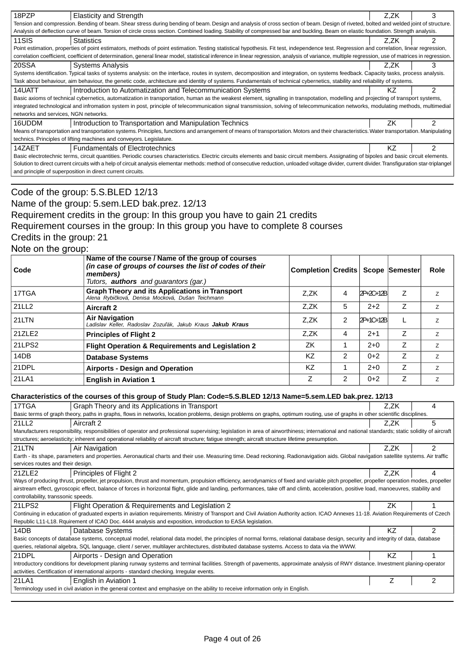| 18PZP                                                                                                                                                                                              | <b>Elasticity and Strength</b>                                                                                                                                                                     | Z.ZK |   |  |  |
|----------------------------------------------------------------------------------------------------------------------------------------------------------------------------------------------------|----------------------------------------------------------------------------------------------------------------------------------------------------------------------------------------------------|------|---|--|--|
|                                                                                                                                                                                                    | Tension and compression. Bending of beam. Shear stress during bending of beam. Design and analysis of cross section of beam. Design of riveted, bolted and welded joint of structure.              |      |   |  |  |
|                                                                                                                                                                                                    | Analysis of deflection curve of beam. Torsion of circle cross section. Combined loading. Stability of compressed bar and buckling. Beam on elastic foundation. Strength analysis.                  |      |   |  |  |
| 11SIS                                                                                                                                                                                              | <b>Statistics</b>                                                                                                                                                                                  | Z.ZK |   |  |  |
|                                                                                                                                                                                                    | Point estimation, properties of point estimators, methods of point estimation. Testing statistical hypothesis. Fit test, independence test. Regression and correlation, linear regression,         |      |   |  |  |
|                                                                                                                                                                                                    | correlation coefficient, coefficient of determination, general linear model, statistical inference in linear regression, analysis of variance, multiple regression, use of matrices in regression. |      |   |  |  |
| 20SSA                                                                                                                                                                                              | <b>Systems Analysis</b>                                                                                                                                                                            | Z.ZK | 3 |  |  |
|                                                                                                                                                                                                    | Systems identification. Typical tasks of systems analysis: on the interface, routes in system, decomposition and integration, on systems feedback. Capacity tasks, process analysis.               |      |   |  |  |
|                                                                                                                                                                                                    | Task about behaviour, aim behaviour, the genetic code, architecture and identity of systems. Fundamentals of technical cybernetics, stability and reliability of systems.                          |      |   |  |  |
| 14UATT                                                                                                                                                                                             | Introduction to Automatization and Telecommunication Systems                                                                                                                                       | ΚZ   | ⌒ |  |  |
|                                                                                                                                                                                                    | Basic axioms of technical cybernetics, automatization in transportation, human as the weakest element, signalling in transpotation, modelling and projecting of transport systems,                 |      |   |  |  |
|                                                                                                                                                                                                    | integrated technological and infromation system in post, principle of telecommunication signal transmission, solving of telecommunication networks, modulating methods, multimedial                |      |   |  |  |
| networks and services, NGN networks.                                                                                                                                                               |                                                                                                                                                                                                    |      |   |  |  |
| 16UDDM                                                                                                                                                                                             | Introduction to Transportation and Manipulation Technics                                                                                                                                           | ΖK   |   |  |  |
|                                                                                                                                                                                                    | Means of transportation and transportation systems. Principles, functions and arrangement of means of transportation. Motors and their characteristics. Water transportation. Manipulating         |      |   |  |  |
|                                                                                                                                                                                                    | technics. Principles of lifting machines and conveyors. Legislature.                                                                                                                               |      |   |  |  |
| 14ZAET                                                                                                                                                                                             | <b>Fundamentals of Electrotechnics</b>                                                                                                                                                             | K7   |   |  |  |
| Basic electrotechnic terms, circuit quantities. Periodic courses characteristics. Electric circuits elements and basic circuit members. Assignating of bipoles and basic circuit elements.         |                                                                                                                                                                                                    |      |   |  |  |
| Solution to direct current circuits with a help of circuit analysis elementar methods: method of consecutive reduction, unloaded voltage divider, current divider. Transfiguration star-triplangel |                                                                                                                                                                                                    |      |   |  |  |
|                                                                                                                                                                                                    | and principle of superposition in direct current circuits.                                                                                                                                         |      |   |  |  |

### Code of the group: 5.S.BLED 12/13 Name of the group: 5.sem.LED bak.prez. 12/13 Requirement credits in the group: In this group you have to gain 21 credits Requirement courses in the group: In this group you have to complete 8 courses Credits in the group: 21 Note on the group:

| Code   | Name of the course / Name of the group of courses<br>(in case of groups of courses the list of codes of their<br>members)<br>Tutors, <b>authors</b> and quarantors (gar.) | Completion Credits |   |           | Scope Semester | Role           |
|--------|---------------------------------------------------------------------------------------------------------------------------------------------------------------------------|--------------------|---|-----------|----------------|----------------|
| 17TGA  | <b>Graph Theory and its Applications in Transport</b><br>Alena Rybi ková, Denisa Mocková, Dušan Teichmann                                                                 | Z.ZK               | 4 | 2P+2C+12B | Ζ              | Z              |
| 21LL2  | Aircraft 2                                                                                                                                                                | Z.ZK               | 5 | $2+2$     | $\overline{z}$ | Z.             |
| 21LTN  | <b>Air Navigation</b><br>Ladislav Keller, Radoslav Zozu ák, Jakub Kraus <b>Jakub Kraus</b>                                                                                | Z.ZK               | 2 | 2P+1C+12B |                | Z.             |
| 21ZLE2 | <b>Principles of Flight 2</b>                                                                                                                                             | Z.ZK               | 4 | $2+1$     | Z              | Z              |
| 21LPS2 | <b>Flight Operation &amp; Requirements and Legislation 2</b>                                                                                                              | ZK                 |   | $2+0$     | Z              | Z              |
| 14DB   | <b>Database Systems</b>                                                                                                                                                   | <b>KZ</b>          | 2 | $0+2$     | Ζ              | Z              |
| 21DPL  | <b>Airports - Design and Operation</b>                                                                                                                                    | KZ                 |   | $2+0$     | Z              | $\overline{z}$ |
| 21LA1  | <b>English in Aviation 1</b>                                                                                                                                              | Z                  | 2 | $0 + 2$   | Z              | Z              |

#### **Characteristics of the courses of this group of Study Plan: Code=5.S.BLED 12/13 Name=5.sem.LED bak.prez. 12/13**

| 0.12 . 2010 . 2010 . 2010 . 2010 . 2010 . 2010 . 2010 . 2010 . 2010 . 2010 . 2010 . 2010 . 2010 . 2010 . 2010 . 2010 . 2010 . 2010 . 2010 . 2010 . 2010 . 2010 . 2010 . 2010 . 2010 . 2010 . 2010 . 2010 . 2010 . 2010 . 2010 |           |                |
|-------------------------------------------------------------------------------------------------------------------------------------------------------------------------------------------------------------------------------|-----------|----------------|
| 17TGA<br>Graph Theory and its Applications in Transport                                                                                                                                                                       | Z.ZK      | 4              |
| Basic terms of graph theory, paths in graphs, flows in networks, location problems, design problems on graphs, optimum routing, use of graphs in other scientific disciplines.                                                |           |                |
| 21LL2<br>Aircraft 2                                                                                                                                                                                                           | Z.ZK      | 5              |
| Manufacturers responsibility, responsibilities of operator and professional supervising; legislation in area of airworthiness; international and national standards; static solidity of aircraft                              |           |                |
| structures; aeroelasticity; inherent and operational reliability of aircraft structure; fatigue strength; aircraft structure lifetime presumption.                                                                            |           |                |
| 21LTN<br>Air Navigation                                                                                                                                                                                                       | Z.ZK      | $\mathfrak{p}$ |
| Earth - its shape, parameters and properties. Aeronautical charts and their use. Measuring time. Dead reckoning. Radionavigation aids. Global navigation satellite systems. Air traffic                                       |           |                |
| services routes and their design.                                                                                                                                                                                             |           |                |
| 21ZLE2<br>Principles of Flight 2                                                                                                                                                                                              | Z,ZK      | 4              |
| Ways of producing thrust, propeller, jet propulsion, thrust and momentum, propulsion efficiency, aerodynamics of fixed and variable pitch propeller, propeller operation modes, propeller                                     |           |                |
| airstream effect, gyroscopic effect, balance of forces in horizontal flight, glide and landing, performances, take off and climb, acceleration, positive load, manoeuvres, stability and                                      |           |                |
| controllability, transsonic speeds.                                                                                                                                                                                           |           |                |
| 21LPS2<br>Flight Operation & Requirements and Legislation 2                                                                                                                                                                   | ΖK        |                |
| Continuing in education of graduated experts in aviation requirements. Ministry of Transport and Civil Aviation Authority action. ICAO Annexes 11-18. Aviation Requirements of Czech                                          |           |                |
| Republic L11-L18. Rquirement of ICAO Doc. 4444 analysis and exposition, introduction to EASA legislation.                                                                                                                     |           |                |
| 14DB<br>Database Systems                                                                                                                                                                                                      | ΚZ        | $\mathfrak{p}$ |
| Basic concepts of database systems, conceptual model, relational data model, the principles of normal forms, relational database design, security and integrity of data, database                                             |           |                |
| queries, relational algebra, SQL language, client / server, multilayer architectures, distributed database systems. Access to data via the WWW.                                                                               |           |                |
| 21DPL<br>Airports - Design and Operation                                                                                                                                                                                      | <b>KZ</b> |                |
| Introductory conditions for development planing runway systems and terminal facilities. Strength of pavements, approximate analysis of RWY distance. Investment planing-operator                                              |           |                |
| activities. Certification of international airports - standard checking. Irregular events.                                                                                                                                    |           |                |
| 21LA1<br>English in Aviation 1                                                                                                                                                                                                |           | 2              |
| Terminology used in civil aviation in the general context and emphasiye on the ability to receive information only in English.                                                                                                |           |                |
|                                                                                                                                                                                                                               |           |                |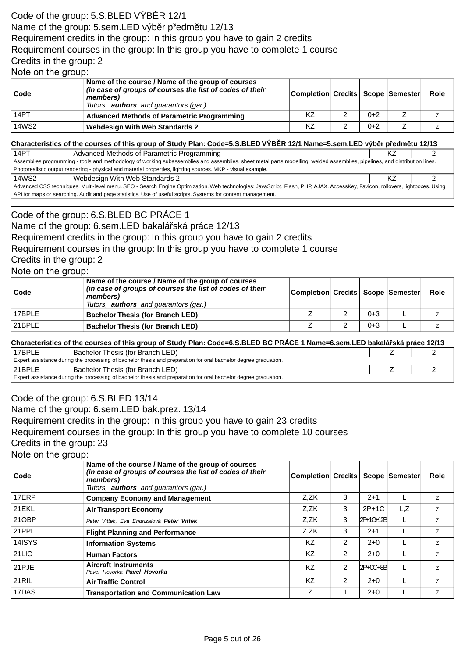# Code of the group: 5.S.BLED VÝB R 12/1 Name of the group: 5.sem.LED výb r p edm tu 12/13 Requirement credits in the group: In this group you have to gain 2 credits Requirement courses in the group: In this group you have to complete 1 course Credits in the group: 2

Note on the group:

| ∣ Code | Name of the course / Name of the group of courses<br>(in case of groups of courses the list of codes of their<br>members)<br>Tutors, <b>authors</b> and guarantors (gar.) | Completion Credits Scope Semester |       | Role |
|--------|---------------------------------------------------------------------------------------------------------------------------------------------------------------------------|-----------------------------------|-------|------|
| 14PT   | <b>Advanced Methods of Parametric Programming</b>                                                                                                                         | KZ                                | $0+2$ |      |
| 14WS2  | <b>Webdesign With Web Standards 2</b>                                                                                                                                     | KZ                                | $0+2$ |      |

#### **Characteristics of the courses of this group of Study Plan: Code=5.S.BLED VÝB R 12/1 Name=5.sem.LED výb r p edm tu 12/13**

| 14PT                                                                                                                                                                          | Advanced Methods of Parametric Programming                                                                  | KZ |  |  |  |  |
|-------------------------------------------------------------------------------------------------------------------------------------------------------------------------------|-------------------------------------------------------------------------------------------------------------|----|--|--|--|--|
| Assemblies programming - tools and methodology of working subassemblies and assemblies, sheet metal parts modelling, welded assemblies, pipelines, and distribution lines.    |                                                                                                             |    |  |  |  |  |
|                                                                                                                                                                               | Photorealistic output rendering - physical and material properties, lighting sources. MKP - visual example. |    |  |  |  |  |
| 14WS2                                                                                                                                                                         | Webdesign With Web Standards 2                                                                              |    |  |  |  |  |
| Advanced CSS techniques. Multi-level menu. SEO - Search Engine Optimization. Web technologies: JavaScript, Flash, PHP, AJAX. AccessKey, Favicon, rollovers, lightboxes. Using |                                                                                                             |    |  |  |  |  |
| API for maps or searching. Audit and page statistics. Use of useful scripts. Systems for content management.                                                                  |                                                                                                             |    |  |  |  |  |

## Code of the group: 6.S.BLED BC PRÁCE 1

Name of the group: 6.sem.LED bakalá ská práce 12/13

Requirement credits in the group: In this group you have to gain 2 credits

### Requirement courses in the group: In this group you have to complete 1 course

Credits in the group: 2

#### Note on the group:

| Code   | Name of the course / Name of the group of courses<br>(in case of groups of courses the list of codes of their<br>members)<br>Tutors, <b>authors</b> and guarantors (gar.) | Completion Credits   Scope  Semester |         | Role |
|--------|---------------------------------------------------------------------------------------------------------------------------------------------------------------------------|--------------------------------------|---------|------|
| 17BPLE | <b>Bachelor Thesis (for Branch LED)</b>                                                                                                                                   |                                      | $0 + 3$ |      |
| 21BPLE | <b>Bachelor Thesis (for Branch LED)</b>                                                                                                                                   |                                      | $0 + 3$ |      |

#### **Characteristics of the courses of this group of Study Plan: Code=6.S.BLED BC PRÁCE 1 Name=6.sem.LED bakalá ská práce 12/13**

| 17BPLE                                                                                                          | Bachelor Thesis (for Branch LED) |  |  |  |
|-----------------------------------------------------------------------------------------------------------------|----------------------------------|--|--|--|
| Expert assistance during the processing of bachelor thesis and preparation for oral bachelor degree graduation. |                                  |  |  |  |
| 21BPLE                                                                                                          | Bachelor Thesis (for Branch LED) |  |  |  |
| Expert assistance during the processing of bachelor thesis and preparation for oral bachelor degree graduation. |                                  |  |  |  |

## Code of the group: 6.S.BLED 13/14

Name of the group: 6.sem.LED bak.prez. 13/14

Requirement credits in the group: In this group you have to gain 23 credits

Requirement courses in the group: In this group you have to complete 10 courses

Credits in the group: 23

Note on the group:

| Code   | Name of the course / Name of the group of courses<br>(in case of groups of courses the list of codes of their<br>members)<br>Tutors, <b>authors</b> and quarantors (gar.) | <b>Completion Credits</b> |                |           | <b>Scope Semester</b> | Role           |
|--------|---------------------------------------------------------------------------------------------------------------------------------------------------------------------------|---------------------------|----------------|-----------|-----------------------|----------------|
| 17ERP  | <b>Company Economy and Management</b>                                                                                                                                     | Z.ZK                      | 3              | $2 + 1$   |                       | Z              |
| 21EKL  | <b>Air Transport Economy</b>                                                                                                                                              | Z,ZK                      | 3              | $2P+1C$   | L, Z                  | Z              |
| 21OBP  | Peter Vittek, Eva Endrizalová Peter Vittek                                                                                                                                | Z,ZK                      | 3              | 2P+1C+12B |                       | Z              |
| 21PPL  | <b>Flight Planning and Performance</b>                                                                                                                                    | Z,ZK                      | 3              | $2+1$     |                       | Z              |
| 14ISYS | <b>Information Systems</b>                                                                                                                                                | KZ                        | 2              | $2+0$     |                       | Z              |
| 21LIC  | <b>Human Factors</b>                                                                                                                                                      | KZ                        | 2              | $2+0$     |                       | Z              |
| 21PJE  | <b>Aircraft Instruments</b><br>Pavel Hovorka <b>Pavel Hovorka</b>                                                                                                         | KZ                        | $\overline{2}$ | 2P+0C+8B  |                       | $\overline{z}$ |
| 21RIL  | <b>Air Traffic Control</b>                                                                                                                                                | KZ                        | $\overline{2}$ | $2 + 0$   |                       | $\overline{z}$ |
| 17DAS  | <b>Transportation and Communication Law</b>                                                                                                                               | Z                         |                | $2 + 0$   |                       | $\overline{z}$ |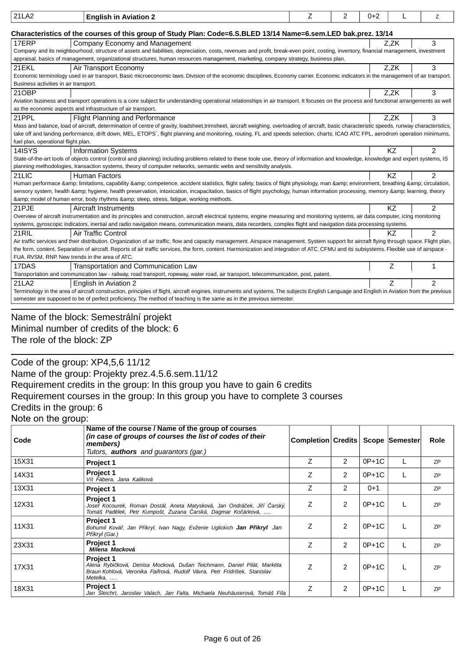| 21LA2                                                                                                          | <b>English in Aviation 2</b>                                                                                                                                                                  | Z | 2 | $0+2$ |           | Z              |
|----------------------------------------------------------------------------------------------------------------|-----------------------------------------------------------------------------------------------------------------------------------------------------------------------------------------------|---|---|-------|-----------|----------------|
| Characteristics of the courses of this group of Study Plan: Code=6.S.BLED 13/14 Name=6.sem.LED bak.prez. 13/14 |                                                                                                                                                                                               |   |   |       |           |                |
| 17ERP                                                                                                          | Company Economy and Management                                                                                                                                                                |   |   |       | Z,ZK      | 3              |
|                                                                                                                | Company and its neighbourhood, structure of assets and liabilities, depreciation, costs, revenues and profit, break-even point, costing, inventory, financial management, investment          |   |   |       |           |                |
|                                                                                                                | appraisal, basics of management, organizational structures, human resources management, marketing, company strategy, business plan.                                                           |   |   |       |           |                |
| 21EKL                                                                                                          | Air Transport Economy                                                                                                                                                                         |   |   |       | Z,ZK      | 3              |
|                                                                                                                | Economic terminology used in air transport. Basic microeconomic laws. Division of the economic disciplines. Economy carrier. Economic indicators in the management of air transport.          |   |   |       |           |                |
| Business activities in air transport.                                                                          |                                                                                                                                                                                               |   |   |       |           |                |
| 21OBP                                                                                                          |                                                                                                                                                                                               |   |   |       | Z.ZK      | 3              |
|                                                                                                                | Aviation business and transport operations is a core subject for understanding operational relationships in air transport. It focuses on the process and functional arrangements as well      |   |   |       |           |                |
|                                                                                                                | as the economic aspects and infrastructure of air transport.                                                                                                                                  |   |   |       |           |                |
| 21PPL                                                                                                          | <b>Flight Planning and Performance</b>                                                                                                                                                        |   |   |       | Z.ZK      | 3              |
|                                                                                                                | Mass and balance, load of aircraft, determination of centre of gravity, loadsheet,trimsheet, aircraft weighing, overloading of aircraft, basic characteristic speeds, runway characteristics, |   |   |       |           |                |
|                                                                                                                | take off and landing performance, drift down, MEL, ETOPS', flight planning and monitoring, routing, FL and speeds selection, charts, ICAO ATC FPL, aerodrom operation minimums,               |   |   |       |           |                |
| fuel plan, operational flight plan.                                                                            |                                                                                                                                                                                               |   |   |       |           |                |
| 14ISYS                                                                                                         | <b>Information Systems</b>                                                                                                                                                                    |   |   |       | <b>KZ</b> | 2              |
|                                                                                                                | State-of-the-art tools of objects control (control and planning) including problems related to these toole use, theory of information and knowledge, knowledge and expert systems, IS         |   |   |       |           |                |
|                                                                                                                | planning methodologies, transaction systems, theory of computer networks, semantic webs and sensitivity analysis.                                                                             |   |   |       |           |                |
| 21LIC                                                                                                          | <b>Human Factors</b>                                                                                                                                                                          |   |   |       | KZ        | $\overline{2}$ |
|                                                                                                                | Human performace & limitations, capability & competence, accident statistics, flight safety, basics of flight physiology, man & environment, breathing & circulation,                         |   |   |       |           |                |
|                                                                                                                | sensory system, health & hygiene, health preservation, intoxication, incapacitation, basics of flight psychology, human information processing, memory & learning, theory                     |   |   |       |           |                |
|                                                                                                                | & model of human error, body rhythms & sleep, stress, fatigue, working methods.                                                                                                               |   |   |       |           |                |
| 21PJE                                                                                                          | Aircraft Instruments                                                                                                                                                                          |   |   |       | <b>KZ</b> | 2              |
|                                                                                                                | Overview of aircraft instrumentation and its principles and construction, aircraft electrical systems, engine measuring and monitoring systems, air data computer, icing monitoring           |   |   |       |           |                |
|                                                                                                                | systems, gyroscopic indicators, inertial and radio navigation means, communication means, data recorders, complex flight and navigation data processing systems.                              |   |   |       |           |                |
| 21RIL                                                                                                          | Air Traffic Control                                                                                                                                                                           |   |   |       | KZ.       | 2              |
|                                                                                                                | Air traffic services and their distribution. Organization of air traffic, flow and capacity management. Airspace management. System support for aircraft flying through space. Flight plan,   |   |   |       |           |                |
|                                                                                                                | the form, content. Separation of aircraft. Reports of air traffic services, the form, content. Harmonization and integration of ATC. CFMU and its subsystems. Flexible use of airspace -      |   |   |       |           |                |
| FUA. RVSM, RNP. New trends in the area of ATC.                                                                 |                                                                                                                                                                                               |   |   |       |           |                |
| 17DAS                                                                                                          | Transportation and Communication Law                                                                                                                                                          |   |   |       | Ζ         |                |
|                                                                                                                | Transportation and communication law - railway, road transport, ropeway, water road, air transport, telecommunication, post, patent.                                                          |   |   |       |           |                |
| 21LA2                                                                                                          | English in Aviation 2                                                                                                                                                                         |   |   |       | Z         | $\mathcal{P}$  |
|                                                                                                                | Terminology in the area of aircraft construction, principles of flight, aircraft engines, instruments and systems. The subjects English Language and English in Aviation from the previous    |   |   |       |           |                |
|                                                                                                                | semester are supposed to be of perfect proficiency. The method of teaching is the same as in the previous semester.                                                                           |   |   |       |           |                |
|                                                                                                                |                                                                                                                                                                                               |   |   |       |           |                |

## Name of the block: Semestrální projekt Minimal number of credits of the block: 6 The role of the block: ZP

Code of the group: XP4,5,6 11/12

Name of the group: Projekty prez.4.5.6.sem.11/12

Requirement credits in the group: In this group you have to gain 6 credits

Requirement courses in the group: In this group you have to complete 3 courses Credits in the group: 6

Note on the group:

| Code  | Name of the course / Name of the group of courses<br>(in case of groups of courses the list of codes of their<br>members)<br>Tutors, <b>authors</b> and guarantors (gar.)            | Completion Credits   Scope Semester |                |         | <b>Role</b> |
|-------|--------------------------------------------------------------------------------------------------------------------------------------------------------------------------------------|-------------------------------------|----------------|---------|-------------|
| 15X31 | Project 1                                                                                                                                                                            | Z                                   | $\overline{2}$ | $0P+1C$ | <b>ZP</b>   |
| 14X31 | <b>Project 1</b><br>Vít Fábera, Jana Kaliková                                                                                                                                        | Ζ                                   | 2              | $0P+1C$ | ZP          |
| 13X31 | Project 1                                                                                                                                                                            | Ζ                                   | 2              | $0+1$   | <b>ZP</b>   |
| 12X31 | <b>Project 1</b><br>Josef Kocourek, Roman Dostál, Aneta Matysková, Jan Ondrá ek, Ji í arský,<br>Tomáš Pad lek, Petr Kumpošt, Zuzana arská, Dagmar Ko árková,                         | Ζ                                   | 2              | $0P+1C$ | <b>ZP</b>   |
| 11X31 | <b>Project 1</b><br>Bohumil Ková, Jan P ikryl, Ivan Nagy, Evženie Uglickich Jan P ikryl Jan<br>P ikryl (Gar.)                                                                        | Z                                   | 2              | $0P+1C$ | ZP          |
| 23X31 | <b>Project 1</b><br>Milena Macková                                                                                                                                                   | Ζ                                   | 2              | $0P+1C$ | ZP          |
| 17X31 | <b>Project 1</b><br>Alena Rybi ková, Denisa Mocková, Dušan Teichmann, Daniel Pilát, Markéta<br>Braun Kohlová, Veronika Faifrová, Rudolf Vávra, Petr Fridrišek, Stanislav<br>Metelka, | Z                                   | $\mathcal{P}$  | $0P+1C$ | ZP          |
| 18X31 | <b>Project 1</b><br>Jan Sleichrt, Jaroslav Valach, Jan Falta, Michaela Neuhäuserová, Tomáš Fíla                                                                                      | Ζ                                   | 2              | $0P+1C$ | ZP          |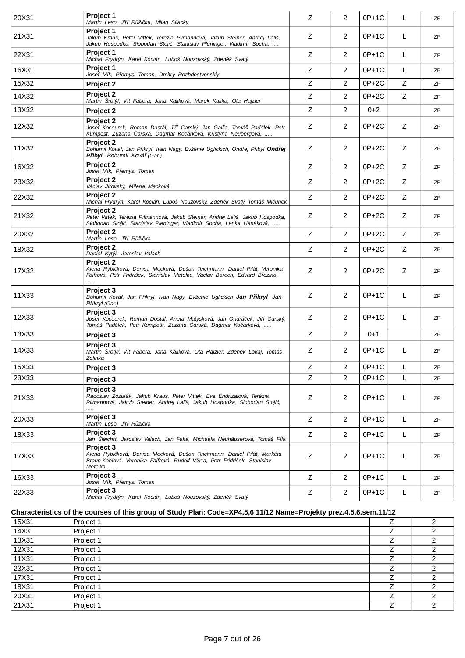| 20X31 | Project 1<br>Martin Leso, Ji í R ži ka, Milan Sliacky                                                                                                                                | Z | $\overline{2}$ | $0P+1C$ | L | ZP        |
|-------|--------------------------------------------------------------------------------------------------------------------------------------------------------------------------------------|---|----------------|---------|---|-----------|
| 21X31 | <b>Project 1</b><br>Jakub Kraus, Peter Vittek, Terézia Pilmannová, Jakub Steiner, Andrej Lališ,<br>Jakub Hospodka, Slobodan Stoji , Stanislav Pleninger, Vladimír Socha,             | Ζ | 2              | $0P+1C$ | L | ZP        |
| 22X31 | <b>Project 1</b><br>Michal Frydrýn, Karel Kocián, Luboš Nouzovský, Zden k Svatý                                                                                                      | Z | $\overline{2}$ | $0P+1C$ | L | <b>ZP</b> |
| 16X31 | Project 1<br>Josef Mík, P emysl Toman, Dmitry Rozhdestvenskiy                                                                                                                        | Z | $\overline{2}$ | $0P+1C$ | L | <b>ZP</b> |
| 15X32 | Project 2                                                                                                                                                                            | Z | 2              | $0P+2C$ | Z | ZP        |
| 14X32 | <b>Project 2</b><br>Martin Srotý, Vít Fábera, Jana Kaliková, Marek Kalika, Ota Hajzler                                                                                               | Z | $\overline{2}$ | $0P+2C$ | Z | ZP        |
| 13X32 | Project 2                                                                                                                                                                            | Z | $\overline{2}$ | $0 + 2$ |   | <b>ZP</b> |
| 12X32 | <b>Project 2</b><br>Josef Kocourek, Roman Dostál, Ji í arský, Jan Gallia, Tomáš Pad lek, Petr<br>Kumpošt, Zuzana arská, Dagmar Ko árková, Kristýna Neubergová,                       | Z | $\overline{2}$ | $0P+2C$ | Ζ | ZP        |
| 11X32 | Project 2<br>Bohumil Ková, Jan P ikryl, Ivan Nagy, Evženie Uglickich, Ond ej P ibyl <b>Ond ej</b><br>P ibyl Bohumil Ková (Gar.)                                                      | Z | 2              | $0P+2C$ | Z | <b>ZP</b> |
| 16X32 | Proiect 2<br>Josef Mík, P emysl Toman                                                                                                                                                | Z | $\overline{2}$ | $0P+2C$ | Z | <b>ZP</b> |
| 23X32 | <b>Project 2</b><br>Václav Jirovský, Milena Macková                                                                                                                                  | Z | $\overline{2}$ | $0P+2C$ | Z | ZP        |
| 22X32 | Project 2<br>Michal Frydrýn, Karel Kocián, Luboš Nouzovský, Zden k Svatý, Tomáš Mi unek                                                                                              | Z | 2              | $0P+2C$ | Z | <b>ZP</b> |
| 21X32 | Project 2<br>Peter Vittek, Terézia Pilmannová, Jakub Steiner, Andrej Lališ, Jakub Hospodka,<br>Slobodan Stoji, Stanislav Pleninger, Vladimír Socha, Lenka Hanáková,                  | Z | 2              | $0P+2C$ | Z | ZP        |
| 20X32 | Project 2<br>Martin Leso, Ji í R ži ka                                                                                                                                               | Z | $\overline{2}$ | $0P+2C$ | Z | <b>ZP</b> |
| 18X32 | <b>Project 2</b><br>Daniel Kytý, Jaroslav Valach                                                                                                                                     | Z | $\overline{2}$ | $0P+2C$ | Z | <b>ZP</b> |
| 17X32 | Project 2<br>Alena Rybi ková, Denisa Mocková, Dušan Teichmann, Daniel Pilát, Veronika<br>Faifrová, Petr Fridrišek, Stanislav Metelka, Václav Baroch, Edvard B ezina,                 | Z | $\overline{2}$ | $0P+2C$ | Z | ZP        |
| 11X33 | Project 3<br>Bohumil Ková , Jan P ikryl, Ivan Nagy, Evženie Uglickich <b>Jan P ikryl</b> Jan<br>P ikryl (Gar.)                                                                       | Z | $\overline{2}$ | 0P+1C   | L | ZP        |
| 12X33 | Proiect 3<br>Josef Kocourek, Roman Dostál, Aneta Matysková, Jan Ondrá ek, Ji í arský,<br>Tomáš Pad lek, Petr Kumpošt, Zuzana arská, Dagmar Ko árková,                                | Ζ | 2              | $0P+1C$ | L | ZP        |
| 13X33 | Project 3                                                                                                                                                                            | Z | $\overline{2}$ | $0 + 1$ |   | ZP        |
| 14X33 | Project 3<br>Martin Šrotý, Vít Fábera, Jana Kaliková, Ota Hajzler, Zden k Lokaj, Tomáš<br>Zelinka                                                                                    | Ζ | 2              | $0P+1C$ | L | ZP        |
| 15X33 | Project 3                                                                                                                                                                            | Z | 2              | $0P+1C$ | L | <b>ZP</b> |
| 23X33 | Project 3                                                                                                                                                                            | Z | 2              | $0P+1C$ | L | ZP        |
| 21X33 | Project 3<br>Radoslav Zozu ák, Jakub Kraus, Peter Vittek, Eva Endrizalová, Terézia<br>Pilmannová, Jakub Steiner, Andrei Lališ, Jakub Hospodka, Slobodan Stoji,                       | Z | $\overline{2}$ | $0P+1C$ | L | ZP        |
| 20X33 | Project 3<br>Martin Leso, Ji í R ži ka                                                                                                                                               | Z | $\overline{2}$ | $0P+1C$ | L | <b>ZP</b> |
| 18X33 | Project 3<br>Jan Sleichrt, Jaroslav Valach, Jan Falta, Michaela Neuhäuserová, Tomáš Fíla                                                                                             | Z | 2              | $0P+1C$ | L | ZP        |
| 17X33 | <b>Project 3</b><br>Alena Rybi ková, Denisa Mocková, Dušan Teichmann, Daniel Pilát, Markéta<br>Braun Kohlová, Veronika Faifrová, Rudolf Vávra, Petr Fridrišek, Stanislav<br>Metelka, | Z | $\overline{2}$ | $0P+1C$ | L | ZP        |
| 16X33 | Project 3<br>Josef Mík, P emysl Toman                                                                                                                                                | Z | $\overline{2}$ | $0P+1C$ | L | ZP        |
| 22X33 | Project 3<br>Michal Frydrýn, Karel Kocián, Luboš Nouzovský, Zden k Svatý                                                                                                             | Z | $\overline{2}$ | $0P+1C$ | L | ZP        |
|       |                                                                                                                                                                                      |   |                |         |   |           |

## **Characteristics of the courses of this group of Study Plan: Code=XP4,5,6 11/12 Name=Projekty prez.4.5.6.sem.11/12**

| 15X31 | Project 1 | ⇁ |  |
|-------|-----------|---|--|
| 14X31 | Project 1 |   |  |
| 13X31 | Project 1 |   |  |
| 12X31 | Project 1 |   |  |
| 11X31 | Project 1 |   |  |
| 23X31 | Project 1 |   |  |
| 17X31 | Project 1 |   |  |
| 18X31 | Project 1 |   |  |
| 20X31 | Project 1 |   |  |
| 21X31 | Project 1 |   |  |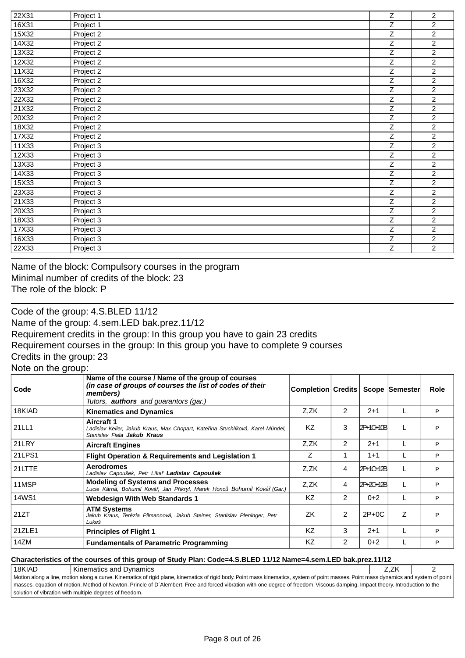| 22X31 | Project 1 | $\overline{z}$ | $\overline{2}$ |
|-------|-----------|----------------|----------------|
| 16X31 | Project 1 | $\overline{z}$ | $\overline{2}$ |
| 15X32 | Project 2 | $\overline{z}$ | $\overline{2}$ |
| 14X32 | Project 2 | Z              | $\overline{2}$ |
| 13X32 | Project 2 | Z              | $\overline{2}$ |
| 12X32 | Project 2 | $\overline{z}$ | $\overline{2}$ |
| 11X32 | Project 2 | Z              | $\overline{2}$ |
| 16X32 | Project 2 | $\overline{Z}$ | $\overline{c}$ |
| 23X32 | Project 2 | Z              | $\overline{2}$ |
| 22X32 | Project 2 | $\overline{z}$ | $\overline{2}$ |
| 21X32 | Project 2 | Z              | $\overline{c}$ |
| 20X32 | Project 2 | $\overline{z}$ | $\overline{2}$ |
| 18X32 | Project 2 | Ζ              | $\overline{c}$ |
| 17X32 | Project 2 | Ζ              | $\overline{c}$ |
| 11X33 | Project 3 | $\overline{z}$ | $\overline{2}$ |
| 12X33 | Project 3 | $\overline{z}$ | $\overline{2}$ |
| 13X33 | Project 3 | Ζ              | $\overline{2}$ |
| 14X33 | Project 3 | $\overline{z}$ | $\overline{c}$ |
| 15X33 | Project 3 | $\overline{z}$ | $\overline{2}$ |
| 23X33 | Project 3 | Z              | $\overline{2}$ |
| 21X33 | Project 3 | Z              | $\overline{2}$ |
| 20X33 | Project 3 | $\overline{z}$ | $\overline{2}$ |
| 18X33 | Project 3 | $\overline{Z}$ | $\overline{c}$ |
| 17X33 | Project 3 | Ζ              | $\overline{2}$ |
| 16X33 | Project 3 | Z              | $\overline{2}$ |
| 22X33 | Project 3 | $\overline{z}$ | $\overline{2}$ |

Name of the block: Compulsory courses in the program Minimal number of credits of the block: 23 The role of the block: P

Code of the group: 4.S.BLED 11/12 Name of the group: 4.sem.LED bak.prez.11/12 Requirement credits in the group: In this group you have to gain 23 credits Requirement courses in the group: In this group you have to complete 9 courses Credits in the group: 23 Note on the group:

| Code         | Name of the course / Name of the group of courses<br>(in case of groups of courses the list of codes of their<br>members)<br>Tutors, <b>authors</b> and guarantors (gar.) | Completion Credits |                |           | Scope Semester | Role |
|--------------|---------------------------------------------------------------------------------------------------------------------------------------------------------------------------|--------------------|----------------|-----------|----------------|------|
| 18KIAD       | <b>Kinematics and Dynamics</b>                                                                                                                                            | Z,ZK               | $\overline{2}$ | $2+1$     |                | P    |
| 21LL1        | <b>Aircraft 1</b><br>Ladislav Keller, Jakub Kraus, Max Chopart, Kate ina Stuchlíková, Karel Mündel,<br>Stanislav Fiala <b>Jakub Kraus</b>                                 | KZ                 | 3              | 2P+1C+10B |                | P    |
| 21LRY        | <b>Aircraft Engines</b>                                                                                                                                                   | Z,ZK               | 2              | $2+1$     |                | P    |
| 21LPS1       | <b>Flight Operation &amp; Requirements and Legislation 1</b>                                                                                                              | Ζ                  |                | $1 + 1$   |                | P    |
| 21LTTE       | <b>Aerodromes</b><br>Ladislav Capoušek, Petr Líka Ladislav Capoušek                                                                                                       | Z,ZK               | 4              | 2P+1C+12B |                | P    |
| 11MSP        | <b>Modeling of Systems and Processes</b><br>Lucie Kárná, Bohumil Ková, Jan P ikryl, Marek Honc Bohumil Ková (Gar.)                                                        | Z,ZK               | 4              | 2P+2C+12B |                | P    |
| <b>14WS1</b> | <b>Webdesign With Web Standards 1</b>                                                                                                                                     | <b>KZ</b>          | $\overline{2}$ | $0 + 2$   |                | P    |
| 21ZT         | <b>ATM Systems</b><br>Jakub Kraus, Terézia Pilmannová, Jakub Steiner, Stanislav Pleninger, Petr<br>Lukeš                                                                  | ΖK                 | 2              | $2P+0C$   | Ζ              | P    |
| 21ZLE1       | <b>Principles of Flight 1</b>                                                                                                                                             | KZ                 | 3              | $2 + 1$   |                | P    |
| 14ZM         | <b>Fundamentals of Parametric Programming</b>                                                                                                                             | KZ                 | 2              | $0+2$     |                | P    |

#### **Characteristics of the courses of this group of Study Plan: Code=4.S.BLED 11/12 Name=4.sem.LED bak.prez.11/12**

18KIAD Kinematics and Dynamics **New Systems** 2

Motion along a line, motion along a curve. Kinematics of rigid plane, kinematics of rigid body. Point mass kinematics, system of point masses. Point mass dynamics and system of point masses, equation of motion. Method of Newton. Princle of D´Alembert. Free and forced vibration with one degree of freedom. Viscous damping. Impact theory. Introduction to the solution of vibration with multiple degrees of freedom.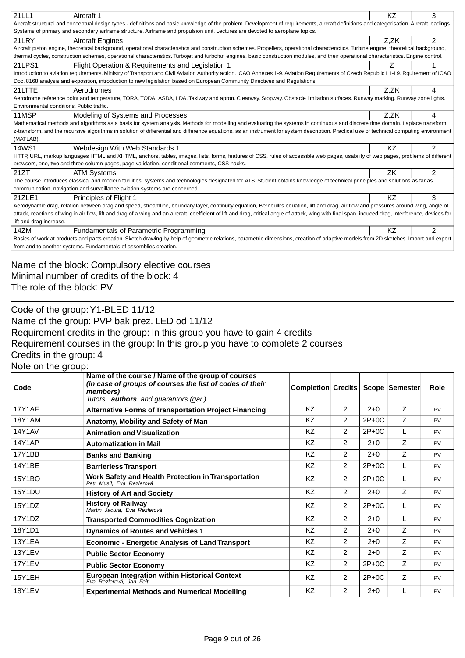| 21LL1<br>Aircraft 1                                                                                                                                                                                   | KZ   | 3              |  |  |  |  |  |
|-------------------------------------------------------------------------------------------------------------------------------------------------------------------------------------------------------|------|----------------|--|--|--|--|--|
| Aircraft structural and conceptual design types - definitions and basic knowledge of the problem. Development of requirements, aircraft definitions and categorisation. Aircraft loadings.            |      |                |  |  |  |  |  |
| Systems of primary and secondary airframe structure. Airframe and propulsion unit. Lectures are devoted to aeroplane topics.                                                                          |      |                |  |  |  |  |  |
| 21LRY<br><b>Aircraft Engines</b>                                                                                                                                                                      | Z.ZK | $\overline{2}$ |  |  |  |  |  |
| Aircraft piston engine, theoretical background, operational characteristics and construction schemes. Propellers, operational characterictics. Turbine engine, theoretical background,                |      |                |  |  |  |  |  |
| thermal cycles, construction schemes, operational characteristics. Turbojet and turbofan engines, basic construction modules, and their operational characteristics. Engine control.                  |      |                |  |  |  |  |  |
| 21LPS1<br>Flight Operation & Requirements and Legislation 1                                                                                                                                           | Ζ    |                |  |  |  |  |  |
| Introduction to aviation requirements. Ministry of Transport and Civil Aviation Authority action. ICAO Annexes 1-9. Aviation Requirements of Czech Republic L1-L9. Rquirement of ICAO                 |      |                |  |  |  |  |  |
| Doc. 8168 analysis and exposition, introduction to new legislation based on European Community Directives and Regulations.                                                                            |      |                |  |  |  |  |  |
| 21LTTE<br>Aerodromes                                                                                                                                                                                  | Z,ZK | 4              |  |  |  |  |  |
| Aerodrome reference point and temperature, TORA, TODA, ASDA, LDA. Taxiway and apron. Clearway. Stopway. Obstacle limitation surfaces. Runway marking. Runway zone lights.                             |      |                |  |  |  |  |  |
| Environmental conditions. Public traffic.                                                                                                                                                             |      |                |  |  |  |  |  |
| 11MSP<br>Modeling of Systems and Processes                                                                                                                                                            | Z,ZK | 4              |  |  |  |  |  |
| Mathematical methods and algorithms as a basis for system analysis. Methods for modelling and evaluating the systems in continuous and discrete time domain. Laplace transform,                       |      |                |  |  |  |  |  |
| z-transform, and the recursive algorithms in solution of differential and difference equations, as an instrument for system description. Practical use of technical computing environment             |      |                |  |  |  |  |  |
| (MATLAB).                                                                                                                                                                                             |      |                |  |  |  |  |  |
| <b>14WS1</b><br>Webdesign With Web Standards 1                                                                                                                                                        | KZ   | $\overline{2}$ |  |  |  |  |  |
| HTTP, URL, markup languages HTML and XHTML, anchors, tables, images, lists, forms, features of CSS, rules of accessible web pages, usability of web pages, problems of different                      |      |                |  |  |  |  |  |
| browsers, one, two and three column pages, page validation, conditional comments, CSS hacks.                                                                                                          |      |                |  |  |  |  |  |
| 21ZT<br><b>ATM Systems</b>                                                                                                                                                                            | ZK   | $\mathfrak{p}$ |  |  |  |  |  |
| The course introduces classical and modern facilities, systems and technologies designated for ATS. Student obtains knowledge of technical principles and solutions as far as                         |      |                |  |  |  |  |  |
| communication, navigation and surveillance aviation systems are concerned.                                                                                                                            |      |                |  |  |  |  |  |
| 21ZLE1<br><b>Principles of Flight 1</b>                                                                                                                                                               | KZ   | 3              |  |  |  |  |  |
| Aerodynamic drag, relation between drag and speed, streamline, boundary layer, continuity equation, Bernoulli's equation, lift and drag, air flow and pressures around wing, angle of                 |      |                |  |  |  |  |  |
| attack, reactions of wing in air flow, lift and drag of a wing and an aircraft, coefficient of lift and drag, critical angle of attack, wing with final span, induced drag, interference, devices for |      |                |  |  |  |  |  |
| lift and drag increase.                                                                                                                                                                               |      |                |  |  |  |  |  |
| 14ZM<br><b>Fundamentals of Parametric Programming</b>                                                                                                                                                 | KZ   | $\overline{2}$ |  |  |  |  |  |
| Basics of work at products and parts creation. Sketch drawing by help of geometric relations, parametric dimensions, creation of adaptive models from 2D sketches. Import and export                  |      |                |  |  |  |  |  |
| from and to another systems. Fundamentals of assemblies creation.                                                                                                                                     |      |                |  |  |  |  |  |
|                                                                                                                                                                                                       |      |                |  |  |  |  |  |

Name of the block: Compulsory elective courses Minimal number of credits of the block: 4 The role of the block: PV

Code of the group:Y1-BLED 11/12 Name of the group: PVP bak.prez. LED od 11/12 Requirement credits in the group: In this group you have to gain 4 credits Requirement courses in the group: In this group you have to complete 2 courses Credits in the group: 4 Note on the group:

| Code          | Name of the course / Name of the group of courses<br>(in case of groups of courses the list of codes of their<br>members)<br>Tutors, <b>authors</b> and guarantors (gar.) | Completion Credits |               |         | Scope Semester | Role      |
|---------------|---------------------------------------------------------------------------------------------------------------------------------------------------------------------------|--------------------|---------------|---------|----------------|-----------|
| <b>17Y1AF</b> | <b>Alternative Forms of Transportation Project Financing</b>                                                                                                              | KZ                 | 2             | $2+0$   | Z              | <b>PV</b> |
| <b>18Y1AM</b> | Anatomy, Mobility and Safety of Man                                                                                                                                       | KZ                 | 2             | $2P+0C$ | Z              | PV        |
| <b>14Y1AV</b> | <b>Animation and Visualization</b>                                                                                                                                        | KZ                 | 2             | $2P+0C$ |                | PV        |
| 14Y1AP        | <b>Automatization in Mail</b>                                                                                                                                             | KZ                 | 2             | $2+0$   | Ζ              | PV        |
| 17Y1BB        | <b>Banks and Banking</b>                                                                                                                                                  | <b>KZ</b>          | 2             | $2 + 0$ | Z              | PV        |
| 14Y1BE        | <b>Barrierless Transport</b>                                                                                                                                              | KZ                 | $\mathcal{P}$ | $2P+0C$ |                | PV        |
| 15Y1BO        | Work Safety and Health Protection in Transportation<br>Petr Musil. Eva Rezlerová                                                                                          | KZ                 | 2             | $2P+0C$ |                | PV        |
| <b>15Y1DU</b> | <b>History of Art and Society</b>                                                                                                                                         | KZ                 | 2             | $2 + 0$ | Z              | PV        |
| 15Y1DZ        | <b>History of Railway</b><br>Martin Jacura. Eva Rezlerová                                                                                                                 | KZ                 | 2             | $2P+0C$ |                | <b>PV</b> |
| 17Y1DZ        | <b>Transported Commodities Cognization</b>                                                                                                                                | KZ                 | 2             | $2 + 0$ |                | PV        |
| 18Y1D1        | <b>Dynamics of Routes and Vehicles 1</b>                                                                                                                                  | KZ.                | $\mathcal{P}$ | $2 + 0$ | Z              | PV        |
| <b>13Y1EA</b> | <b>Economic - Energetic Analysis of Land Transport</b>                                                                                                                    | KZ                 | 2             | $2+0$   | Z              | PV        |
| <b>13Y1EV</b> | <b>Public Sector Economy</b>                                                                                                                                              | KZ                 | 2             | $2+0$   | Z              | PV        |
| <b>17Y1EV</b> | <b>Public Sector Economy</b>                                                                                                                                              | KZ                 | 2             | $2P+OC$ | Z              | PV        |
| <b>15Y1EH</b> | <b>European Integration within Historical Context</b><br>Eva Rezlerová, Jan Feit                                                                                          | KZ                 | 2             | $2P+0C$ | Z              | <b>PV</b> |
| <b>18Y1EV</b> | <b>Experimental Methods and Numerical Modelling</b>                                                                                                                       | KZ.                | 2             | $2 + 0$ |                | PV        |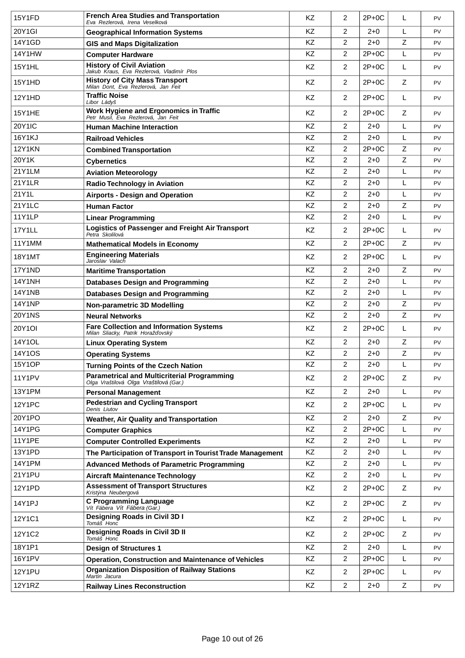| 15Y1FD        | <b>French Area Studies and Transportation</b><br>Eva Rezlerová, Irena Veselková              | KZ        | $\overline{2}$ | $2P+0C$ | L           | PV        |
|---------------|----------------------------------------------------------------------------------------------|-----------|----------------|---------|-------------|-----------|
| 20Y1GI        | <b>Geographical Information Systems</b>                                                      | <b>KZ</b> | $\overline{2}$ | $2+0$   | L           | PV        |
| 14Y1GD        | <b>GIS and Maps Digitalization</b>                                                           | KZ        | $\overline{2}$ | $2 + 0$ | Z           | PV        |
| <b>14Y1HW</b> | <b>Computer Hardware</b>                                                                     | KZ        | $\overline{2}$ | $2P+0C$ | L           | PV        |
| 15Y1HL        | <b>History of Civil Aviation</b><br>Jakub Kraus, Eva Rezlerová, Vladimír Plos                | KZ        | $\overline{2}$ | $2P+0C$ | L           | PV        |
| 15Y1HD        | <b>History of City Mass Transport</b><br>Milan Dont, Eva Rezlerová, Jan Feit                 | KZ        | $\overline{2}$ | $2P+0C$ | Z           | <b>PV</b> |
| 12Y1HD        | <b>Traffic Noise</b><br>Libor Ládyš                                                          | KZ        | $\overline{2}$ | $2P+0C$ | L           | PV        |
| 15Y1HE        | Work Hygiene and Ergonomics in Traffic<br>Petr Musil, Eva Rezlerová, Jan Feit                | KZ        | $\overline{2}$ | $2P+0C$ | Z           | PV        |
| 20Y1IC        | <b>Human Machine Interaction</b>                                                             | KZ        | $\overline{2}$ | $2+0$   | L           | <b>PV</b> |
| <b>16Y1KJ</b> | <b>Railroad Vehicles</b>                                                                     | KZ        | $\overline{2}$ | $2 + 0$ | L           | PV        |
| <b>12Y1KN</b> | <b>Combined Transportation</b>                                                               | KZ        | $\overline{c}$ | $2P+0C$ | $\mathsf Z$ | PV        |
| 20Y1K         | <b>Cybernetics</b>                                                                           | <b>KZ</b> | $\overline{2}$ | $2 + 0$ | Z           | <b>PV</b> |
| 21Y1LM        | <b>Aviation Meteorology</b>                                                                  | KZ        | 2              | $2 + 0$ | L           | PV        |
| <b>21Y1LR</b> | <b>Radio Technology in Aviation</b>                                                          | KZ        | $\overline{2}$ | $2 + 0$ | L           | PV        |
| 21Y1L         | <b>Airports - Design and Operation</b>                                                       | <b>KZ</b> | $\overline{2}$ | $2+0$   | L           | PV        |
| 21Y1LC        | <b>Human Factor</b>                                                                          | KZ        | $\overline{2}$ | $2 + 0$ | $\mathsf Z$ | PV        |
| <b>11Y1LP</b> | <b>Linear Programming</b>                                                                    | KZ        | $\overline{2}$ | $2 + 0$ | L           | PV        |
| 17Y1LL        | Logistics of Passenger and Freight Air Transport<br>Petra Skolilová                          | KZ        | $\overline{2}$ | $2P+0C$ | L           | <b>PV</b> |
| 11Y1MM        | <b>Mathematical Models in Economy</b>                                                        | KZ        | $\overline{2}$ | $2P+0C$ | Z           | PV        |
| <b>18Y1MT</b> | <b>Engineering Materials</b><br>Jaroslav Valach                                              | <b>KZ</b> | $\overline{2}$ | $2P+0C$ | L           | PV        |
| 17Y1ND        | <b>Maritime Transportation</b>                                                               | KZ        | $\overline{2}$ | $2 + 0$ | $\mathsf Z$ | <b>PV</b> |
| <b>14Y1NH</b> | <b>Databases Design and Programming</b>                                                      | KZ        | $\overline{2}$ | $2 + 0$ | L           | PV        |
| <b>14Y1NB</b> | <b>Databases Design and Programming</b>                                                      | <b>KZ</b> | $\overline{2}$ | $2+0$   | L           | PV        |
| <b>14Y1NP</b> | Non-parametric 3D Modelling                                                                  | KZ        | $\overline{2}$ | $2 + 0$ | $\mathsf Z$ | PV        |
| <b>20Y1NS</b> | <b>Neural Networks</b>                                                                       | KZ        | $\overline{2}$ | $2 + 0$ | $\mathsf Z$ | <b>PV</b> |
| <b>20Y1OI</b> | <b>Fare Collection and Information Systems</b><br>Milan Sliacky, Patrik Horaž ovský          | KZ        | $\overline{2}$ | $2P+OC$ | L           | <b>PV</b> |
| <b>14Y1OL</b> | <b>Linux Operating System</b>                                                                | <b>KZ</b> | $\overline{2}$ | $2 + 0$ | Z           | PV        |
| 14Y1OS        | <b>Operating Systems</b>                                                                     | KZ        | $\overline{2}$ | $2 + 0$ | Z           | PV        |
| 15Y1OP        | <b>Turning Points of the Czech Nation</b>                                                    | ΚZ        | 2              | 2+0     | L           | PV        |
| <b>11Y1PV</b> | <b>Parametrical and Multicriterial Programming</b><br>Olga Vraštilová Olga Vraštilová (Gar.) | KZ        | $\overline{2}$ | $2P+0C$ | Z           | <b>PV</b> |
| 13Y1PM        | <b>Personal Management</b>                                                                   | KZ        | $\overline{2}$ | $2 + 0$ | L           | <b>PV</b> |
| <b>12Y1PC</b> | <b>Pedestrian and Cycling Transport</b><br>Denis Liutov                                      | KZ        | $\overline{2}$ | $2P+0C$ | L           | <b>PV</b> |
| 20Y1PO        | <b>Weather, Air Quality and Transportation</b>                                               | <b>KZ</b> | $\overline{2}$ | $2 + 0$ | Z           | <b>PV</b> |
| <b>14Y1PG</b> | <b>Computer Graphics</b>                                                                     | KZ        | $\overline{2}$ | $2P+0C$ | L           | <b>PV</b> |
| <b>11Y1PE</b> | <b>Computer Controlled Experiments</b>                                                       | KZ        | $\overline{2}$ | $2 + 0$ | L           | <b>PV</b> |
| 13Y1PD        | The Participation of Transport in Tourist Trade Management                                   | KZ        | $\overline{2}$ | $2 + 0$ | L           | <b>PV</b> |
| <b>14Y1PM</b> | <b>Advanced Methods of Parametric Programming</b>                                            | KZ        | $\overline{2}$ | $2 + 0$ | L           | <b>PV</b> |
| 21Y1PU        | <b>Aircraft Maintenance Technology</b>                                                       | KZ        | $\overline{2}$ | $2 + 0$ | L           | PV        |
| 12Y1PD        | <b>Assessment of Transport Structures</b><br>Kristýna Neubergová                             | KZ        | $\overline{2}$ | $2P+0C$ | Z           | PV        |
| 14Y1PJ        | <b>C Programming Language</b><br>Vít Fábera Vít Fábera (Gar.)                                | KZ        | $\overline{2}$ | $2P+0C$ | Z           | <b>PV</b> |
| 12Y1C1        | Designing Roads in Civil 3D I<br>Tomáš Honc                                                  | KZ        | $\overline{2}$ | $2P+0C$ | L           | <b>PV</b> |
| 12Y1C2        | <b>Designing Roads in Civil 3D II</b><br>Tomáš Honc                                          | KZ        | $\overline{2}$ | $2P+0C$ | Z           | <b>PV</b> |
| 18Y1P1        | <b>Design of Structures 1</b>                                                                | KZ        | $\overline{2}$ | $2 + 0$ | L           | <b>PV</b> |
| 16Y1PV        | <b>Operation, Construction and Maintenance of Vehicles</b>                                   | KZ        | $\overline{2}$ | $2P+0C$ | L           | <b>PV</b> |
| <b>12Y1PU</b> | <b>Organization Disposition of Railway Stations</b><br>Martin Jacura                         | KZ        | $\overline{2}$ | $2P+0C$ | L           | <b>PV</b> |
| <b>12Y1RZ</b> | <b>Railway Lines Reconstruction</b>                                                          | KZ        | $\overline{2}$ | $2 + 0$ | Z           | <b>PV</b> |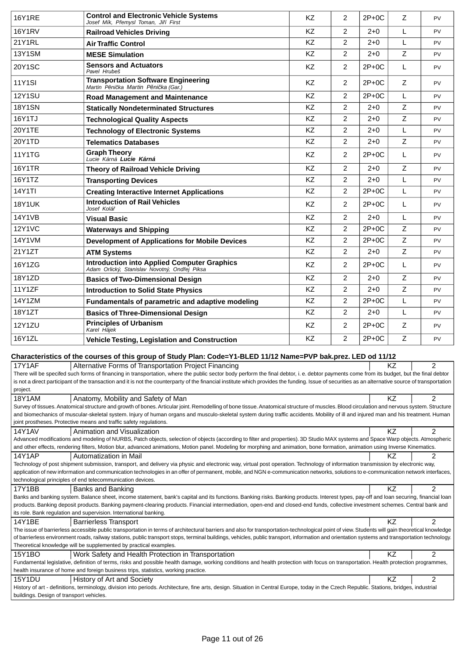| <b>16Y1RE</b> | <b>Control and Electronic Vehicle Systems</b><br>Josef Mík, P emysl Toman, Ji í First                                                                                                                                                                                                                                                                                                            | KZ        | 2              | $2P+0C$ | Z            | PV             |
|---------------|--------------------------------------------------------------------------------------------------------------------------------------------------------------------------------------------------------------------------------------------------------------------------------------------------------------------------------------------------------------------------------------------------|-----------|----------------|---------|--------------|----------------|
| 16Y1RV        | <b>Railroad Vehicles Driving</b>                                                                                                                                                                                                                                                                                                                                                                 | ΚZ        | 2              | $2+0$   | L            | <b>PV</b>      |
| 21Y1RL        | <b>Air Traffic Control</b>                                                                                                                                                                                                                                                                                                                                                                       | KZ        | $\overline{2}$ | $2+0$   | L            | PV             |
| <b>13Y1SM</b> | <b>MESE Simulation</b>                                                                                                                                                                                                                                                                                                                                                                           | <b>KZ</b> | 2              | $2+0$   | Z            | PV             |
| <b>20Y1SC</b> | <b>Sensors and Actuators</b><br>Pavel Hrubeš                                                                                                                                                                                                                                                                                                                                                     | KZ        | $\overline{2}$ | $2P+0C$ | L            | PV             |
| <b>11Y1SI</b> | <b>Transportation Software Engineering</b><br>Martin P ni ka Martin P ni ka (Gar.)                                                                                                                                                                                                                                                                                                               | KZ        | $\overline{2}$ | $2P+0C$ | Z            | PV             |
| <b>12Y1SU</b> | <b>Road Management and Maintenance</b>                                                                                                                                                                                                                                                                                                                                                           | <b>KZ</b> | 2              | $2P+0C$ | L            | PV             |
| <b>18Y1SN</b> | <b>Statically Nondeterminated Structures</b>                                                                                                                                                                                                                                                                                                                                                     | ΚZ        | 2              | $2+0$   | Z            | <b>PV</b>      |
| 16Y1TJ        | <b>Technological Quality Aspects</b>                                                                                                                                                                                                                                                                                                                                                             | ΚZ        | 2              | $2+0$   | Z            | PV             |
| 20Y1TE        | <b>Technology of Electronic Systems</b>                                                                                                                                                                                                                                                                                                                                                          | <b>KZ</b> | $\overline{2}$ | $2+0$   | L            | <b>PV</b>      |
| 20Y1TD        | <b>Telematics Databases</b>                                                                                                                                                                                                                                                                                                                                                                      | ΚZ        | 2              | $2+0$   | Z            | <b>PV</b>      |
| <b>11Y1TG</b> | <b>Graph Theory</b><br>Lucie Kárná Lucie Kárná                                                                                                                                                                                                                                                                                                                                                   | <b>KZ</b> | $\overline{2}$ | $2P+0C$ | L            | <b>PV</b>      |
| <b>16Y1TR</b> | <b>Theory of Railroad Vehicle Driving</b>                                                                                                                                                                                                                                                                                                                                                        | ΚZ        | 2              | $2+0$   | Z            | PV             |
| 16Y1TZ        | <b>Transporting Devices</b>                                                                                                                                                                                                                                                                                                                                                                      | ΚZ        | $\overline{2}$ | $2+0$   | L            | PV             |
| <b>14Y1TI</b> | <b>Creating Interactive Internet Applications</b>                                                                                                                                                                                                                                                                                                                                                | <b>KZ</b> | $\overline{2}$ | $2P+0C$ | L            | <b>PV</b>      |
| <b>18Y1UK</b> | <b>Introduction of Rail Vehicles</b><br>Josef Kolá                                                                                                                                                                                                                                                                                                                                               | KZ        | $\overline{2}$ | $2P+0C$ | L            | <b>PV</b>      |
| <b>14Y1VB</b> | Visual Basic                                                                                                                                                                                                                                                                                                                                                                                     | <b>KZ</b> | 2              | $2+0$   | $\mathbf{L}$ | <b>PV</b>      |
| <b>12Y1VC</b> | <b>Waterways and Shipping</b>                                                                                                                                                                                                                                                                                                                                                                    | <b>KZ</b> | $\overline{c}$ | $2P+0C$ | Z            | <b>PV</b>      |
| 14Y1VM        | <b>Development of Applications for Mobile Devices</b>                                                                                                                                                                                                                                                                                                                                            | KZ        | 2              | $2P+0C$ | $\mathsf Z$  | PV             |
| 21Y1ZT        | <b>ATM Systems</b>                                                                                                                                                                                                                                                                                                                                                                               | ΚZ        | 2              | $2+0$   | Z            | PV             |
| 16Y1ZG        | <b>Introduction into Applied Computer Graphics</b><br>Adam Orlický, Stanislav Novotný, Ond ej Piksa                                                                                                                                                                                                                                                                                              | <b>KZ</b> | 2              | $2P+0C$ | L            | <b>PV</b>      |
| 18Y1ZD        | <b>Basics of Two-Dimensional Design</b>                                                                                                                                                                                                                                                                                                                                                          | ΚZ        | $\overline{2}$ | $2+0$   | Z            | PV             |
| 11Y1ZF        | <b>Introduction to Solid State Physics</b>                                                                                                                                                                                                                                                                                                                                                       | <b>KZ</b> | $\overline{2}$ | $2+0$   | Z            | <b>PV</b>      |
| 14Y1ZM        | Fundamentals of parametric and adaptive modeling                                                                                                                                                                                                                                                                                                                                                 | KZ        | $\overline{2}$ | $2P+0C$ | L            | PV             |
| 18Y1ZT        | <b>Basics of Three-Dimensional Design</b>                                                                                                                                                                                                                                                                                                                                                        | <b>KZ</b> | 2              | $2+0$   | L            | PV             |
| <b>12Y1ZU</b> | <b>Principles of Urbanism</b><br>Karel Hájek                                                                                                                                                                                                                                                                                                                                                     | <b>KZ</b> | $\overline{2}$ | $2P+0C$ | Z            | PV             |
| 16Y1ZL        | <b>Vehicle Testing, Legislation and Construction</b>                                                                                                                                                                                                                                                                                                                                             | <b>KZ</b> | 2              | $2P+0C$ | $\mathsf Z$  | <b>PV</b>      |
|               | Characteristics of the courses of this group of Study Plan: Code=Y1-BLED 11/12 Name=PVP bak.prez. LED od 11/12                                                                                                                                                                                                                                                                                   |           |                |         |              |                |
| 17Y1AF        | Alternative Forms of Transportation Project Financing                                                                                                                                                                                                                                                                                                                                            |           |                |         | KZ           | $\overline{c}$ |
|               | There will be specifed such forms of financing in transportation, where the public sector body perform the final debtor, i. e. debtor payments come from its budget, but the final debtor                                                                                                                                                                                                        |           |                |         |              |                |
| project.      | is not a direct participant of the transaction and it is not the counterparty of the financial institute which provides the funding. Issue of securities as an alternative source of transportation                                                                                                                                                                                              |           |                |         |              |                |
| <b>18Y1AM</b> | Anatomy, Mobility and Safety of Man                                                                                                                                                                                                                                                                                                                                                              |           |                |         | <b>KZ</b>    | $\overline{2}$ |
|               | Survey of tissues. Anatomical structure and growth of bones. Articular joint. Remodelling of bone tissue. Anatomical structure of muscles. Blood circulation and nervous system. Structure                                                                                                                                                                                                       |           |                |         |              |                |
|               | and biomechanics of muscular-skeletal system. Injury of human organs and musculo-skeletal system during traffic accidents. Mobility of ill and injured man and his treatment. Human<br>joint prostheses. Protective means and traffic safety regulations.                                                                                                                                        |           |                |         |              |                |
| 14Y1AV        | Animation and Visualization                                                                                                                                                                                                                                                                                                                                                                      |           |                |         | KZ           | 2              |
|               | Advanced modifications and modeling of NURBS, Patch objects, selection of objects (according to filter and properties). 3D Studio MAX systems and Space Warp objects. Atmospheric<br>and other effects, rendering filters, Motion blur, advanced animations, Motion panel. Modeling for morphing and animation, bone formation, animation using Inverse Kinematics.                              |           |                |         |              |                |
| 14Y1AP        | Automatization in Mail                                                                                                                                                                                                                                                                                                                                                                           |           |                |         | KZ.          | $\overline{c}$ |
|               | Technology of post shipment submission, transport, and delivery via physic and electronic way, virtual post operation. Technology of information transmission by electronic way,                                                                                                                                                                                                                 |           |                |         |              |                |
|               | application of new information and communication technologies in an offer of permanent, mobile, and NGN e-communication networks, solutions to e-communication network interfaces,<br>technological principles of end telecommunication devices.                                                                                                                                                 |           |                |         |              |                |
| 17Y1BB        | Banks and Banking                                                                                                                                                                                                                                                                                                                                                                                |           |                |         | KZ           | $\overline{2}$ |
|               | Banks and banking system. Balance sheet, income statement, bank's capital and its functions. Banking risks. Banking products. Interest types, pay-off and loan securing, financial loan                                                                                                                                                                                                          |           |                |         |              |                |
|               | products. Banking deposit products. Banking payment-clearing products. Financial intermediation, open-end and closed-end funds, collective investment schemes. Central bank and<br>its role. Bank regulation and supervision. International banking.                                                                                                                                             |           |                |         |              |                |
| 14Y1BE        | <b>Barrierless Transport</b>                                                                                                                                                                                                                                                                                                                                                                     |           |                |         | KZ           | $\overline{2}$ |
|               | The issue of barrierless accessible public transportation in terms of architectural barriers and also for transportation-technological point of view. Students will gain theoretical knowledge<br>of barrierless environment roads, railway stations, public transport stops, terminal buildings, vehicles, public transport, information and orientation systems and transportation technology. |           |                |         |              |                |
|               | Theoretical knowledge will be supplemented by practical examples.                                                                                                                                                                                                                                                                                                                                |           |                |         |              |                |
| 15Y1BO        | Work Safety and Health Protection in Transportation                                                                                                                                                                                                                                                                                                                                              |           |                |         | <b>KZ</b>    | $\overline{2}$ |
|               | Fundamental legislative, definition of terms, risks and possible health damage, working conditions and health protection with focus on transportation. Health protection programmes,<br>health insurance of home and foreign business trips, statistics, working practice.                                                                                                                       |           |                |         |              |                |
| <b>15Y1DU</b> | History of Art and Society                                                                                                                                                                                                                                                                                                                                                                       |           |                |         | ΚZ           | $\overline{c}$ |
|               | History of art - definitions, terminology, division into periods. Architecture, fine arts, design. Situation in Central Europe, today in the Czech Republic. Stations, bridges, industrial                                                                                                                                                                                                       |           |                |         |              |                |

buildings. Design of transport vehicles.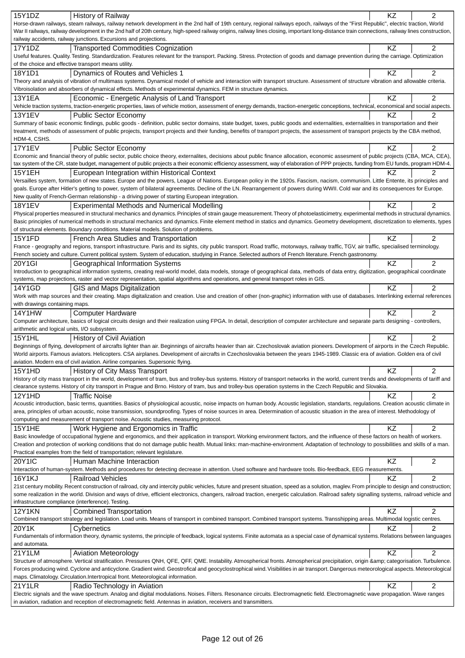| 15Y1DZ<br>History of Railway                                                                                                                                                                                                                                                                          | ΚZ        | $\overline{2}$ |
|-------------------------------------------------------------------------------------------------------------------------------------------------------------------------------------------------------------------------------------------------------------------------------------------------------|-----------|----------------|
| Horse-drawn railways, steam railways, railway network development in the 2nd half of 19th century, regional railways epoch, railways of the "First Republic", electric traction, World                                                                                                                |           |                |
|                                                                                                                                                                                                                                                                                                       |           |                |
| War II railways, railway development in the 2nd half of 20th century, high-speed railway origins, railway lines closing, important long-distance train connections, railway lines construction,                                                                                                       |           |                |
| railway accidents, railway junctions. Excursions and projections.                                                                                                                                                                                                                                     |           |                |
| 17Y1DZ<br><b>Transported Commodities Cognization</b>                                                                                                                                                                                                                                                  | KZ        | 2              |
| Useful features. Quality. Testing. Standardization. Features relevant for the transport. Packing. Stress. Protection of goods and damage prevention during the carriage. Optimization                                                                                                                 |           |                |
| of the choice and effective transport means utility.                                                                                                                                                                                                                                                  |           |                |
|                                                                                                                                                                                                                                                                                                       |           |                |
| 18Y1D1<br>Dynamics of Routes and Vehicles 1                                                                                                                                                                                                                                                           | KZ        | $\overline{2}$ |
| Theory and analysis of vibration of multimass systems. Dynamical model of vehicle and interaction with transport structure. Assessment of structure vibration and allowable criteria.                                                                                                                 |           |                |
| Vibroisolation and absorbers of dynamical effects. Methods of experimental dynamics. FEM in structure dynamics.                                                                                                                                                                                       |           |                |
| <b>13Y1EA</b><br>Economic - Energetic Analysis of Land Transport                                                                                                                                                                                                                                      | KZ        | $\overline{c}$ |
| Vehicle traction systems, traction-energetic properties, laws of vehicle motion, assessment of energy demands, traction-energetic conceptions, technical, economical and social aspects.                                                                                                              |           |                |
|                                                                                                                                                                                                                                                                                                       |           |                |
| <b>13Y1EV</b><br><b>Public Sector Economy</b>                                                                                                                                                                                                                                                         | ΚZ        | 2              |
| Summary of basic economic findings, public goods - definition, public sector domains, state budget, taxes, public goods and externalities, externalities in transportation and their                                                                                                                  |           |                |
| treatment, methods of assessment of public projects, transport projects and their funding, benefits of transport projects, the assessment of transport projects by the CBA method,                                                                                                                    |           |                |
| HDM-4, CSHS.                                                                                                                                                                                                                                                                                          |           |                |
| <b>17Y1EV</b><br><b>Public Sector Economy</b>                                                                                                                                                                                                                                                         | ΚZ        | 2              |
|                                                                                                                                                                                                                                                                                                       |           |                |
| Economic and financial theory of public sector, public choice theory, externalites, decisions about public finance allocation, economic assesment of public projects (CBA, MCA, CEA),                                                                                                                 |           |                |
| tax system of the CR, state budget, management of public projects a their economic efficiency assessment, way of elaboration of PPP projects, funding from EU funds, program HDM-4.                                                                                                                   |           |                |
| 15Y1EH<br>European Integration within Historical Context                                                                                                                                                                                                                                              | ΚZ        | 2              |
| Versailles system, formation of new states. Europe and the powers, League of Nations. European policy in the 1920s. Fascism, nacism, communism. Little Entente, its principles and                                                                                                                    |           |                |
| goals. Europe after Hitler's getting to power, system of bilateral agreements. Decline of the LN. Rearrangement of powers during WWII. Cold war and its consequences for Europe.                                                                                                                      |           |                |
|                                                                                                                                                                                                                                                                                                       |           |                |
| New quality of French-German relationship - a driving power of starting European integration.                                                                                                                                                                                                         |           |                |
| <b>Experimental Methods and Numerical Modelling</b><br><b>18Y1EV</b>                                                                                                                                                                                                                                  | KZ        | $\overline{2}$ |
| Physical properties measured in structural mechanics and dynamics. Principles of strain gauge measurement. Theory of photoelasticimetry, experimental methods in structural dynamics.                                                                                                                 |           |                |
| Basic principles of numerical methods in structural mechanics and dynamics. Finite element method in statics and dynamics. Geometry development, discretization to elements, types                                                                                                                    |           |                |
| of structural elements. Boundary conditions. Material models. Solution of problems.                                                                                                                                                                                                                   |           |                |
|                                                                                                                                                                                                                                                                                                       |           |                |
| 15Y1FD<br>French Area Studies and Transportation                                                                                                                                                                                                                                                      | KZ        | $\overline{2}$ |
| France - geography and regions, transport infrastructure. Paris and its sights, city public transport. Road traffic, motorways, railway traffic, TGV, air traffic, specialised terminology.                                                                                                           |           |                |
| French society and culture. Current political system. System of education, studying in France. Selected authors of French literature. French gastronomy.                                                                                                                                              |           |                |
| 20Y1GI<br>Geographical Information Systems                                                                                                                                                                                                                                                            | KZ        | $\overline{c}$ |
|                                                                                                                                                                                                                                                                                                       |           |                |
| Introduction to geographical information systems, creating real-world model, data models, storage of geographical data, methods of data entry, digitization, geographical coordinate                                                                                                                  |           |                |
| systems, map projections, raster and vector representation, spatial algorithms and operations, and general transport roles in GIS.                                                                                                                                                                    |           |                |
| 14Y1GD<br>GIS and Maps Digitalization                                                                                                                                                                                                                                                                 | <b>KZ</b> | $\overline{2}$ |
| Work with map sources and their creating. Maps digitalization and creation. Use and creation of other (non-graphic) information with use of databases. Interlinking external references                                                                                                               |           |                |
| with drawings containing maps.                                                                                                                                                                                                                                                                        |           |                |
|                                                                                                                                                                                                                                                                                                       |           |                |
|                                                                                                                                                                                                                                                                                                       |           |                |
| <b>14Y1HW</b><br><b>Computer Hardware</b>                                                                                                                                                                                                                                                             | KZ        | $\overline{2}$ |
| Computer architecture, basics of logical circuits design and their realization using FPGA. In detail, description of computer architecture and separate parts designing - controllers,                                                                                                                |           |                |
| arithmetic and logical units, I/O subsystem.                                                                                                                                                                                                                                                          |           |                |
|                                                                                                                                                                                                                                                                                                       |           |                |
| <b>15Y1HL</b><br><b>History of Civil Aviation</b>                                                                                                                                                                                                                                                     | KZ        | $\overline{2}$ |
| Beginnings of flying, development of aircrafts lighter than air. Beginnings of aircrafts heavier than air. Czechoslovak aviation pioneers. Development of airports in the Czech Republic.                                                                                                             |           |                |
| World airports. Famous aviators. Helicopters. CSA airplanes. Development of aircrafts in Czechoslovakia between the years 1945-1989. Classic era of aviation. Golden era of civil                                                                                                                     |           |                |
| aviation. Modern era of civil aviation. Airline companies. Supersonic flying                                                                                                                                                                                                                          |           |                |
|                                                                                                                                                                                                                                                                                                       |           | $\overline{2}$ |
| 15Y1HD<br>History of City Mass Transport                                                                                                                                                                                                                                                              | KZ        |                |
| History of city mass transport in the world, development of tram, bus and trolley-bus systems. History of transport networks in the world, current trends and developments of tariff and                                                                                                              |           |                |
| clearance systems. History of city transport in Prague and Brno. History of tram, bus and trolley-bus operation systems in the Czech Republic and Slovakia.                                                                                                                                           |           |                |
| 12Y1HD<br><b>Traffic Noise</b>                                                                                                                                                                                                                                                                        | ΚZ        | 2              |
| Acoustic introduction, basic terms, quantities. Basics of physiological acoustic, noise impacts on human body. Acoustic legislation, standarts, regulations. Creation acoustic climate in                                                                                                             |           |                |
| area, principles of urban acoustic, noise transmission, soundproofing. Types of noise sources in area. Determination of acoustic situation in the area of interest. Methodology of                                                                                                                    |           |                |
| computing and measurement of transport noise. Acoustic studies, measuring protocol.                                                                                                                                                                                                                   |           |                |
|                                                                                                                                                                                                                                                                                                       |           |                |
| <b>15Y1HE</b><br>Work Hygiene and Ergonomics in Traffic                                                                                                                                                                                                                                               | ΚZ        | 2              |
| Basic knowledge of occupational hygiene and ergonomics, and their application in transport. Working environment factors, and the influence of these factors on health of workers.                                                                                                                     |           |                |
| Creation and protection of working conditions that do not damage public health. Mutual links: man-machine-environment. Adaptation of technology to possibilities and skills of a man.                                                                                                                 |           |                |
| Practical examples from the field of transportation; relevant legislature.                                                                                                                                                                                                                            |           |                |
|                                                                                                                                                                                                                                                                                                       |           |                |
| 20Y1IC<br>Human Machine Interaction                                                                                                                                                                                                                                                                   | KZ        | 2              |
| Interaction of human-system. Methods and procedures for detecting decrease in attention. Used software and hardware tools. Bio-feedback, EEG measurements.                                                                                                                                            |           |                |
| <b>16Y1KJ</b><br><b>Railroad Vehicles</b>                                                                                                                                                                                                                                                             | ΚZ        | $\overline{2}$ |
| 21st century mobility. Recent construction of railroad, city and intercity public vehicles, future and present situation, speed as a solution, maglev. From principle to design and construction;                                                                                                     |           |                |
| some realization in the world. Division and ways of drive, efficient electronics, changers, railroad traction, energetic calculation. Railroad safety signalling systems, railroad vehicle and                                                                                                        |           |                |
| infrastructure compliance (interference). Testing.                                                                                                                                                                                                                                                    |           |                |
|                                                                                                                                                                                                                                                                                                       |           |                |
| <b>12Y1KN</b><br><b>Combined Transportation</b>                                                                                                                                                                                                                                                       | <b>KZ</b> | 2              |
| Combined transport strategy and legislation. Load units. Means of transport in combined transport. Combined transport systems. Transshipping areas. Multimodal logistic centres.                                                                                                                      |           |                |
| 20Y1K<br>Cybernetics                                                                                                                                                                                                                                                                                  | KZ        | 2              |
| Fundamentals of information theory, dynamic systems, the principle of feedback, logical systems. Finite automata as a special case of dynamical systems. Relations between languages                                                                                                                  |           |                |
| and automata.                                                                                                                                                                                                                                                                                         |           |                |
|                                                                                                                                                                                                                                                                                                       |           |                |
| 21Y1LM<br><b>Aviation Meteorology</b>                                                                                                                                                                                                                                                                 | KZ        | 2              |
| Structure of atmosphere. Vertical stratification. Pressures QNH, QFE, QFF, QME. Instability. Atmospherical fronts. Atmospherical precipitation, origin & categorisation. Turbulence.                                                                                                                  |           |                |
| Forces producing wind. Cyclone and anticyclone. Gradient wind. Geostrofical and geocyclostrophical wind. Visibilities in air transport. Dangerous meteorological aspects. Meteorological                                                                                                              |           |                |
| maps. Climatology. Circulation. Intertropical front. Meteorological information.                                                                                                                                                                                                                      |           |                |
| 21Y1LR                                                                                                                                                                                                                                                                                                | KZ        | 2              |
| Radio Technology in Aviation                                                                                                                                                                                                                                                                          |           |                |
| Electric signals and the wave spectrum. Analog and digital modulations. Noises. Filters. Resonance circuits. Electromagnetic field. Electromagnetic wave propagation. Wave ranges<br>in aviation, radiation and reception of electromagnetic field. Antennas in aviation, receivers and transmitters. |           |                |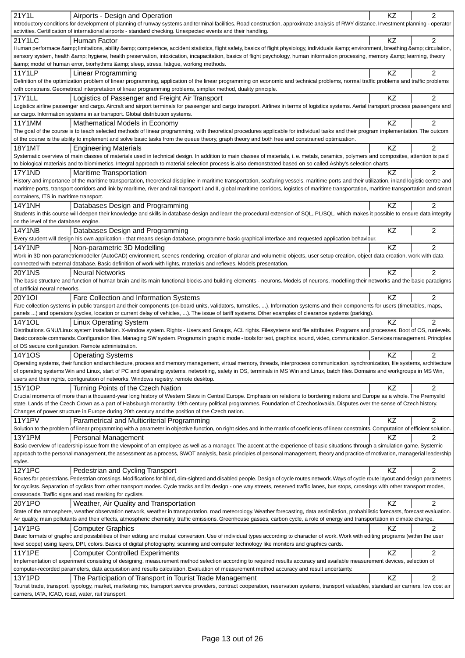| 21Y1L                                  |                                                                                                                                                                                                 |    |                |
|----------------------------------------|-------------------------------------------------------------------------------------------------------------------------------------------------------------------------------------------------|----|----------------|
|                                        | Airports - Design and Operation                                                                                                                                                                 | KZ | 2              |
|                                        | Introductory conditions for development of planning of runway systems and terminal facilities. Road construction, approximate analysis of RWY distance. Investment planning - operator          |    |                |
|                                        | activities. Certification of international airports - standard checking. Unexpected events and their handling.                                                                                  |    |                |
| 21Y1LC                                 | Human Factor                                                                                                                                                                                    | KZ | $\overline{2}$ |
|                                        | Human performace & limitations, ability & competence, accident statistics, flight safety, basics of flight physiology, individuals & environment, breathing & circulation,                      |    |                |
|                                        | sensory system, health & hygiene, health preservation, intoxication, incapacitation, basics of flight psychology, human information processing, memory & learning, theory                       |    |                |
|                                        | & model of human error, biorhythms & sleep, stress, fatigue, working methods.                                                                                                                   |    |                |
| <b>11Y1LP</b>                          | Linear Programming                                                                                                                                                                              | KZ | $\overline{2}$ |
|                                        | Definition of the optimization problem of linear programming, application of the linear programming on economic and technical problems, normal traffic problems and traffic problems            |    |                |
|                                        |                                                                                                                                                                                                 |    |                |
|                                        | with constrains. Geometrical interpretation of linear programming problems, simplex method, duality principle.                                                                                  |    |                |
| <b>17Y1LL</b>                          | Logistics of Passenger and Freight Air Transport                                                                                                                                                | KZ | $\overline{2}$ |
|                                        | Logistics airline passenger and cargo. Aircraft and airport terminals for passenger and cargo transport. Airlines in terms of logistics systems. Aerial transport process passengers and        |    |                |
|                                        | air cargo. Information systems in air transport. Global distribution systems.                                                                                                                   |    |                |
| 11Y1MM                                 | Mathematical Models in Economy                                                                                                                                                                  | KZ | 2              |
|                                        | The goal of the course is to teach selected methods of linear programming, with theoretical procedures applicable for individual tasks and their program implementation. The outcom             |    |                |
|                                        | of the course is the ability to implement and solve basic tasks from the queue theory, graph theory and both free and constrained optimization.                                                 |    |                |
| <b>18Y1MT</b>                          | <b>Engineering Materials</b>                                                                                                                                                                    | KZ | 2              |
|                                        | Systematic overview of main classes of materials used in technical design. In addition to main classes of materials, i. e. metals, ceramics, polymers and composites, attention is paid         |    |                |
|                                        | to biological materials and to biomimetics. Integral approach to material selection process is also demonstrated based on so called Ashby's selection charts.                                   |    |                |
|                                        |                                                                                                                                                                                                 |    |                |
| <b>17Y1ND</b>                          | Maritime Transportation                                                                                                                                                                         | ΚZ | $\overline{2}$ |
|                                        | History and importance of the maritime transportation, theoretical discipline in maritime transportation, seafaring vessels, maritime ports and their utilization, inland logistic centre and   |    |                |
|                                        | maritime ports, transport corridors and link by maritime, river and rail transport I and II, global maritime corridors, logistics of maritime transportation, maritime transportation and smart |    |                |
| containers, ITS in maritime transport. |                                                                                                                                                                                                 |    |                |
| 14Y1NH                                 | Databases Design and Programming                                                                                                                                                                | KZ | $\overline{2}$ |
|                                        | Students in this course will deepen their knowledge and skills in database design and learn the procedural extension of SQL, PL/SQL, which makes it possible to ensure data integrity           |    |                |
| on the level of the database engine.   |                                                                                                                                                                                                 |    |                |
| 14Y1NB                                 | Databases Design and Programming                                                                                                                                                                | KZ | 2              |
|                                        | Every student will design his own application - that means design database, programme basic graphical interface and requested application behaviour.                                            |    |                |
|                                        |                                                                                                                                                                                                 |    |                |
| 14Y1NP                                 | Non-parametric 3D Modelling                                                                                                                                                                     | KZ | $\overline{2}$ |
|                                        | Work in 3D non-parametricmodeller (AutoCAD) environment, scenes rendering, creation of planar and volumetric objects, user setup creation, object data creation, work with data                 |    |                |
|                                        | connected with external database. Basic definition of work with lights, materials and reflexes. Models presentation.                                                                            |    |                |
| <b>20Y1NS</b>                          | <b>Neural Networks</b>                                                                                                                                                                          | KZ | 2              |
|                                        | The basic structure and function of human brain and its main functional blocks and building elements - neurons. Models of neurons, modelling their networks and the basic paradigms             |    |                |
| of artificial neural networks.         |                                                                                                                                                                                                 |    |                |
| $20Y1$ OI                              | Fare Collection and Information Systems                                                                                                                                                         | KZ | $\overline{2}$ |
|                                        | Fare collection systems in public transport and their components (on-board units, validators, turnstiles, ). Information systems and their components for users (timetables, maps,              |    |                |
|                                        |                                                                                                                                                                                                 |    |                |
|                                        |                                                                                                                                                                                                 |    |                |
|                                        | panels ) and operators (cycles, location or current delay of vehicles, ). The issue of tariff systems. Other examples of clearance systems (parking).                                           |    |                |
| 14Y1OL                                 | <b>Linux Operating System</b>                                                                                                                                                                   | ΚZ | $\overline{2}$ |
|                                        | Distributions. GNU/Linux system installation. X-window system. Rights - Users and Groups, ACL rights. Filesystems and file attributes. Programs and processes. Boot of OS, runlevels.           |    |                |
|                                        | Basic console commands. Configuration files. Managing SW system. Programs in graphic mode - tools for text, graphics, sound, video, communication. Services management. Principles              |    |                |
|                                        | of OS secure configuration. Remote administration.                                                                                                                                              |    |                |
|                                        |                                                                                                                                                                                                 |    | $\overline{2}$ |
| 14Y1OS                                 | <b>Operating Systems</b>                                                                                                                                                                        | KZ |                |
|                                        | Operating systems, their function and architecture, process and memory management, virtual memory, threads, interprocess communication, synchronization, file systems, architecture             |    |                |
|                                        | of operating systems Win and Linux, start of PC and operating systems, networking, safety in OS, terminals in MS Win and Linux, batch files. Domains and workgroups in MS Win,                  |    |                |
|                                        | users and their rights, configuration of networks, Windows registry, remote desktop.                                                                                                            |    |                |
| 15Y1OP                                 | Turning Points of the Czech Nation                                                                                                                                                              | KZ | $\overline{2}$ |
|                                        | Crucial moments of more than a thousand-year long history of Western Slavs in Central Europe. Emphasis on relations to bordering nations and Europe as a whole. The Premyslid                   |    |                |
|                                        | state. Lands of the Czech Crown as a part of Habsburgh monarchy. 19th century political programmes. Foundation of Czechoslovakia. Disputes over the sense of Czech history.                     |    |                |
|                                        | Changes of power structure in Europe during 20th century and the position of the Czech nation.                                                                                                  |    |                |
| <b>11Y1PV</b>                          | Parametrical and Multicriterial Programming                                                                                                                                                     | KZ | $\overline{c}$ |
|                                        | Solution to the problem of linear programming with a parameter in objective function, on right sides and in the matrix of coeficients of linear constraints. Computation of efficient solution. |    |                |
|                                        |                                                                                                                                                                                                 |    | 2              |
| <b>13Y1PM</b>                          | Personal Management                                                                                                                                                                             | ΚZ |                |
|                                        | Basic overview of leadership issue from the viewpoint of an employee as well as a manager. The accent at the experience of basic situations through a simulation game. Systemic                 |    |                |
|                                        | approach to the personal management, the assessment as a process, SWOT analysis, basic principles of personal management, theory and practice of motivation, managerial leadership              |    |                |
| styles.                                |                                                                                                                                                                                                 |    |                |
| <b>12Y1PC</b>                          | Pedestrian and Cycling Transport                                                                                                                                                                | KZ | $\overline{c}$ |
|                                        | Routes for pedestrians. Pedestrian crossings. Modifications for blind, dim-sighted and disabled people. Design of cycle routes network. Ways of cycle route layout and design parameters        |    |                |
|                                        | for cyclists. Separation of cyclists from other transport modes. Cycle tracks and its design - one way streets, reserved traffic lanes, bus stops, crossings with other transport modes,        |    |                |
|                                        | crossroads. Traffic signs and road marking for cyclists.                                                                                                                                        |    |                |
| 20Y1PO                                 | Weather, Air Quality and Transportation                                                                                                                                                         | KZ | 2              |
|                                        | State of the atmosphere, weather observation network, weather in transportation, road meteorology. Weather forecasting, data assimilation, probabilistic forecasts, forecast evaluation.        |    |                |
|                                        | Air quality, main pollutants and their effects, atmospheric chemistry, traffic emissions. Greenhouse gasses, carbon cycle, a role of energy and transportation in climate change.               |    |                |
|                                        |                                                                                                                                                                                                 |    |                |
| 14Y1PG                                 | <b>Computer Graphics</b>                                                                                                                                                                        | ΚZ | 2              |
|                                        | Basic formats of graphic and possibilities of their editing and mutual conversion. Use of individual types according to character of work. Work with editing programs (within the user          |    |                |
|                                        | level scope) using layers, DPI, colors. Basics of digital photography, scanning and computer technology like monitors and graphics cards.                                                       |    |                |
| 11Y1PE                                 | <b>Computer Controlled Experiments</b>                                                                                                                                                          | KZ | $\overline{2}$ |
|                                        | Implementation of experiment consisting of designing, measurement method selection according to required results accuracy and available measurement devices, selection of                       |    |                |
|                                        | computer-recorded parameters, data acquisition and results calculation. Evaluation of measurement method accuracy and result uncertainty.                                                       |    |                |
| 13Y1PD                                 | The Participation of Transport in Tourist Trade Management                                                                                                                                      | KZ | 2              |
|                                        | Tourist trade, transport, typology, market, marketing mix, transport service providers, contract cooperation, reservation systems, transport valuables, standard air carriers, low cost air     |    |                |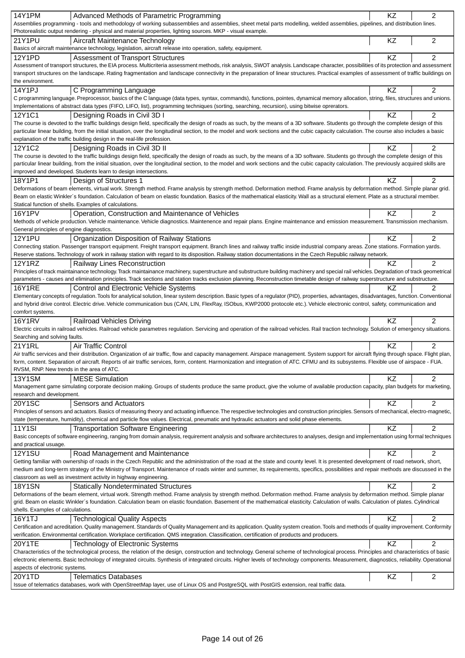| <b>14Y1PM</b><br>Advanced Methods of Parametric Programming                                                                                                                                                                                                | KZ        | $\overline{2}$ |
|------------------------------------------------------------------------------------------------------------------------------------------------------------------------------------------------------------------------------------------------------------|-----------|----------------|
| Assemblies programming - tools and methodology of working subassemblies and assemblies, sheet metal parts modelling, welded assemblies, pipelines, and distribution lines.                                                                                 |           |                |
| Photorealistic output rendering - physical and material properties, lighting sources. MKP - visual example.                                                                                                                                                |           |                |
| <b>21Y1PU</b><br>Aircraft Maintenance Technology                                                                                                                                                                                                           | KZ        | $\overline{c}$ |
| Basics of aircraft maintenance technology, legislation, aircraft release into operation, safety, equipment.                                                                                                                                                |           |                |
| <b>12Y1PD</b><br><b>Assessment of Transport Structures</b>                                                                                                                                                                                                 | KZ        | 2              |
| Assessment of transport structures, the EIA process. Multicriteria assessment methods, risk analysis, SWOT analysis. Landscape character, possibilities of its protection and assessment                                                                   |           |                |
| transport structures on the landscape. Rating fragmentation and landscape connectivity in the preparation of linear structures. Practical examples of assessment of traffic buildings on                                                                   |           |                |
| the environment.                                                                                                                                                                                                                                           |           |                |
| 14Y1PJ<br>C Programming Language<br>C programming language. Preprocessor, basics of the C language (data types, syntax, commands), functions, pointes, dynamical memory allocation, string, files, structures and unions.                                  | KZ        | $\overline{2}$ |
| Implementations of abstract data types (FIFO, LIFO, list), programming techniques (sorting, searching, recursion), using bitwise oprerators.                                                                                                               |           |                |
| 12Y1C1<br>Designing Roads in Civil 3D I                                                                                                                                                                                                                    | KZ        | 2              |
| The course is devoted to the traffic buildings design field, specifically the design of roads as such, by the means of a 3D software. Students go through the complete design of this                                                                      |           |                |
| particular linear building, from the initial situation, over the longitudinal section, to the model and work sections and the cubic capacity calculation. The course also includes a basic                                                                 |           |                |
| explanation of the traffic building design in the real-life profession.                                                                                                                                                                                    |           |                |
| 12Y1C2<br>Designing Roads in Civil 3D II                                                                                                                                                                                                                   | KZ        | 2              |
| The course is devoted to the traffic buildings design field, specifically the design of roads as such, by the means of a 3D software. Students go through the complete design of this                                                                      |           |                |
| particular linear building, from the initial situation, over the longitudinal section, to the model and work sections and the cubic capacity calculation. The previously acquired skills are                                                               |           |                |
| improved and developed. Students learn to design intersections.                                                                                                                                                                                            |           |                |
| 18Y1P1<br>Design of Structures 1                                                                                                                                                                                                                           | <b>KZ</b> | 2              |
| Deformations of beam elements, virtual work. Strength method. Frame analysis by strength method. Deformation method. Frame analysis by deformation method. Simple planar grid.                                                                             |           |                |
| Beam on elastic Winkler's foundation. Calculation of beam on elastic foundation. Basics of the mathematical elasticity. Wall as a structural element. Plate as a structural member.                                                                        |           |                |
| Statical function of shells. Examples of calculations.                                                                                                                                                                                                     |           |                |
| <b>16Y1PV</b><br>Operation, Construction and Maintenance of Vehicles<br>Methods of vehicle production. Vehicle maintenance. Vehicle diagnostics. Maintenence and repair plans. Engine maintenance and emission measurement. Transmission mechanism.        | KZ        | 2              |
| General principles of engine diagnostics.                                                                                                                                                                                                                  |           |                |
| <b>12Y1PU</b><br>Organization Disposition of Railway Stations                                                                                                                                                                                              | KZ        | $\overline{2}$ |
| Connecting station. Passenger transport equipment. Freight transport equipment. Branch lines and railway traffic inside industrial company areas. Zone stations. Formation yards.                                                                          |           |                |
| Reserve stations. Technology of work in railway station with regard to its disposition. Railway station documentations in the Czech Republic railway network.                                                                                              |           |                |
| 12Y1RZ<br>Railway Lines Reconstruction                                                                                                                                                                                                                     | KZ        | $\overline{2}$ |
| Principles of track maintainance technology. Track maintainance machinery, superstructure and substructure building machinery and special rail vehicles. Degradation of track geometrical                                                                  |           |                |
| parameters - causes and elimination principles. Track sections and station tracks exclusion planning. Reconstruction timetable design of railway superstructure and substructure.                                                                          |           |                |
| <b>16Y1RE</b><br>Control and Electronic Vehicle Systems                                                                                                                                                                                                    | ΚZ        | 2              |
| Elementary concepts of regulation. Tools for analytical solution, linear system description. Basic types of a regulator (PID), properties, advantages, disadvantages, function. Conventional                                                               |           |                |
| and hybrid drive control. Electric drive. Vehicle communication bus (CAN, LIN, FlexRay, ISObus, KWP2000 protocole etc.). Vehicle electronic control, safety, communication and                                                                             |           |                |
| comfort systems.                                                                                                                                                                                                                                           |           |                |
| <b>16Y1RV</b><br><b>Railroad Vehicles Driving</b>                                                                                                                                                                                                          | KZ        | $\overline{2}$ |
| Electric circuits in railroad vehicles. Railroad vehicle parametres regulation. Servicing and operation of the railroad vehicles. Rail traction technology. Solution of emergency situations.                                                              |           |                |
| Searching and solving faults.                                                                                                                                                                                                                              |           |                |
| 21Y1RL<br>Air Traffic Control<br>Air traffic services and their distribution. Organization of air traffic, flow and capacity management. Airspace management. System support for aircraft flying through space. Flight plan,                               | KZ        | $\overline{2}$ |
| form, content. Separation of aircraft. Reports of air traffic services, form, content. Harmonization and integration of ATC. CFMU and its subsystems. Flexible use of airspace - FUA.                                                                      |           |                |
| RVSM, RNP. New trends in the area of ATC.                                                                                                                                                                                                                  |           |                |
| <b>MESE Simulation</b><br><b>13Y1SM</b>                                                                                                                                                                                                                    | KZ        | 2              |
| Management game simulating corporate decision making. Groups of students produce the same product, give the volume of available production capacity, plan budgets for marketing,                                                                           |           |                |
| research and development.                                                                                                                                                                                                                                  |           |                |
| <b>20Y1SC</b><br>Sensors and Actuators                                                                                                                                                                                                                     | KZ        | $\overline{c}$ |
| Principles of sensors and actuators. Basics of measuring theory and actuating influence. The respective technologies and construction principles. Sensors of mechanical, electro-magnetic,                                                                 |           |                |
| state (temperature, humidity), chemical and particle flow values. Electrical, pneumatic and hydraulic actuators and solid phase elements.                                                                                                                  |           |                |
| 11Y1SI<br><b>Transportation Software Engineering</b>                                                                                                                                                                                                       | KZ        | $\overline{c}$ |
| Basic concepts of software engineering, ranging from domain analysis, requirement analysis and software architectures to analyses, design and implementation using formal techniques                                                                       |           |                |
| and practical usuage.                                                                                                                                                                                                                                      |           |                |
| <b>12Y1SU</b><br>Road Management and Maintenance                                                                                                                                                                                                           | KZ        | 2              |
| Getting familiar with ownership of roads in the Czech Republic and the administration of the road at the state and county level. It is presented development of road network, short,                                                                       |           |                |
| medium and long-term strategy of the Ministry of Transport. Maintenance of roads winter and summer, its requirements, specifics, possibilities and repair methods are discussed in the<br>classroom as well as investment activity in highway engineering. |           |                |
| <b>18Y1SN</b><br><b>Statically Nondeterminated Structures</b>                                                                                                                                                                                              | KZ        | $\overline{c}$ |
| Deformations of the beam element, virtual work. Strength method. Frame analysis by strength method. Deformation method. Frame analysis by deformation method. Simple planar                                                                                |           |                |
| grid. Beam on elastic Winkler's foundation. Calculation beam on elastic foundation. Basement of the mathematical elasticity. Calculation of walls. Calculation of plates. Cylindrical                                                                      |           |                |
| shells. Examples of calculations.                                                                                                                                                                                                                          |           |                |
| 16Y1TJ<br><b>Technological Quality Aspects</b>                                                                                                                                                                                                             | <b>KZ</b> | $\overline{2}$ |
| Certification and acreditation. Quality management. Standards of Quality Management and its application. Quality system creation. Tools and methods of quality improvement. Conformity                                                                     |           |                |
| verification. Environmental certification. Workplace certification. QMS integration. Classification, certification of products and producers.                                                                                                              |           |                |
| 20Y1TE<br>Technology of Electronic Systems                                                                                                                                                                                                                 | KZ        | $\overline{c}$ |
| Characteristics of the technological process, the relation of the design, construction and technology. General scheme of technological process. Principles and characteristics of basic                                                                    |           |                |
| electronic elements. Basic technology of integrated circuits. Synthesis of integrated circuits. Higher levels of technology components. Measurement, diagnostics, reliability. Operational                                                                 |           |                |
| aspects of electronic systems.                                                                                                                                                                                                                             |           |                |
| 20Y1TD<br><b>Telematics Databases</b>                                                                                                                                                                                                                      | KZ        | 2              |
| Issue of telematics databases, work with OpenStreetMap layer, use of Linux OS and PostgreSQL with PostGIS extension, real traffic data.                                                                                                                    |           |                |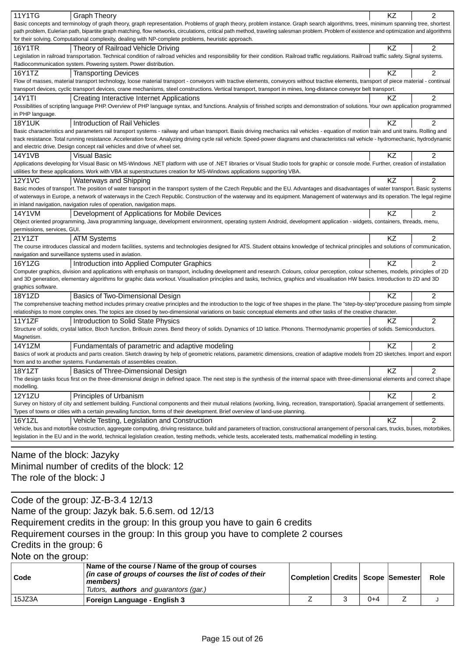| 11Y1TG                      | <b>Graph Theory</b>                                                                                                                                                                             | ΚZ        | 2              |
|-----------------------------|-------------------------------------------------------------------------------------------------------------------------------------------------------------------------------------------------|-----------|----------------|
|                             | Basic concepts and terminology of graph theory, graph representation. Problems of graph theory, problem instance. Graph search algorithms, trees, minimum spanning tree, shortest               |           |                |
|                             | path problem, Eulerian path, bipartite graph matching, flow networks, circulations, critical path method, traveling salesman problem. Problem of existence and optimization and algorithms      |           |                |
|                             | for their solving. Computational complexity, dealing with NP-complete problems, heuristic approach.                                                                                             |           |                |
| 16Y1TR                      | Theory of Railroad Vehicle Driving                                                                                                                                                              | KZ        | $\overline{2}$ |
|                             | Legislation in railroad transportation. Technical condition of railroad vehicles and responsibility for their condition. Railroad traffic regulations. Railroad traffic safety. Signal systems. |           |                |
|                             | Radiocommunication system. Powering system. Power distribution.                                                                                                                                 |           |                |
| 16Y1TZ                      | <b>Transporting Devices</b>                                                                                                                                                                     | KZ        | 2              |
|                             | Flow of masses, material transport technology, loose material transport - conveyors with tractive elements, conveyors without tractive elements, transport of piece material - continual        |           |                |
|                             | transport devices, cyclic transport devices, crane mechanisms, steel constructions. Vertical transport, transport in mines, long-distance conveyor belt transport.                              |           |                |
| 14Y1TI                      | Creating Interactive Internet Applications                                                                                                                                                      | KZ        | $\overline{c}$ |
|                             | Possibilities of scripting language PHP. Overview of PHP language syntax, and functions. Analysis of finished scripts and demonstration of solutions. Your own application programmed           |           |                |
| in PHP language.            |                                                                                                                                                                                                 |           |                |
| <b>18Y1UK</b>               | Introduction of Rail Vehicles                                                                                                                                                                   | KZ        | $\overline{2}$ |
|                             | Basic characteristics and parameters rail transport systems - railway and urban transport. Basis driving mechanics rail vehicles - equation of motion train and unit trains. Rolling and        |           |                |
|                             | track resistance. Total running resistance. Acceleration force. Analyzing driving cycle rail vehicle. Speed-power diagrams and characteristics rail vehicle - hydromechanic, hydrodynamic       |           |                |
|                             | and electric drive. Design concept rail vehicles and drive of wheel set.                                                                                                                        |           |                |
| <b>14Y1VB</b>               | <b>Visual Basic</b>                                                                                                                                                                             | ΚZ        | $\overline{2}$ |
|                             | Applications developing for Visual Basic on MS-Windows .NET platform with use of .NET libraries or Visual Studio tools for graphic or console mode. Further, creation of installation           |           |                |
|                             | utilities for these applications. Work with VBA at superstructures creation for MS-Windows applications supporting VBA.                                                                         |           |                |
| 12Y1VC                      | Waterways and Shipping                                                                                                                                                                          | KZ        | $\overline{2}$ |
|                             | Basic modes of transport. The position of water transport in the transport system of the Czech Republic and the EU. Advantages and disadvantages of water transport. Basic systems              |           |                |
|                             | of waterways in Europe, a network of waterways in the Czech Republic. Construction of the waterway and its equipment. Management of waterways and its operation. The legal regime               |           |                |
|                             | in inland navigation, navigation rules of operation, navigation maps.                                                                                                                           |           |                |
| 14Y1VM                      | Development of Applications for Mobile Devices                                                                                                                                                  | KZ        | 2              |
|                             | Object oriented programming, Java programming language, development environment, operating system Android, development application - widgets, containers, threads, menu,                        |           |                |
| permissions, services, GUI. |                                                                                                                                                                                                 |           |                |
| 21Y1ZT                      | <b>ATM Systems</b>                                                                                                                                                                              | ΚZ        | $\overline{c}$ |
|                             | The course introduces classical and modern facilities, systems and technologies designed for ATS. Student obtains knowledge of technical principles and solutions of communication,             |           |                |
|                             | navigation and surveillance systems used in aviation.                                                                                                                                           |           |                |
| 16Y1ZG                      | Introduction into Applied Computer Graphics                                                                                                                                                     | <b>KZ</b> | $\overline{2}$ |
|                             | Computer graphics, division and applications with emphasis on transport, including development and research. Colours, colour perception, colour schemes, models, principles of 2D               |           |                |
|                             | and 3D generation, elementary algorithms for graphic data workout. Visualisation principles and tasks, technics, graphics and visualisation HW basics. Introduction to 2D and 3D                |           |                |
| graphics software.          |                                                                                                                                                                                                 |           |                |
| 18Y1ZD                      | Basics of Two-Dimensional Design                                                                                                                                                                | KZ        | 2              |
|                             | The comprehensive teaching method includes primary creative principles and the introduction to the logic of free shapes in the plane. The "step-by-step"procedure passing from simple           |           |                |
|                             | relatioships to more complex ones. The topics are closed by two-dimensional variations on basic conceptual elements and other tasks of the creative character.                                  |           |                |
| 11Y1ZF                      | Introduction to Solid State Physics                                                                                                                                                             | ΚZ        | 2              |
|                             | Structure of solids, crystal lattice, Bloch function, Brillouin zones. Bend theory of solids. Dynamics of 1D lattice. Phonons. Thermodynamic properties of solids. Semiconductors.              |           |                |
| Magnetism.                  |                                                                                                                                                                                                 |           |                |
| 14Y1ZM                      | Fundamentals of parametric and adaptive modeling                                                                                                                                                | <b>KZ</b> | $\overline{2}$ |
|                             | Basics of work at products and parts creation. Sketch drawing by help of geometric relations, parametric dimensions, creation of adaptive models from 2D sketches. Import and export            |           |                |
|                             | from and to another systems. Fundamentals of assemblies creation.                                                                                                                               |           |                |
| 18Y1ZT                      | Basics of Three-Dimensional Design                                                                                                                                                              | KZ        | 2              |
|                             | The design tasks focus first on the three-dimensional design in defined space. The next step is the synthesis of the internal space with three-dimensional elements and correct shape           |           |                |
| modelling.                  |                                                                                                                                                                                                 |           |                |
| <b>12Y1ZU</b>               | Principles of Urbanism                                                                                                                                                                          | KZ        | 2              |
|                             | Survey on history of city and settlement building. Functional components and their mutual relations (working, living, recreation, transportation). Spacial arrangement of settlements.          |           |                |
|                             | Types of towns or cities with a certain prevailing function, forms of their development. Brief overview of land-use planning.                                                                   |           |                |
| 16Y1ZL                      | Vehicle Testing, Legislation and Construction                                                                                                                                                   | ΚZ        | 2              |
|                             | Vehicle, bus and motorbike costruction, aggregate computing, driving resistance, build and parameters of traction, constructional arrangement of personal cars, trucks, buses, motorbikes,      |           |                |
|                             | legislation in the EU and in the world, technical legislation creation, testing methods, vehicle tests, accelerated tests, mathematical modelling in testing.                                   |           |                |
|                             |                                                                                                                                                                                                 |           |                |

Name of the block: Jazyky Minimal number of credits of the block: 12 The role of the block: J

Code of the group: JZ-B-3.4 12/13

Name of the group: Jazyk bak. 5.6.sem. od 12/13

Requirement credits in the group: In this group you have to gain 6 credits

## Requirement courses in the group: In this group you have to complete 2 courses

Credits in the group: 6

Note on the group:

| Code   | Name of the course / Name of the group of courses<br>(in case of groups of courses the list of codes of their<br>members)<br>Tutors, <b>authors</b> and guarantors (gar.) | Completion Credits   Scope   Semester |     | Role |
|--------|---------------------------------------------------------------------------------------------------------------------------------------------------------------------------|---------------------------------------|-----|------|
| 15JZ3A | Foreign Language - English 3                                                                                                                                              |                                       | 0+4 |      |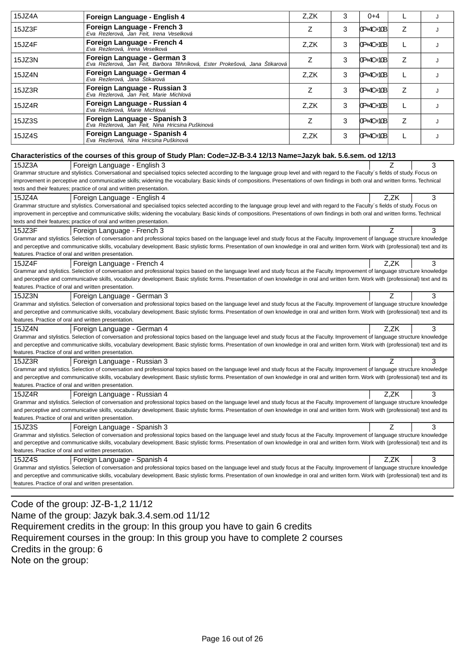| 15JZ4A                                               | Foreign Language - English 4                                                                                                                                                          | Z,ZK | 3 | $0 + 4$   | L    | J |
|------------------------------------------------------|---------------------------------------------------------------------------------------------------------------------------------------------------------------------------------------|------|---|-----------|------|---|
| 15JZ3F                                               | Foreign Language - French 3<br>Eva Rezlerová, Jan Feit, Irena Veselková                                                                                                               | Z    | 3 | 0P+4C+10B | Z    | J |
| 15JZ4F                                               | Foreign Language - French 4<br>Eva Rezlerová, Irena Veselková                                                                                                                         | Z,ZK | 3 | 0P+4C+10B | L    | J |
| 15JZ3N                                               | Foreign Language - German 3<br>Eva Rezlerová, Jan Feit, Barbora T hníková, Ester Prokešová, Jana Štikarová                                                                            | Z    | 3 | 0P+4C+10B | Ζ    | J |
| 15JZ4N                                               | Foreign Language - German 4<br>Eva Rezlerová, Jana Stikarová                                                                                                                          | Z,ZK | 3 | 0P+4C+10B | L    | J |
| 15JZ3R                                               | Foreign Language - Russian 3<br>Eva Rezlerová, Jan Feit, Marie Michlová                                                                                                               | Z    | 3 | 0P+4C+10B | Z    | J |
| 15JZ4R                                               | Foreign Language - Russian 4<br>Eva Rezlerová, Marie Michlová                                                                                                                         | Z,ZK | 3 | 0P+4C+10B | L    | J |
| 15JZ3S                                               | Foreign Language - Spanish 3<br>Eva Rezlerová, Jan Feit, Nina Hricsina Puškinová                                                                                                      | Z    | 3 | 0P+4C+10B | Ζ    | J |
| 15JZ4S                                               | Foreign Language - Spanish 4<br>Eva Rezlerová, Nina Hricsina Puškinová                                                                                                                | Z,ZK | 3 | 0P+4C+10B | L    | J |
|                                                      | Characteristics of the courses of this group of Study Plan: Code=JZ-B-3.4 12/13 Name=Jazyk bak. 5.6.sem. od 12/13                                                                     |      |   |           |      |   |
| 15JZ3A                                               | Foreign Language - English 3                                                                                                                                                          |      |   |           | Z    | 3 |
|                                                      | Grammar structure and stylistics. Conversational and specialised topics selected according to the language group level and with regard to the Faculty's fields of study. Focus on     |      |   |           |      |   |
|                                                      | improvement in perceptive and communicative skills; widening the vocabulary. Basic kinds of compositions. Presentations of own findings in both oral and written forms. Technical     |      |   |           |      |   |
|                                                      | texts and their features; practice of oral and written presentation.                                                                                                                  |      |   |           |      |   |
| 15JZ4A                                               |                                                                                                                                                                                       |      |   |           | Z.ZK | 3 |
|                                                      | Foreign Language - English 4                                                                                                                                                          |      |   |           |      |   |
|                                                      | Grammar structure and stylistics. Conversational and specialised topics selected according to the language group level and with regard to the Faculty's fields of study. Focus on     |      |   |           |      |   |
|                                                      | improvement in perceptive and communicative skills; widening the vocabulary. Basic kinds of compositions. Presentations of own findings in both oral and written forms. Technical     |      |   |           |      |   |
|                                                      | texts and their features; practice of oral and written presentation.                                                                                                                  |      |   |           |      |   |
| 15JZ3F                                               | Foreign Language - French 3                                                                                                                                                           |      |   |           | Z    | 3 |
|                                                      | Grammar and stylistics. Selection of conversation and professional topics based on the language level and study focus at the Faculty. Improvement of language structure knowledge     |      |   |           |      |   |
|                                                      | and perceptive and communicative skills, vocabulary development. Basic stylistic forms. Presentation of own knowledge in oral and written form. Work with (professional) text and its |      |   |           |      |   |
| features. Practice of oral and written presentation. |                                                                                                                                                                                       |      |   |           |      |   |
| 15JZ4F                                               | Foreign Language - French 4                                                                                                                                                           |      |   |           | Z,ZK | 3 |
|                                                      | Grammar and stylistics. Selection of conversation and professional topics based on the language level and study focus at the Faculty. Improvement of language structure knowledge     |      |   |           |      |   |
|                                                      | and perceptive and communicative skills, vocabulary development. Basic stylistic forms. Presentation of own knowledge in oral and written form. Work with (professional) text and its |      |   |           |      |   |
| features. Practice of oral and written presentation. |                                                                                                                                                                                       |      |   |           |      |   |
| 15JZ3N                                               | Foreign Language - German 3                                                                                                                                                           |      |   |           | Z    | 3 |
|                                                      | Grammar and stylistics. Selection of conversation and professional topics based on the language level and study focus at the Faculty. Improvement of language structure knowledge     |      |   |           |      |   |
|                                                      | and perceptive and communicative skills, vocabulary development. Basic stylistic forms. Presentation of own knowledge in oral and written form. Work with (professional) text and its |      |   |           |      |   |
| features. Practice of oral and written presentation. |                                                                                                                                                                                       |      |   |           |      |   |
| 15JZ4N                                               | Foreign Language - German 4                                                                                                                                                           |      |   |           | Z,ZK | 3 |
|                                                      | Grammar and stylistics. Selection of conversation and professional topics based on the language level and study focus at the Faculty. Improvement of language structure knowledge     |      |   |           |      |   |
|                                                      | and perceptive and communicative skills, vocabulary development. Basic stylistic forms. Presentation of own knowledge in oral and written form. Work with (professional) text and its |      |   |           |      |   |
| features. Practice of oral and written presentation. |                                                                                                                                                                                       |      |   |           |      |   |
| 15JZ3R                                               |                                                                                                                                                                                       |      |   |           |      |   |
|                                                      |                                                                                                                                                                                       |      |   |           |      |   |
|                                                      | Foreign Language - Russian 3                                                                                                                                                          |      |   |           | Ζ    | 3 |
|                                                      | Grammar and stylistics. Selection of conversation and professional topics based on the language level and study focus at the Faculty. Improvement of language structure knowledge     |      |   |           |      |   |
|                                                      | and perceptive and communicative skills, vocabulary development. Basic stylistic forms. Presentation of own knowledge in oral and written form. Work with (professional) text and its |      |   |           |      |   |
| features. Practice of oral and written presentation. |                                                                                                                                                                                       |      |   |           |      |   |
| 15JZ4R                                               | Foreign Language - Russian 4                                                                                                                                                          |      |   |           | Z,ZK | 3 |
|                                                      | Grammar and stylistics. Selection of conversation and professional topics based on the language level and study focus at the Faculty. Improvement of language structure knowledge     |      |   |           |      |   |
|                                                      | and perceptive and communicative skills, vocabulary development. Basic stylistic forms. Presentation of own knowledge in oral and written form. Work with (professional) text and its |      |   |           |      |   |
| features. Practice of oral and written presentation. |                                                                                                                                                                                       |      |   |           |      |   |
| 15JZ3S                                               | Foreign Language - Spanish 3                                                                                                                                                          |      |   |           | Ζ    | 3 |
|                                                      | Grammar and stylistics. Selection of conversation and professional topics based on the language level and study focus at the Faculty. Improvement of language structure knowledge     |      |   |           |      |   |
|                                                      | and perceptive and communicative skills, vocabulary development. Basic stylistic forms. Presentation of own knowledge in oral and written form. Work with (professional) text and its |      |   |           |      |   |
| features. Practice of oral and written presentation. |                                                                                                                                                                                       |      |   |           |      |   |
| 15JZ4S                                               | Foreign Language - Spanish 4                                                                                                                                                          |      |   |           | Z,ZK | 3 |
|                                                      | Grammar and stylistics. Selection of conversation and professional topics based on the language level and study focus at the Faculty. Improvement of language structure knowledge     |      |   |           |      |   |
|                                                      | and perceptive and communicative skills, vocabulary development. Basic stylistic forms. Presentation of own knowledge in oral and written form. Work with (professional) text and its |      |   |           |      |   |
| features. Practice of oral and written presentation. |                                                                                                                                                                                       |      |   |           |      |   |
|                                                      |                                                                                                                                                                                       |      |   |           |      |   |

Code of the group: JZ-B-1,2 11/12 Name of the group: Jazyk bak.3.4.sem.od 11/12 Requirement credits in the group: In this group you have to gain 6 credits Requirement courses in the group: In this group you have to complete 2 courses Credits in the group: 6 Note on the group: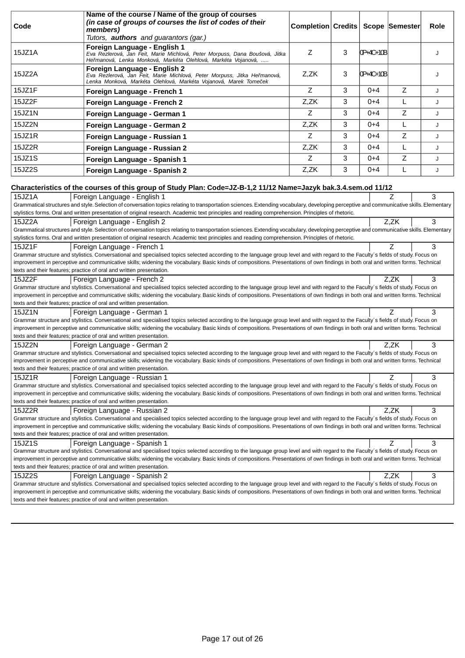|        | Name of the course / Name of the group of courses                                                                                                                                                                                                                                                                                                                      |                                   |   |           |      |      |
|--------|------------------------------------------------------------------------------------------------------------------------------------------------------------------------------------------------------------------------------------------------------------------------------------------------------------------------------------------------------------------------|-----------------------------------|---|-----------|------|------|
| Code   | (in case of groups of courses the list of codes of their<br>members)                                                                                                                                                                                                                                                                                                   | Completion Credits Scope Semester |   |           |      | Role |
|        | Tutors, <b>authors</b> and guarantors (gar.)                                                                                                                                                                                                                                                                                                                           |                                   |   |           |      |      |
| 15JZ1A | Foreign Language - English 1<br>Eva Rezlerová, Jan Feit, Marie Michlová, Peter Morpuss, Dana Boušová, Jitka<br>He manová, Lenka Monková, Markéta Olehlová, Markéta Vojanová,                                                                                                                                                                                           | Z                                 | 3 | 0P+4C+10B |      | J    |
| 15JZ2A | Foreign Language - English 2<br>Eva Rezlerová, Jan Feit, Marie Michlová, Peter Morpuss, Jitka He manová,<br>Lenka Monková, Markéta Olehlová, Markéta Vojanová, Marek Tome ek                                                                                                                                                                                           | Z,ZK                              | 3 | 0P+4C+10B |      | J    |
| 15JZ1F | Foreign Language - French 1                                                                                                                                                                                                                                                                                                                                            | Z                                 | 3 | $0 + 4$   | Z    | J    |
| 15JZ2F | Foreign Language - French 2                                                                                                                                                                                                                                                                                                                                            | Z,ZK                              | 3 | $0 + 4$   | L    | J    |
| 15JZ1N | Foreign Language - German 1                                                                                                                                                                                                                                                                                                                                            | Z                                 | 3 | $0 + 4$   | Z    | J    |
| 15JZ2N | Foreign Language - German 2                                                                                                                                                                                                                                                                                                                                            | Z,ZK                              | 3 | $0 + 4$   | L    | J    |
| 15JZ1R | Foreign Language - Russian 1                                                                                                                                                                                                                                                                                                                                           | Z                                 | 3 | $0 + 4$   | Z    | J    |
| 15JZ2R | Foreign Language - Russian 2                                                                                                                                                                                                                                                                                                                                           | Z,ZK                              | 3 | $0+4$     | L    | J    |
| 15JZ1S | Foreign Language - Spanish 1                                                                                                                                                                                                                                                                                                                                           | Z                                 | 3 | $0+4$     | Z    | J    |
| 15JZ2S | Foreign Language - Spanish 2                                                                                                                                                                                                                                                                                                                                           | Z,ZK                              | 3 | $0 + 4$   | L    | J    |
|        | Characteristics of the courses of this group of Study Plan: Code=JZ-B-1,2 11/12 Name=Jazyk bak.3.4.sem.od 11/12                                                                                                                                                                                                                                                        |                                   |   |           |      |      |
| 15JZ1A | Foreign Language - English 1                                                                                                                                                                                                                                                                                                                                           |                                   |   |           | Z    | 3    |
|        | Grammatical structures and style. Selection of conversation topics relating to transportation sciences. Extending vocabulary, developing perceptive and communicative skills. Elementary                                                                                                                                                                               |                                   |   |           |      |      |
|        | stylistics forms. Oral and written presentation of original research. Academic text principles and reading comprehension. Principles of rhetoric.                                                                                                                                                                                                                      |                                   |   |           |      |      |
| 15JZ2A | Foreign Language - English 2                                                                                                                                                                                                                                                                                                                                           |                                   |   |           | Z,ZK | 3    |
|        | Grammatical structures and style. Selection of conversation topics relating to transportation sciences. Extending vocabulary, developing perceptive and communicative skills. Elementary                                                                                                                                                                               |                                   |   |           |      |      |
|        | stylistics forms. Oral and written presentation of original research. Academic text principles and reading comprehension. Principles of rhetoric.                                                                                                                                                                                                                      |                                   |   |           |      |      |
| 15JZ1F | Foreign Language - French 1                                                                                                                                                                                                                                                                                                                                            |                                   |   |           | 7    | 3    |
|        | Grammar structure and stylistics. Conversational and specialised topics selected according to the language group level and with regard to the Faculty's fields of study. Focus on<br>improvement in perceptive and communicative skills; widening the vocabulary. Basic kinds of compositions. Presentations of own findings in both oral and written forms. Technical |                                   |   |           |      |      |
|        | texts and their features; practice of oral and written presentation.                                                                                                                                                                                                                                                                                                   |                                   |   |           |      |      |
| 15JZ2F | Foreign Language - French 2                                                                                                                                                                                                                                                                                                                                            |                                   |   |           | Z,ZK | 3    |
|        | Grammar structure and stylistics. Conversational and specialised topics selected according to the language group level and with regard to the Faculty's fields of study. Focus on                                                                                                                                                                                      |                                   |   |           |      |      |
|        | improvement in perceptive and communicative skills; widening the vocabulary. Basic kinds of compositions. Presentations of own findings in both oral and written forms. Technical                                                                                                                                                                                      |                                   |   |           |      |      |
|        | texts and their features; practice of oral and written presentation.                                                                                                                                                                                                                                                                                                   |                                   |   |           |      |      |
| 15JZ1N | Foreign Language - German 1<br>Grammar structure and stylistics. Conversational and specialised topics selected according to the language group level and with regard to the Faculty's fields of study. Focus on                                                                                                                                                       |                                   |   |           | 7    | 3    |
|        | improvement in perceptive and communicative skills; widening the vocabulary. Basic kinds of compositions. Presentations of own findings in both oral and written forms. Technical                                                                                                                                                                                      |                                   |   |           |      |      |
|        | texts and their features; practice of oral and written presentation.                                                                                                                                                                                                                                                                                                   |                                   |   |           |      |      |
| 15JZ2N | Foreign Language - German 2                                                                                                                                                                                                                                                                                                                                            |                                   |   |           | Z,ZK | 3    |
|        | Grammar structure and stylistics. Conversational and specialised topics selected according to the language group level and with regard to the Faculty's fields of study. Focus on                                                                                                                                                                                      |                                   |   |           |      |      |
|        | improvement in perceptive and communicative skills; widening the vocabulary. Basic kinds of compositions. Presentations of own findings in both oral and written forms. Technical<br>texts and their features; practice of oral and written presentation.                                                                                                              |                                   |   |           |      |      |
| 15JZ1R | Foreign Language - Russian 1                                                                                                                                                                                                                                                                                                                                           |                                   |   |           | Ζ    | 3    |
|        | Grammar structure and stylistics. Conversational and specialised topics selected according to the language group level and with regard to the Faculty's fields of study. Focus on                                                                                                                                                                                      |                                   |   |           |      |      |
|        | improvement in perceptive and communicative skills; widening the vocabulary. Basic kinds of compositions. Presentations of own findings in both oral and written forms. Technical                                                                                                                                                                                      |                                   |   |           |      |      |
|        | texts and their features; practice of oral and written presentation.                                                                                                                                                                                                                                                                                                   |                                   |   |           |      |      |
| 15JZ2R | Foreign Language - Russian 2                                                                                                                                                                                                                                                                                                                                           |                                   |   |           | Z.ZK | 3    |
|        | Grammar structure and stylistics. Conversational and specialised topics selected according to the language group level and with regard to the Faculty's fields of study. Focus on                                                                                                                                                                                      |                                   |   |           |      |      |
|        | improvement in perceptive and communicative skills; widening the vocabulary. Basic kinds of compositions. Presentations of own findings in both oral and written forms. Technical<br>texts and their features; practice of oral and written presentation.                                                                                                              |                                   |   |           |      |      |
| 15JZ1S | Foreign Language - Spanish 1                                                                                                                                                                                                                                                                                                                                           |                                   |   |           | Ζ    | 3    |
|        | Grammar structure and stylistics. Conversational and specialised topics selected according to the language group level and with regard to the Faculty's fields of study. Focus on                                                                                                                                                                                      |                                   |   |           |      |      |
|        | improvement in perceptive and communicative skills; widening the vocabulary. Basic kinds of compositions. Presentations of own findings in both oral and written forms. Technical<br>texts and their features; practice of oral and written presentation.                                                                                                              |                                   |   |           |      |      |
| 15JZ2S | Foreign Language - Spanish 2                                                                                                                                                                                                                                                                                                                                           |                                   |   |           | Z,ZK | 3    |
|        | Grammar structure and stylistics. Conversational and specialised topics selected according to the language group level and with regard to the Faculty's fields of study. Focus on                                                                                                                                                                                      |                                   |   |           |      |      |
|        | improvement in perceptive and communicative skills; widening the vocabulary. Basic kinds of compositions. Presentations of own findings in both oral and written forms. Technical                                                                                                                                                                                      |                                   |   |           |      |      |
|        | texts and their features; practice of oral and written presentation.                                                                                                                                                                                                                                                                                                   |                                   |   |           |      |      |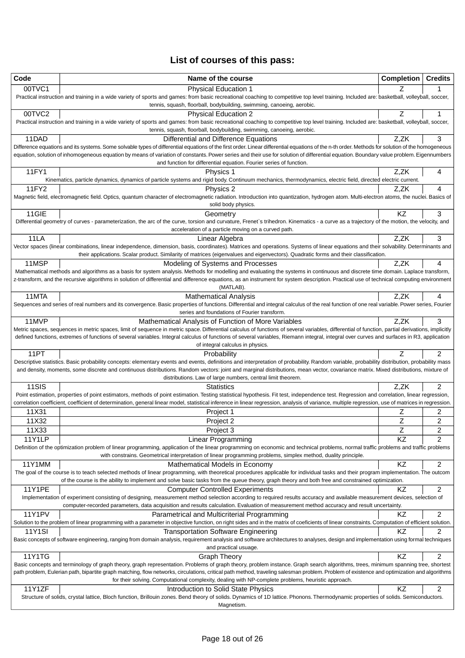# **List of courses of this pass:**

| Code                   | Name of the course                                                                                                                                                                                                                                                                                                                                                                             | <b>Completion</b> | <b>Credits</b>          |
|------------------------|------------------------------------------------------------------------------------------------------------------------------------------------------------------------------------------------------------------------------------------------------------------------------------------------------------------------------------------------------------------------------------------------|-------------------|-------------------------|
| 00TVC1                 | <b>Physical Education 1</b>                                                                                                                                                                                                                                                                                                                                                                    |                   | 1                       |
|                        | Practical instruction and training in a wide variety of sports and games: from basic recreational coaching to competitive top level training. Included are: basketball, volleyball, soccer,<br>tennis, squash, floorball, bodybuilding, swimming, canoeing, aerobic.                                                                                                                           |                   |                         |
| 00TVC2                 | <b>Physical Education 2</b>                                                                                                                                                                                                                                                                                                                                                                    | Ζ                 | 1                       |
|                        | Practical instruction and training in a wide variety of sports and games: from basic recreational coaching to competitive top level training. Included are: basketball, volleyball, soccer,                                                                                                                                                                                                    |                   |                         |
|                        | tennis, squash, floorball, bodybuilding, swimming, canoeing, aerobic.                                                                                                                                                                                                                                                                                                                          |                   |                         |
| 11DAD                  | Differential and Difference Equations                                                                                                                                                                                                                                                                                                                                                          | Z,ZK              | 3                       |
|                        | Difference equations and its systems. Some solvable types of differential equations of the first order. Linear differential equations of the n-th order. Methods for solution of the homogeneous<br>equation, solution of inhomogeneous equation by means of variation of constants. Power series and their use for solution of differential equation. Boundary value problem. Eigennumbers    |                   |                         |
|                        | and function for differential equation. Fourier series of function.                                                                                                                                                                                                                                                                                                                            |                   |                         |
| 11FY1                  | Physics 1                                                                                                                                                                                                                                                                                                                                                                                      | Z,ZK              | 4                       |
|                        | Kinematics, particle dynamics, dynamics of particle systems and rigid body. Continuum mechanics, thermodynamics, electric field, directed electric current.                                                                                                                                                                                                                                    |                   |                         |
| 11FY2                  | Physics 2                                                                                                                                                                                                                                                                                                                                                                                      | Z,ZK              | 4                       |
|                        | Magnetic field, electromagnetic field. Optics, quantum character of electromagnetic radiation. Introduction into quantization, hydrogen atom. Multi-electron atoms, the nuclei. Basics of<br>solid body physics.                                                                                                                                                                               |                   |                         |
| 11GIE                  | Geometry                                                                                                                                                                                                                                                                                                                                                                                       | KZ                | 3                       |
|                        | Differential geometry of curves - parameterization, the arc of the curve, torsion and curvature, Frenet's trihedron. Kinematics - a curve as a trajectory of the motion, the velocity, and                                                                                                                                                                                                     |                   |                         |
|                        | acceleration of a particle moving on a curved path.                                                                                                                                                                                                                                                                                                                                            |                   |                         |
| 11LA                   | Linear Algebra<br>Vector spaces (linear combinations, linear independence, dimension, basis, coordinates). Matrices and operations. Systems of linear equations and their solvability. Determinants and                                                                                                                                                                                        | Z,ZK              | 3                       |
|                        | their applications. Scalar product. Similarity of matrices (eigenvalues and eigenvectors). Quadratic forms and their classification.                                                                                                                                                                                                                                                           |                   |                         |
| 11MSP                  | Modeling of Systems and Processes                                                                                                                                                                                                                                                                                                                                                              | Z.ZK              | 4                       |
|                        | Mathematical methods and algorithms as a basis for system analysis. Methods for modelling and evaluating the systems in continuous and discrete time domain. Laplace transform,                                                                                                                                                                                                                |                   |                         |
|                        | z-transform, and the recursive algorithms in solution of differential and difference equations, as an instrument for system description. Practical use of technical computing environment                                                                                                                                                                                                      |                   |                         |
| 11MTA                  | (MATLAB).<br><b>Mathematical Analysis</b>                                                                                                                                                                                                                                                                                                                                                      | Z.ZK              | 4                       |
|                        | Sequences and series of real numbers and its convergence. Basic properties of functions. Differential and integral calculus of the real function of one real variable. Power series, Fourier                                                                                                                                                                                                   |                   |                         |
|                        | series and foundations of Fourier transform.                                                                                                                                                                                                                                                                                                                                                   |                   |                         |
| 11MVP                  | Mathematical Analysis of Function of More Variables                                                                                                                                                                                                                                                                                                                                            | Z,ZK              | 3                       |
|                        | Metric spaces, sequences in metric spaces, limit of sequence in metric space. Differential calculus of functions of several variables, differential of function, partial derivations, implicitly<br>defined functions, extremes of functions of several variables. Integral calculus of functions of several variables, Riemann integral, integral over curves and surfaces in R3, application |                   |                         |
|                        | of integral calculus in physics.                                                                                                                                                                                                                                                                                                                                                               |                   |                         |
| 11PT                   | Probability                                                                                                                                                                                                                                                                                                                                                                                    | Ζ                 | 2                       |
|                        | Descriptive statistics. Basic probability concepts: elementary events and events, definitions and interpretation of probability. Random variable, probability distribution, probability mass                                                                                                                                                                                                   |                   |                         |
|                        | and density, moments, some discrete and continuous distributions. Random vectors: joint and marginal distributions, mean vector, covariance matrix. Mixed distributions, mixture of<br>distributions. Law of large numbers, central limit theorem.                                                                                                                                             |                   |                         |
| 11SIS                  | <b>Statistics</b>                                                                                                                                                                                                                                                                                                                                                                              | Z,ZK              | 2                       |
|                        | Point estimation, properties of point estimators, methods of point estimation. Testing statistical hypothesis. Fit test, independence test. Regression and correlation, linear regression,                                                                                                                                                                                                     |                   |                         |
|                        | correlation coefficient, coefficient of determination, general linear model, statistical inference in linear regression, analysis of variance, multiple regression, use of matrices in regression.                                                                                                                                                                                             |                   |                         |
| 11X31                  | Project 1                                                                                                                                                                                                                                                                                                                                                                                      | Ζ                 | 2                       |
| 11X32                  | Project 2                                                                                                                                                                                                                                                                                                                                                                                      | Ζ                 | $\overline{\mathbf{c}}$ |
| 11X33<br><b>11Y1LP</b> | Project 3<br><b>Linear Programming</b>                                                                                                                                                                                                                                                                                                                                                         | Ζ<br>KZ           | 2<br>2                  |
|                        | Definition of the optimization problem of linear programming, application of the linear programming on economic and technical problems, normal traffic problems and traffic problems                                                                                                                                                                                                           |                   |                         |
|                        | with constrains. Geometrical interpretation of linear programming problems, simplex method, duality principle.                                                                                                                                                                                                                                                                                 |                   |                         |
| 11Y1MM                 | Mathematical Models in Economy                                                                                                                                                                                                                                                                                                                                                                 | KZ                | 2                       |
|                        | The goal of the course is to teach selected methods of linear programming, with theoretical procedures applicable for individual tasks and their program implementation. The outcom<br>of the course is the ability to implement and solve basic tasks from the queue theory, graph theory and both free and constrained optimization.                                                         |                   |                         |
| 11Y1PE                 | <b>Computer Controlled Experiments</b>                                                                                                                                                                                                                                                                                                                                                         | KZ                | 2                       |
|                        | Implementation of experiment consisting of designing, measurement method selection according to required results accuracy and available measurement devices, selection of                                                                                                                                                                                                                      |                   |                         |
|                        | computer-recorded parameters, data acquisition and results calculation. Evaluation of measurement method accuracy and result uncertainty.                                                                                                                                                                                                                                                      |                   |                         |
| <b>11Y1PV</b>          | Parametrical and Multicriterial Programming                                                                                                                                                                                                                                                                                                                                                    | KZ                | $\overline{c}$          |
| <b>11Y1SI</b>          | Solution to the problem of linear programming with a parameter in objective function, on right sides and in the matrix of coeficients of linear constraints. Computation of efficient solution.                                                                                                                                                                                                | ΚZ                | 2                       |
|                        | <b>Transportation Software Engineering</b><br>Basic concepts of software engineering, ranging from domain analysis, requirement analysis and software architectures to analyses, design and implementation using formal techniques                                                                                                                                                             |                   |                         |
|                        | and practical usuage.                                                                                                                                                                                                                                                                                                                                                                          |                   |                         |
| 11Y1TG                 | <b>Graph Theory</b>                                                                                                                                                                                                                                                                                                                                                                            | KZ                | 2                       |
|                        | Basic concepts and terminology of graph theory, graph representation. Problems of graph theory, problem instance. Graph search algorithms, trees, minimum spanning tree, shortest                                                                                                                                                                                                              |                   |                         |
|                        | path problem, Eulerian path, bipartite graph matching, flow networks, circulations, critical path method, traveling salesman problem. Problem of existence and optimization and algorithms<br>for their solving. Computational complexity, dealing with NP-complete problems, heuristic approach.                                                                                              |                   |                         |
| 11Y1ZF                 | Introduction to Solid State Physics                                                                                                                                                                                                                                                                                                                                                            | KZ                | 2                       |
|                        | Structure of solids, crystal lattice, Bloch function, Brillouin zones. Bend theory of solids. Dynamics of 1D lattice. Phonons. Thermodynamic properties of solids. Semiconductors.                                                                                                                                                                                                             |                   |                         |
|                        | Magnetism.                                                                                                                                                                                                                                                                                                                                                                                     |                   |                         |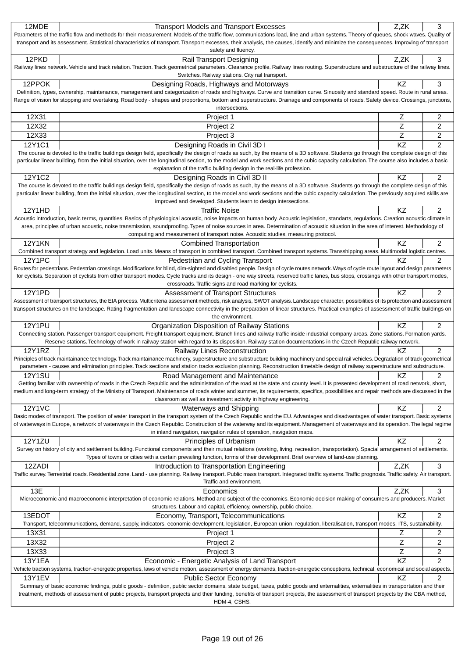| Parameters of the traffic flow and methods for their measurement. Models of the traffic flow, communications load, line and urban systems. Theory of queues, shock waves. Quality of<br>transport and its assessment. Statistical characteristics of transport. Transport excesses, their analysis, the causes, identify and minimize the consequences. Improving of transport<br>safety and fluency.<br>12PKD<br>Z,ZK<br>3<br>Rail Transport Designing<br>Railway lines network. Vehicle and track relation. Traction. Track geometrical parameters. Clearance profile. Railway lines routing. Superstructure and substructure of the railway lines.<br>Switches. Railway stations. City rail transport.<br>12PPOK<br>KZ<br>3<br>Designing Roads, Highways and Motorways<br>Definition, types, ownership, maintenance, management and categorization of roads and highways. Curve and transition curve. Sinuosity and standard speed. Route in rural areas.<br>Range of vision for stopping and overtaking. Road body - shapes and proportions, bottom and superstructure. Drainage and components of roads. Safety device. Crossings, junctions,<br>intersections.<br>12X31<br>2<br>Project 1<br>Ζ<br>12X32<br>Z<br>$\overline{2}$<br>Project 2<br>Z<br>12X33<br>Project 3<br>$\overline{c}$<br>KZ<br>$\overline{2}$<br>12Y1C1<br>Designing Roads in Civil 3D I<br>The course is devoted to the traffic buildings design field, specifically the design of roads as such, by the means of a 3D software. Students go through the complete design of this<br>particular linear building, from the initial situation, over the longitudinal section, to the model and work sections and the cubic capacity calculation. The course also includes a basic<br>explanation of the traffic building design in the real-life profession.<br>12Y1C2<br>KZ<br>2<br>Designing Roads in Civil 3D II<br>The course is devoted to the traffic buildings design field, specifically the design of roads as such, by the means of a 3D software. Students go through the complete design of this<br>particular linear building, from the initial situation, over the longitudinal section, to the model and work sections and the cubic capacity calculation. The previously acquired skills are<br>improved and developed. Students learn to design intersections.<br>12Y1HD<br>KZ<br>2<br><b>Traffic Noise</b><br>Acoustic introduction, basic terms, quantities. Basics of physiological acoustic, noise impacts on human body. Acoustic legislation, standarts, regulations. Creation acoustic climate in<br>area, principles of urban acoustic, noise transmission, soundproofing. Types of noise sources in area. Determination of acoustic situation in the area of interest. Methodology of<br>computing and measurement of transport noise. Acoustic studies, measuring protocol.<br><b>12Y1KN</b><br>KZ<br>2<br><b>Combined Transportation</b><br>Combined transport strategy and legislation. Load units. Means of transport in combined transport. Combined transport systems. Transshipping areas. Multimodal logistic centres.<br><b>12Y1PC</b><br>2<br>Pedestrian and Cycling Transport<br>ΚZ<br>Routes for pedestrians. Pedestrian crossings. Modifications for blind, dim-sighted and disabled people. Design of cycle routes network. Ways of cycle route layout and design parameters<br>for cyclists. Separation of cyclists from other transport modes. Cycle tracks and its design - one way streets, reserved traffic lanes, bus stops, crossings with other transport modes,<br>crossroads. Traffic signs and road marking for cyclists.<br>KZ<br>$\overline{2}$<br>12Y1PD<br>Assessment of Transport Structures<br>Assessment of transport structures, the EIA process. Multicriteria assessment methods, risk analysis, SWOT analysis. Landscape character, possibilities of its protection and assessment<br>transport structures on the landscape. Rating fragmentation and landscape connectivity in the preparation of linear structures. Practical examples of assessment of traffic buildings on<br>the environment.<br><b>12Y1PU</b><br>2<br>KZ<br>Organization Disposition of Railway Stations<br>Connecting station. Passenger transport equipment. Freight transport equipment. Branch lines and railway traffic inside industrial company areas. Zone stations. Formation yards.<br>Reserve stations. Technology of work in railway station with regard to its disposition. Railway station documentations in the Czech Republic railway network.<br><b>12Y1RZ</b><br>2<br>Railway Lines Reconstruction<br>KZ.<br>Principles of track maintainance technology. Track maintainance machinery, superstructure and substructure building machinery and special rail vehicles. Degradation of track geometrical<br>parameters - causes and elimination principles. Track sections and station tracks exclusion planning. Reconstruction timetable design of railway superstructure and substructure.<br><b>12Y1SU</b><br>KZ<br>2<br>Road Management and Maintenance<br>Getting familiar with ownership of roads in the Czech Republic and the administration of the road at the state and county level. It is presented development of road network, short,<br>medium and long-term strategy of the Ministry of Transport. Maintenance of roads winter and summer, its requirements, specifics, possibilities and repair methods are discussed in the<br>classroom as well as investment activity in highway engineering.<br><b>12Y1VC</b><br>KZ<br>2<br>Waterways and Shipping<br>Basic modes of transport. The position of water transport in the transport system of the Czech Republic and the EU. Advantages and disadvantages of water transport. Basic systems<br>of waterways in Europe, a network of waterways in the Czech Republic. Construction of the waterway and its equipment. Management of waterways and its operation. The legal regime<br>in inland navigation, navigation rules of operation, navigation maps.<br>$\overline{c}$<br><b>12Y1ZU</b><br>KZ<br>Principles of Urbanism<br>Survey on history of city and settlement building. Functional components and their mutual relations (working, living, recreation, transportation). Spacial arrangement of settlements.<br>Types of towns or cities with a certain prevailing function, forms of their development. Brief overview of land-use planning.<br>3<br>12ZADI<br>Z,ZK<br>Introduction to Transportation Engineering<br>Traffic survey. Terrestrial roads. Residential zone. Land - use planning. Railway transport. Public mass transport. Integrated traffic systems. Traffic prognosis. Traffic safety. Air transport.<br>Traffic and environment.<br>13E<br>3<br>Economics<br>Z,ZK<br>Microeconomic and macroeconomic interpretation of economic relations. Method and subject of the economics. Economic decision making of consumers and producers. Market<br>structures. Labour and capital, efficiency, ownership, public choice.<br>KZ<br>$\overline{c}$<br>13EDOT<br>Economy, Transport, Telecommunications<br>Transport, telecommunications, demand, supply, indicators, economic development, legislation, European union, regulation, liberalisation, transport modes, ITS, sustainability.<br>13X31<br>Ζ<br>2<br>Project 1<br>Ζ<br>13X32<br>2<br>Project 2<br>Ζ<br>2<br>13X33<br>Project 3<br>KZ<br>$\overline{2}$<br>13Y1EA<br>Economic - Energetic Analysis of Land Transport<br>Vehicle traction systems, traction-energetic properties, laws of vehicle motion, assessment of energy demands, traction-energetic conceptions, technical, economical and social aspects.<br>KZ<br>2<br><b>13Y1EV</b><br>Public Sector Economy<br>Summary of basic economic findings, public goods - definition, public sector domains, state budget, taxes, public goods and externalities, externalities in transportation and their<br>treatment, methods of assessment of public projects, transport projects and their funding, benefits of transport projects, the assessment of transport projects by the CBA method,<br>HDM-4, CSHS. | 12MDE | <b>Transport Models and Transport Excesses</b> | Z,ZK | 3 |
|----------------------------------------------------------------------------------------------------------------------------------------------------------------------------------------------------------------------------------------------------------------------------------------------------------------------------------------------------------------------------------------------------------------------------------------------------------------------------------------------------------------------------------------------------------------------------------------------------------------------------------------------------------------------------------------------------------------------------------------------------------------------------------------------------------------------------------------------------------------------------------------------------------------------------------------------------------------------------------------------------------------------------------------------------------------------------------------------------------------------------------------------------------------------------------------------------------------------------------------------------------------------------------------------------------------------------------------------------------------------------------------------------------------------------------------------------------------------------------------------------------------------------------------------------------------------------------------------------------------------------------------------------------------------------------------------------------------------------------------------------------------------------------------------------------------------------------------------------------------------------------------------------------------------------------------------------------------------------------------------------------------------------------------------------------------------------------------------------------------------------------------------------------------------------------------------------------------------------------------------------------------------------------------------------------------------------------------------------------------------------------------------------------------------------------------------------------------------------------------------------------------------------------------------------------------------------------------------------------------------------------------------------------------------------------------------------------------------------------------------------------------------------------------------------------------------------------------------------------------------------------------------------------------------------------------------------------------------------------------------------------------------------------------------------------------------------------------------------------------------------------------------------------------------------------------------------------------------------------------------------------------------------------------------------------------------------------------------------------------------------------------------------------------------------------------------------------------------------------------------------------------------------------------------------------------------------------------------------------------------------------------------------------------------------------------------------------------------------------------------------------------------------------------------------------------------------------------------------------------------------------------------------------------------------------------------------------------------------------------------------------------------------------------------------------------------------------------------------------------------------------------------------------------------------------------------------------------------------------------------------------------------------------------------------------------------------------------------------------------------------------------------------------------------------------------------------------------------------------------------------------------------------------------------------------------------------------------------------------------------------------------------------------------------------------------------------------------------------------------------------------------------------------------------------------------------------------------------------------------------------------------------------------------------------------------------------------------------------------------------------------------------------------------------------------------------------------------------------------------------------------------------------------------------------------------------------------------------------------------------------------------------------------------------------------------------------------------------------------------------------------------------------------------------------------------------------------------------------------------------------------------------------------------------------------------------------------------------------------------------------------------------------------------------------------------------------------------------------------------------------------------------------------------------------------------------------------------------------------------------------------------------------------------------------------------------------------------------------------------------------------------------------------------------------------------------------------------------------------------------------------------------------------------------------------------------------------------------------------------------------------------------------------------------------------------------------------------------------------------------------------------------------------------------------------------------------------------------------------------------------------------------------------------------------------------------------------------------------------------------------------------------------------------------------------------------------------------------------------------------------------------------------------------------------------------------------------------------------------------------------------------------------------------------------------------------------------------------------------------------------------------------------------------------------------------------------------------------------------------------------------------------------------------------------------------------------------------------------------------------------------------------------------------------------------------------------------------------------------------------------------------------------------------------------------------------------------------------------------------------------------------------------------------------------------------------------------------------------------------------------------------------------------------------------------------------------------------------------------------------------------------------------------------------------------------------------------------------------------------------------------------------------------------------------------------------------------------------------------------------------------------------------------------------------------------------------------------------------------------------------------------------------|-------|------------------------------------------------|------|---|
|                                                                                                                                                                                                                                                                                                                                                                                                                                                                                                                                                                                                                                                                                                                                                                                                                                                                                                                                                                                                                                                                                                                                                                                                                                                                                                                                                                                                                                                                                                                                                                                                                                                                                                                                                                                                                                                                                                                                                                                                                                                                                                                                                                                                                                                                                                                                                                                                                                                                                                                                                                                                                                                                                                                                                                                                                                                                                                                                                                                                                                                                                                                                                                                                                                                                                                                                                                                                                                                                                                                                                                                                                                                                                                                                                                                                                                                                                                                                                                                                                                                                                                                                                                                                                                                                                                                                                                                                                                                                                                                                                                                                                                                                                                                                                                                                                                                                                                                                                                                                                                                                                                                                                                                                                                                                                                                                                                                                                                                                                                                                                                                                                                                                                                                                                                                                                                                                                                                                                                                                                                                                                                                                                                                                                                                                                                                                                                                                                                                                                                                                                                                                                                                                                                                                                                                                                                                                                                                                                                                                                                                                                                                                                                                                                                                                                                                                                                                                                                                                                                                                                                                                                                                                                                                                                                                                                                                                                                                                                                                                                                                                                                                                                    |       |                                                |      |   |
|                                                                                                                                                                                                                                                                                                                                                                                                                                                                                                                                                                                                                                                                                                                                                                                                                                                                                                                                                                                                                                                                                                                                                                                                                                                                                                                                                                                                                                                                                                                                                                                                                                                                                                                                                                                                                                                                                                                                                                                                                                                                                                                                                                                                                                                                                                                                                                                                                                                                                                                                                                                                                                                                                                                                                                                                                                                                                                                                                                                                                                                                                                                                                                                                                                                                                                                                                                                                                                                                                                                                                                                                                                                                                                                                                                                                                                                                                                                                                                                                                                                                                                                                                                                                                                                                                                                                                                                                                                                                                                                                                                                                                                                                                                                                                                                                                                                                                                                                                                                                                                                                                                                                                                                                                                                                                                                                                                                                                                                                                                                                                                                                                                                                                                                                                                                                                                                                                                                                                                                                                                                                                                                                                                                                                                                                                                                                                                                                                                                                                                                                                                                                                                                                                                                                                                                                                                                                                                                                                                                                                                                                                                                                                                                                                                                                                                                                                                                                                                                                                                                                                                                                                                                                                                                                                                                                                                                                                                                                                                                                                                                                                                                                                    |       |                                                |      |   |
|                                                                                                                                                                                                                                                                                                                                                                                                                                                                                                                                                                                                                                                                                                                                                                                                                                                                                                                                                                                                                                                                                                                                                                                                                                                                                                                                                                                                                                                                                                                                                                                                                                                                                                                                                                                                                                                                                                                                                                                                                                                                                                                                                                                                                                                                                                                                                                                                                                                                                                                                                                                                                                                                                                                                                                                                                                                                                                                                                                                                                                                                                                                                                                                                                                                                                                                                                                                                                                                                                                                                                                                                                                                                                                                                                                                                                                                                                                                                                                                                                                                                                                                                                                                                                                                                                                                                                                                                                                                                                                                                                                                                                                                                                                                                                                                                                                                                                                                                                                                                                                                                                                                                                                                                                                                                                                                                                                                                                                                                                                                                                                                                                                                                                                                                                                                                                                                                                                                                                                                                                                                                                                                                                                                                                                                                                                                                                                                                                                                                                                                                                                                                                                                                                                                                                                                                                                                                                                                                                                                                                                                                                                                                                                                                                                                                                                                                                                                                                                                                                                                                                                                                                                                                                                                                                                                                                                                                                                                                                                                                                                                                                                                                                    |       |                                                |      |   |
|                                                                                                                                                                                                                                                                                                                                                                                                                                                                                                                                                                                                                                                                                                                                                                                                                                                                                                                                                                                                                                                                                                                                                                                                                                                                                                                                                                                                                                                                                                                                                                                                                                                                                                                                                                                                                                                                                                                                                                                                                                                                                                                                                                                                                                                                                                                                                                                                                                                                                                                                                                                                                                                                                                                                                                                                                                                                                                                                                                                                                                                                                                                                                                                                                                                                                                                                                                                                                                                                                                                                                                                                                                                                                                                                                                                                                                                                                                                                                                                                                                                                                                                                                                                                                                                                                                                                                                                                                                                                                                                                                                                                                                                                                                                                                                                                                                                                                                                                                                                                                                                                                                                                                                                                                                                                                                                                                                                                                                                                                                                                                                                                                                                                                                                                                                                                                                                                                                                                                                                                                                                                                                                                                                                                                                                                                                                                                                                                                                                                                                                                                                                                                                                                                                                                                                                                                                                                                                                                                                                                                                                                                                                                                                                                                                                                                                                                                                                                                                                                                                                                                                                                                                                                                                                                                                                                                                                                                                                                                                                                                                                                                                                                                    |       |                                                |      |   |
|                                                                                                                                                                                                                                                                                                                                                                                                                                                                                                                                                                                                                                                                                                                                                                                                                                                                                                                                                                                                                                                                                                                                                                                                                                                                                                                                                                                                                                                                                                                                                                                                                                                                                                                                                                                                                                                                                                                                                                                                                                                                                                                                                                                                                                                                                                                                                                                                                                                                                                                                                                                                                                                                                                                                                                                                                                                                                                                                                                                                                                                                                                                                                                                                                                                                                                                                                                                                                                                                                                                                                                                                                                                                                                                                                                                                                                                                                                                                                                                                                                                                                                                                                                                                                                                                                                                                                                                                                                                                                                                                                                                                                                                                                                                                                                                                                                                                                                                                                                                                                                                                                                                                                                                                                                                                                                                                                                                                                                                                                                                                                                                                                                                                                                                                                                                                                                                                                                                                                                                                                                                                                                                                                                                                                                                                                                                                                                                                                                                                                                                                                                                                                                                                                                                                                                                                                                                                                                                                                                                                                                                                                                                                                                                                                                                                                                                                                                                                                                                                                                                                                                                                                                                                                                                                                                                                                                                                                                                                                                                                                                                                                                                                                    |       |                                                |      |   |
|                                                                                                                                                                                                                                                                                                                                                                                                                                                                                                                                                                                                                                                                                                                                                                                                                                                                                                                                                                                                                                                                                                                                                                                                                                                                                                                                                                                                                                                                                                                                                                                                                                                                                                                                                                                                                                                                                                                                                                                                                                                                                                                                                                                                                                                                                                                                                                                                                                                                                                                                                                                                                                                                                                                                                                                                                                                                                                                                                                                                                                                                                                                                                                                                                                                                                                                                                                                                                                                                                                                                                                                                                                                                                                                                                                                                                                                                                                                                                                                                                                                                                                                                                                                                                                                                                                                                                                                                                                                                                                                                                                                                                                                                                                                                                                                                                                                                                                                                                                                                                                                                                                                                                                                                                                                                                                                                                                                                                                                                                                                                                                                                                                                                                                                                                                                                                                                                                                                                                                                                                                                                                                                                                                                                                                                                                                                                                                                                                                                                                                                                                                                                                                                                                                                                                                                                                                                                                                                                                                                                                                                                                                                                                                                                                                                                                                                                                                                                                                                                                                                                                                                                                                                                                                                                                                                                                                                                                                                                                                                                                                                                                                                                                    |       |                                                |      |   |
|                                                                                                                                                                                                                                                                                                                                                                                                                                                                                                                                                                                                                                                                                                                                                                                                                                                                                                                                                                                                                                                                                                                                                                                                                                                                                                                                                                                                                                                                                                                                                                                                                                                                                                                                                                                                                                                                                                                                                                                                                                                                                                                                                                                                                                                                                                                                                                                                                                                                                                                                                                                                                                                                                                                                                                                                                                                                                                                                                                                                                                                                                                                                                                                                                                                                                                                                                                                                                                                                                                                                                                                                                                                                                                                                                                                                                                                                                                                                                                                                                                                                                                                                                                                                                                                                                                                                                                                                                                                                                                                                                                                                                                                                                                                                                                                                                                                                                                                                                                                                                                                                                                                                                                                                                                                                                                                                                                                                                                                                                                                                                                                                                                                                                                                                                                                                                                                                                                                                                                                                                                                                                                                                                                                                                                                                                                                                                                                                                                                                                                                                                                                                                                                                                                                                                                                                                                                                                                                                                                                                                                                                                                                                                                                                                                                                                                                                                                                                                                                                                                                                                                                                                                                                                                                                                                                                                                                                                                                                                                                                                                                                                                                                                    |       |                                                |      |   |
|                                                                                                                                                                                                                                                                                                                                                                                                                                                                                                                                                                                                                                                                                                                                                                                                                                                                                                                                                                                                                                                                                                                                                                                                                                                                                                                                                                                                                                                                                                                                                                                                                                                                                                                                                                                                                                                                                                                                                                                                                                                                                                                                                                                                                                                                                                                                                                                                                                                                                                                                                                                                                                                                                                                                                                                                                                                                                                                                                                                                                                                                                                                                                                                                                                                                                                                                                                                                                                                                                                                                                                                                                                                                                                                                                                                                                                                                                                                                                                                                                                                                                                                                                                                                                                                                                                                                                                                                                                                                                                                                                                                                                                                                                                                                                                                                                                                                                                                                                                                                                                                                                                                                                                                                                                                                                                                                                                                                                                                                                                                                                                                                                                                                                                                                                                                                                                                                                                                                                                                                                                                                                                                                                                                                                                                                                                                                                                                                                                                                                                                                                                                                                                                                                                                                                                                                                                                                                                                                                                                                                                                                                                                                                                                                                                                                                                                                                                                                                                                                                                                                                                                                                                                                                                                                                                                                                                                                                                                                                                                                                                                                                                                                                    |       |                                                |      |   |
|                                                                                                                                                                                                                                                                                                                                                                                                                                                                                                                                                                                                                                                                                                                                                                                                                                                                                                                                                                                                                                                                                                                                                                                                                                                                                                                                                                                                                                                                                                                                                                                                                                                                                                                                                                                                                                                                                                                                                                                                                                                                                                                                                                                                                                                                                                                                                                                                                                                                                                                                                                                                                                                                                                                                                                                                                                                                                                                                                                                                                                                                                                                                                                                                                                                                                                                                                                                                                                                                                                                                                                                                                                                                                                                                                                                                                                                                                                                                                                                                                                                                                                                                                                                                                                                                                                                                                                                                                                                                                                                                                                                                                                                                                                                                                                                                                                                                                                                                                                                                                                                                                                                                                                                                                                                                                                                                                                                                                                                                                                                                                                                                                                                                                                                                                                                                                                                                                                                                                                                                                                                                                                                                                                                                                                                                                                                                                                                                                                                                                                                                                                                                                                                                                                                                                                                                                                                                                                                                                                                                                                                                                                                                                                                                                                                                                                                                                                                                                                                                                                                                                                                                                                                                                                                                                                                                                                                                                                                                                                                                                                                                                                                                                    |       |                                                |      |   |
|                                                                                                                                                                                                                                                                                                                                                                                                                                                                                                                                                                                                                                                                                                                                                                                                                                                                                                                                                                                                                                                                                                                                                                                                                                                                                                                                                                                                                                                                                                                                                                                                                                                                                                                                                                                                                                                                                                                                                                                                                                                                                                                                                                                                                                                                                                                                                                                                                                                                                                                                                                                                                                                                                                                                                                                                                                                                                                                                                                                                                                                                                                                                                                                                                                                                                                                                                                                                                                                                                                                                                                                                                                                                                                                                                                                                                                                                                                                                                                                                                                                                                                                                                                                                                                                                                                                                                                                                                                                                                                                                                                                                                                                                                                                                                                                                                                                                                                                                                                                                                                                                                                                                                                                                                                                                                                                                                                                                                                                                                                                                                                                                                                                                                                                                                                                                                                                                                                                                                                                                                                                                                                                                                                                                                                                                                                                                                                                                                                                                                                                                                                                                                                                                                                                                                                                                                                                                                                                                                                                                                                                                                                                                                                                                                                                                                                                                                                                                                                                                                                                                                                                                                                                                                                                                                                                                                                                                                                                                                                                                                                                                                                                                                    |       |                                                |      |   |
|                                                                                                                                                                                                                                                                                                                                                                                                                                                                                                                                                                                                                                                                                                                                                                                                                                                                                                                                                                                                                                                                                                                                                                                                                                                                                                                                                                                                                                                                                                                                                                                                                                                                                                                                                                                                                                                                                                                                                                                                                                                                                                                                                                                                                                                                                                                                                                                                                                                                                                                                                                                                                                                                                                                                                                                                                                                                                                                                                                                                                                                                                                                                                                                                                                                                                                                                                                                                                                                                                                                                                                                                                                                                                                                                                                                                                                                                                                                                                                                                                                                                                                                                                                                                                                                                                                                                                                                                                                                                                                                                                                                                                                                                                                                                                                                                                                                                                                                                                                                                                                                                                                                                                                                                                                                                                                                                                                                                                                                                                                                                                                                                                                                                                                                                                                                                                                                                                                                                                                                                                                                                                                                                                                                                                                                                                                                                                                                                                                                                                                                                                                                                                                                                                                                                                                                                                                                                                                                                                                                                                                                                                                                                                                                                                                                                                                                                                                                                                                                                                                                                                                                                                                                                                                                                                                                                                                                                                                                                                                                                                                                                                                                                                    |       |                                                |      |   |
|                                                                                                                                                                                                                                                                                                                                                                                                                                                                                                                                                                                                                                                                                                                                                                                                                                                                                                                                                                                                                                                                                                                                                                                                                                                                                                                                                                                                                                                                                                                                                                                                                                                                                                                                                                                                                                                                                                                                                                                                                                                                                                                                                                                                                                                                                                                                                                                                                                                                                                                                                                                                                                                                                                                                                                                                                                                                                                                                                                                                                                                                                                                                                                                                                                                                                                                                                                                                                                                                                                                                                                                                                                                                                                                                                                                                                                                                                                                                                                                                                                                                                                                                                                                                                                                                                                                                                                                                                                                                                                                                                                                                                                                                                                                                                                                                                                                                                                                                                                                                                                                                                                                                                                                                                                                                                                                                                                                                                                                                                                                                                                                                                                                                                                                                                                                                                                                                                                                                                                                                                                                                                                                                                                                                                                                                                                                                                                                                                                                                                                                                                                                                                                                                                                                                                                                                                                                                                                                                                                                                                                                                                                                                                                                                                                                                                                                                                                                                                                                                                                                                                                                                                                                                                                                                                                                                                                                                                                                                                                                                                                                                                                                                                    |       |                                                |      |   |
|                                                                                                                                                                                                                                                                                                                                                                                                                                                                                                                                                                                                                                                                                                                                                                                                                                                                                                                                                                                                                                                                                                                                                                                                                                                                                                                                                                                                                                                                                                                                                                                                                                                                                                                                                                                                                                                                                                                                                                                                                                                                                                                                                                                                                                                                                                                                                                                                                                                                                                                                                                                                                                                                                                                                                                                                                                                                                                                                                                                                                                                                                                                                                                                                                                                                                                                                                                                                                                                                                                                                                                                                                                                                                                                                                                                                                                                                                                                                                                                                                                                                                                                                                                                                                                                                                                                                                                                                                                                                                                                                                                                                                                                                                                                                                                                                                                                                                                                                                                                                                                                                                                                                                                                                                                                                                                                                                                                                                                                                                                                                                                                                                                                                                                                                                                                                                                                                                                                                                                                                                                                                                                                                                                                                                                                                                                                                                                                                                                                                                                                                                                                                                                                                                                                                                                                                                                                                                                                                                                                                                                                                                                                                                                                                                                                                                                                                                                                                                                                                                                                                                                                                                                                                                                                                                                                                                                                                                                                                                                                                                                                                                                                                                    |       |                                                |      |   |
|                                                                                                                                                                                                                                                                                                                                                                                                                                                                                                                                                                                                                                                                                                                                                                                                                                                                                                                                                                                                                                                                                                                                                                                                                                                                                                                                                                                                                                                                                                                                                                                                                                                                                                                                                                                                                                                                                                                                                                                                                                                                                                                                                                                                                                                                                                                                                                                                                                                                                                                                                                                                                                                                                                                                                                                                                                                                                                                                                                                                                                                                                                                                                                                                                                                                                                                                                                                                                                                                                                                                                                                                                                                                                                                                                                                                                                                                                                                                                                                                                                                                                                                                                                                                                                                                                                                                                                                                                                                                                                                                                                                                                                                                                                                                                                                                                                                                                                                                                                                                                                                                                                                                                                                                                                                                                                                                                                                                                                                                                                                                                                                                                                                                                                                                                                                                                                                                                                                                                                                                                                                                                                                                                                                                                                                                                                                                                                                                                                                                                                                                                                                                                                                                                                                                                                                                                                                                                                                                                                                                                                                                                                                                                                                                                                                                                                                                                                                                                                                                                                                                                                                                                                                                                                                                                                                                                                                                                                                                                                                                                                                                                                                                                    |       |                                                |      |   |
|                                                                                                                                                                                                                                                                                                                                                                                                                                                                                                                                                                                                                                                                                                                                                                                                                                                                                                                                                                                                                                                                                                                                                                                                                                                                                                                                                                                                                                                                                                                                                                                                                                                                                                                                                                                                                                                                                                                                                                                                                                                                                                                                                                                                                                                                                                                                                                                                                                                                                                                                                                                                                                                                                                                                                                                                                                                                                                                                                                                                                                                                                                                                                                                                                                                                                                                                                                                                                                                                                                                                                                                                                                                                                                                                                                                                                                                                                                                                                                                                                                                                                                                                                                                                                                                                                                                                                                                                                                                                                                                                                                                                                                                                                                                                                                                                                                                                                                                                                                                                                                                                                                                                                                                                                                                                                                                                                                                                                                                                                                                                                                                                                                                                                                                                                                                                                                                                                                                                                                                                                                                                                                                                                                                                                                                                                                                                                                                                                                                                                                                                                                                                                                                                                                                                                                                                                                                                                                                                                                                                                                                                                                                                                                                                                                                                                                                                                                                                                                                                                                                                                                                                                                                                                                                                                                                                                                                                                                                                                                                                                                                                                                                                                    |       |                                                |      |   |
|                                                                                                                                                                                                                                                                                                                                                                                                                                                                                                                                                                                                                                                                                                                                                                                                                                                                                                                                                                                                                                                                                                                                                                                                                                                                                                                                                                                                                                                                                                                                                                                                                                                                                                                                                                                                                                                                                                                                                                                                                                                                                                                                                                                                                                                                                                                                                                                                                                                                                                                                                                                                                                                                                                                                                                                                                                                                                                                                                                                                                                                                                                                                                                                                                                                                                                                                                                                                                                                                                                                                                                                                                                                                                                                                                                                                                                                                                                                                                                                                                                                                                                                                                                                                                                                                                                                                                                                                                                                                                                                                                                                                                                                                                                                                                                                                                                                                                                                                                                                                                                                                                                                                                                                                                                                                                                                                                                                                                                                                                                                                                                                                                                                                                                                                                                                                                                                                                                                                                                                                                                                                                                                                                                                                                                                                                                                                                                                                                                                                                                                                                                                                                                                                                                                                                                                                                                                                                                                                                                                                                                                                                                                                                                                                                                                                                                                                                                                                                                                                                                                                                                                                                                                                                                                                                                                                                                                                                                                                                                                                                                                                                                                                                    |       |                                                |      |   |
|                                                                                                                                                                                                                                                                                                                                                                                                                                                                                                                                                                                                                                                                                                                                                                                                                                                                                                                                                                                                                                                                                                                                                                                                                                                                                                                                                                                                                                                                                                                                                                                                                                                                                                                                                                                                                                                                                                                                                                                                                                                                                                                                                                                                                                                                                                                                                                                                                                                                                                                                                                                                                                                                                                                                                                                                                                                                                                                                                                                                                                                                                                                                                                                                                                                                                                                                                                                                                                                                                                                                                                                                                                                                                                                                                                                                                                                                                                                                                                                                                                                                                                                                                                                                                                                                                                                                                                                                                                                                                                                                                                                                                                                                                                                                                                                                                                                                                                                                                                                                                                                                                                                                                                                                                                                                                                                                                                                                                                                                                                                                                                                                                                                                                                                                                                                                                                                                                                                                                                                                                                                                                                                                                                                                                                                                                                                                                                                                                                                                                                                                                                                                                                                                                                                                                                                                                                                                                                                                                                                                                                                                                                                                                                                                                                                                                                                                                                                                                                                                                                                                                                                                                                                                                                                                                                                                                                                                                                                                                                                                                                                                                                                                                    |       |                                                |      |   |
|                                                                                                                                                                                                                                                                                                                                                                                                                                                                                                                                                                                                                                                                                                                                                                                                                                                                                                                                                                                                                                                                                                                                                                                                                                                                                                                                                                                                                                                                                                                                                                                                                                                                                                                                                                                                                                                                                                                                                                                                                                                                                                                                                                                                                                                                                                                                                                                                                                                                                                                                                                                                                                                                                                                                                                                                                                                                                                                                                                                                                                                                                                                                                                                                                                                                                                                                                                                                                                                                                                                                                                                                                                                                                                                                                                                                                                                                                                                                                                                                                                                                                                                                                                                                                                                                                                                                                                                                                                                                                                                                                                                                                                                                                                                                                                                                                                                                                                                                                                                                                                                                                                                                                                                                                                                                                                                                                                                                                                                                                                                                                                                                                                                                                                                                                                                                                                                                                                                                                                                                                                                                                                                                                                                                                                                                                                                                                                                                                                                                                                                                                                                                                                                                                                                                                                                                                                                                                                                                                                                                                                                                                                                                                                                                                                                                                                                                                                                                                                                                                                                                                                                                                                                                                                                                                                                                                                                                                                                                                                                                                                                                                                                                                    |       |                                                |      |   |
|                                                                                                                                                                                                                                                                                                                                                                                                                                                                                                                                                                                                                                                                                                                                                                                                                                                                                                                                                                                                                                                                                                                                                                                                                                                                                                                                                                                                                                                                                                                                                                                                                                                                                                                                                                                                                                                                                                                                                                                                                                                                                                                                                                                                                                                                                                                                                                                                                                                                                                                                                                                                                                                                                                                                                                                                                                                                                                                                                                                                                                                                                                                                                                                                                                                                                                                                                                                                                                                                                                                                                                                                                                                                                                                                                                                                                                                                                                                                                                                                                                                                                                                                                                                                                                                                                                                                                                                                                                                                                                                                                                                                                                                                                                                                                                                                                                                                                                                                                                                                                                                                                                                                                                                                                                                                                                                                                                                                                                                                                                                                                                                                                                                                                                                                                                                                                                                                                                                                                                                                                                                                                                                                                                                                                                                                                                                                                                                                                                                                                                                                                                                                                                                                                                                                                                                                                                                                                                                                                                                                                                                                                                                                                                                                                                                                                                                                                                                                                                                                                                                                                                                                                                                                                                                                                                                                                                                                                                                                                                                                                                                                                                                                                    |       |                                                |      |   |
|                                                                                                                                                                                                                                                                                                                                                                                                                                                                                                                                                                                                                                                                                                                                                                                                                                                                                                                                                                                                                                                                                                                                                                                                                                                                                                                                                                                                                                                                                                                                                                                                                                                                                                                                                                                                                                                                                                                                                                                                                                                                                                                                                                                                                                                                                                                                                                                                                                                                                                                                                                                                                                                                                                                                                                                                                                                                                                                                                                                                                                                                                                                                                                                                                                                                                                                                                                                                                                                                                                                                                                                                                                                                                                                                                                                                                                                                                                                                                                                                                                                                                                                                                                                                                                                                                                                                                                                                                                                                                                                                                                                                                                                                                                                                                                                                                                                                                                                                                                                                                                                                                                                                                                                                                                                                                                                                                                                                                                                                                                                                                                                                                                                                                                                                                                                                                                                                                                                                                                                                                                                                                                                                                                                                                                                                                                                                                                                                                                                                                                                                                                                                                                                                                                                                                                                                                                                                                                                                                                                                                                                                                                                                                                                                                                                                                                                                                                                                                                                                                                                                                                                                                                                                                                                                                                                                                                                                                                                                                                                                                                                                                                                                                    |       |                                                |      |   |
|                                                                                                                                                                                                                                                                                                                                                                                                                                                                                                                                                                                                                                                                                                                                                                                                                                                                                                                                                                                                                                                                                                                                                                                                                                                                                                                                                                                                                                                                                                                                                                                                                                                                                                                                                                                                                                                                                                                                                                                                                                                                                                                                                                                                                                                                                                                                                                                                                                                                                                                                                                                                                                                                                                                                                                                                                                                                                                                                                                                                                                                                                                                                                                                                                                                                                                                                                                                                                                                                                                                                                                                                                                                                                                                                                                                                                                                                                                                                                                                                                                                                                                                                                                                                                                                                                                                                                                                                                                                                                                                                                                                                                                                                                                                                                                                                                                                                                                                                                                                                                                                                                                                                                                                                                                                                                                                                                                                                                                                                                                                                                                                                                                                                                                                                                                                                                                                                                                                                                                                                                                                                                                                                                                                                                                                                                                                                                                                                                                                                                                                                                                                                                                                                                                                                                                                                                                                                                                                                                                                                                                                                                                                                                                                                                                                                                                                                                                                                                                                                                                                                                                                                                                                                                                                                                                                                                                                                                                                                                                                                                                                                                                                                                    |       |                                                |      |   |
|                                                                                                                                                                                                                                                                                                                                                                                                                                                                                                                                                                                                                                                                                                                                                                                                                                                                                                                                                                                                                                                                                                                                                                                                                                                                                                                                                                                                                                                                                                                                                                                                                                                                                                                                                                                                                                                                                                                                                                                                                                                                                                                                                                                                                                                                                                                                                                                                                                                                                                                                                                                                                                                                                                                                                                                                                                                                                                                                                                                                                                                                                                                                                                                                                                                                                                                                                                                                                                                                                                                                                                                                                                                                                                                                                                                                                                                                                                                                                                                                                                                                                                                                                                                                                                                                                                                                                                                                                                                                                                                                                                                                                                                                                                                                                                                                                                                                                                                                                                                                                                                                                                                                                                                                                                                                                                                                                                                                                                                                                                                                                                                                                                                                                                                                                                                                                                                                                                                                                                                                                                                                                                                                                                                                                                                                                                                                                                                                                                                                                                                                                                                                                                                                                                                                                                                                                                                                                                                                                                                                                                                                                                                                                                                                                                                                                                                                                                                                                                                                                                                                                                                                                                                                                                                                                                                                                                                                                                                                                                                                                                                                                                                                                    |       |                                                |      |   |
|                                                                                                                                                                                                                                                                                                                                                                                                                                                                                                                                                                                                                                                                                                                                                                                                                                                                                                                                                                                                                                                                                                                                                                                                                                                                                                                                                                                                                                                                                                                                                                                                                                                                                                                                                                                                                                                                                                                                                                                                                                                                                                                                                                                                                                                                                                                                                                                                                                                                                                                                                                                                                                                                                                                                                                                                                                                                                                                                                                                                                                                                                                                                                                                                                                                                                                                                                                                                                                                                                                                                                                                                                                                                                                                                                                                                                                                                                                                                                                                                                                                                                                                                                                                                                                                                                                                                                                                                                                                                                                                                                                                                                                                                                                                                                                                                                                                                                                                                                                                                                                                                                                                                                                                                                                                                                                                                                                                                                                                                                                                                                                                                                                                                                                                                                                                                                                                                                                                                                                                                                                                                                                                                                                                                                                                                                                                                                                                                                                                                                                                                                                                                                                                                                                                                                                                                                                                                                                                                                                                                                                                                                                                                                                                                                                                                                                                                                                                                                                                                                                                                                                                                                                                                                                                                                                                                                                                                                                                                                                                                                                                                                                                                                    |       |                                                |      |   |
|                                                                                                                                                                                                                                                                                                                                                                                                                                                                                                                                                                                                                                                                                                                                                                                                                                                                                                                                                                                                                                                                                                                                                                                                                                                                                                                                                                                                                                                                                                                                                                                                                                                                                                                                                                                                                                                                                                                                                                                                                                                                                                                                                                                                                                                                                                                                                                                                                                                                                                                                                                                                                                                                                                                                                                                                                                                                                                                                                                                                                                                                                                                                                                                                                                                                                                                                                                                                                                                                                                                                                                                                                                                                                                                                                                                                                                                                                                                                                                                                                                                                                                                                                                                                                                                                                                                                                                                                                                                                                                                                                                                                                                                                                                                                                                                                                                                                                                                                                                                                                                                                                                                                                                                                                                                                                                                                                                                                                                                                                                                                                                                                                                                                                                                                                                                                                                                                                                                                                                                                                                                                                                                                                                                                                                                                                                                                                                                                                                                                                                                                                                                                                                                                                                                                                                                                                                                                                                                                                                                                                                                                                                                                                                                                                                                                                                                                                                                                                                                                                                                                                                                                                                                                                                                                                                                                                                                                                                                                                                                                                                                                                                                                                    |       |                                                |      |   |
|                                                                                                                                                                                                                                                                                                                                                                                                                                                                                                                                                                                                                                                                                                                                                                                                                                                                                                                                                                                                                                                                                                                                                                                                                                                                                                                                                                                                                                                                                                                                                                                                                                                                                                                                                                                                                                                                                                                                                                                                                                                                                                                                                                                                                                                                                                                                                                                                                                                                                                                                                                                                                                                                                                                                                                                                                                                                                                                                                                                                                                                                                                                                                                                                                                                                                                                                                                                                                                                                                                                                                                                                                                                                                                                                                                                                                                                                                                                                                                                                                                                                                                                                                                                                                                                                                                                                                                                                                                                                                                                                                                                                                                                                                                                                                                                                                                                                                                                                                                                                                                                                                                                                                                                                                                                                                                                                                                                                                                                                                                                                                                                                                                                                                                                                                                                                                                                                                                                                                                                                                                                                                                                                                                                                                                                                                                                                                                                                                                                                                                                                                                                                                                                                                                                                                                                                                                                                                                                                                                                                                                                                                                                                                                                                                                                                                                                                                                                                                                                                                                                                                                                                                                                                                                                                                                                                                                                                                                                                                                                                                                                                                                                                                    |       |                                                |      |   |
|                                                                                                                                                                                                                                                                                                                                                                                                                                                                                                                                                                                                                                                                                                                                                                                                                                                                                                                                                                                                                                                                                                                                                                                                                                                                                                                                                                                                                                                                                                                                                                                                                                                                                                                                                                                                                                                                                                                                                                                                                                                                                                                                                                                                                                                                                                                                                                                                                                                                                                                                                                                                                                                                                                                                                                                                                                                                                                                                                                                                                                                                                                                                                                                                                                                                                                                                                                                                                                                                                                                                                                                                                                                                                                                                                                                                                                                                                                                                                                                                                                                                                                                                                                                                                                                                                                                                                                                                                                                                                                                                                                                                                                                                                                                                                                                                                                                                                                                                                                                                                                                                                                                                                                                                                                                                                                                                                                                                                                                                                                                                                                                                                                                                                                                                                                                                                                                                                                                                                                                                                                                                                                                                                                                                                                                                                                                                                                                                                                                                                                                                                                                                                                                                                                                                                                                                                                                                                                                                                                                                                                                                                                                                                                                                                                                                                                                                                                                                                                                                                                                                                                                                                                                                                                                                                                                                                                                                                                                                                                                                                                                                                                                                                    |       |                                                |      |   |
|                                                                                                                                                                                                                                                                                                                                                                                                                                                                                                                                                                                                                                                                                                                                                                                                                                                                                                                                                                                                                                                                                                                                                                                                                                                                                                                                                                                                                                                                                                                                                                                                                                                                                                                                                                                                                                                                                                                                                                                                                                                                                                                                                                                                                                                                                                                                                                                                                                                                                                                                                                                                                                                                                                                                                                                                                                                                                                                                                                                                                                                                                                                                                                                                                                                                                                                                                                                                                                                                                                                                                                                                                                                                                                                                                                                                                                                                                                                                                                                                                                                                                                                                                                                                                                                                                                                                                                                                                                                                                                                                                                                                                                                                                                                                                                                                                                                                                                                                                                                                                                                                                                                                                                                                                                                                                                                                                                                                                                                                                                                                                                                                                                                                                                                                                                                                                                                                                                                                                                                                                                                                                                                                                                                                                                                                                                                                                                                                                                                                                                                                                                                                                                                                                                                                                                                                                                                                                                                                                                                                                                                                                                                                                                                                                                                                                                                                                                                                                                                                                                                                                                                                                                                                                                                                                                                                                                                                                                                                                                                                                                                                                                                                                    |       |                                                |      |   |
|                                                                                                                                                                                                                                                                                                                                                                                                                                                                                                                                                                                                                                                                                                                                                                                                                                                                                                                                                                                                                                                                                                                                                                                                                                                                                                                                                                                                                                                                                                                                                                                                                                                                                                                                                                                                                                                                                                                                                                                                                                                                                                                                                                                                                                                                                                                                                                                                                                                                                                                                                                                                                                                                                                                                                                                                                                                                                                                                                                                                                                                                                                                                                                                                                                                                                                                                                                                                                                                                                                                                                                                                                                                                                                                                                                                                                                                                                                                                                                                                                                                                                                                                                                                                                                                                                                                                                                                                                                                                                                                                                                                                                                                                                                                                                                                                                                                                                                                                                                                                                                                                                                                                                                                                                                                                                                                                                                                                                                                                                                                                                                                                                                                                                                                                                                                                                                                                                                                                                                                                                                                                                                                                                                                                                                                                                                                                                                                                                                                                                                                                                                                                                                                                                                                                                                                                                                                                                                                                                                                                                                                                                                                                                                                                                                                                                                                                                                                                                                                                                                                                                                                                                                                                                                                                                                                                                                                                                                                                                                                                                                                                                                                                                    |       |                                                |      |   |
|                                                                                                                                                                                                                                                                                                                                                                                                                                                                                                                                                                                                                                                                                                                                                                                                                                                                                                                                                                                                                                                                                                                                                                                                                                                                                                                                                                                                                                                                                                                                                                                                                                                                                                                                                                                                                                                                                                                                                                                                                                                                                                                                                                                                                                                                                                                                                                                                                                                                                                                                                                                                                                                                                                                                                                                                                                                                                                                                                                                                                                                                                                                                                                                                                                                                                                                                                                                                                                                                                                                                                                                                                                                                                                                                                                                                                                                                                                                                                                                                                                                                                                                                                                                                                                                                                                                                                                                                                                                                                                                                                                                                                                                                                                                                                                                                                                                                                                                                                                                                                                                                                                                                                                                                                                                                                                                                                                                                                                                                                                                                                                                                                                                                                                                                                                                                                                                                                                                                                                                                                                                                                                                                                                                                                                                                                                                                                                                                                                                                                                                                                                                                                                                                                                                                                                                                                                                                                                                                                                                                                                                                                                                                                                                                                                                                                                                                                                                                                                                                                                                                                                                                                                                                                                                                                                                                                                                                                                                                                                                                                                                                                                                                                    |       |                                                |      |   |
|                                                                                                                                                                                                                                                                                                                                                                                                                                                                                                                                                                                                                                                                                                                                                                                                                                                                                                                                                                                                                                                                                                                                                                                                                                                                                                                                                                                                                                                                                                                                                                                                                                                                                                                                                                                                                                                                                                                                                                                                                                                                                                                                                                                                                                                                                                                                                                                                                                                                                                                                                                                                                                                                                                                                                                                                                                                                                                                                                                                                                                                                                                                                                                                                                                                                                                                                                                                                                                                                                                                                                                                                                                                                                                                                                                                                                                                                                                                                                                                                                                                                                                                                                                                                                                                                                                                                                                                                                                                                                                                                                                                                                                                                                                                                                                                                                                                                                                                                                                                                                                                                                                                                                                                                                                                                                                                                                                                                                                                                                                                                                                                                                                                                                                                                                                                                                                                                                                                                                                                                                                                                                                                                                                                                                                                                                                                                                                                                                                                                                                                                                                                                                                                                                                                                                                                                                                                                                                                                                                                                                                                                                                                                                                                                                                                                                                                                                                                                                                                                                                                                                                                                                                                                                                                                                                                                                                                                                                                                                                                                                                                                                                                                                    |       |                                                |      |   |
|                                                                                                                                                                                                                                                                                                                                                                                                                                                                                                                                                                                                                                                                                                                                                                                                                                                                                                                                                                                                                                                                                                                                                                                                                                                                                                                                                                                                                                                                                                                                                                                                                                                                                                                                                                                                                                                                                                                                                                                                                                                                                                                                                                                                                                                                                                                                                                                                                                                                                                                                                                                                                                                                                                                                                                                                                                                                                                                                                                                                                                                                                                                                                                                                                                                                                                                                                                                                                                                                                                                                                                                                                                                                                                                                                                                                                                                                                                                                                                                                                                                                                                                                                                                                                                                                                                                                                                                                                                                                                                                                                                                                                                                                                                                                                                                                                                                                                                                                                                                                                                                                                                                                                                                                                                                                                                                                                                                                                                                                                                                                                                                                                                                                                                                                                                                                                                                                                                                                                                                                                                                                                                                                                                                                                                                                                                                                                                                                                                                                                                                                                                                                                                                                                                                                                                                                                                                                                                                                                                                                                                                                                                                                                                                                                                                                                                                                                                                                                                                                                                                                                                                                                                                                                                                                                                                                                                                                                                                                                                                                                                                                                                                                                    |       |                                                |      |   |
|                                                                                                                                                                                                                                                                                                                                                                                                                                                                                                                                                                                                                                                                                                                                                                                                                                                                                                                                                                                                                                                                                                                                                                                                                                                                                                                                                                                                                                                                                                                                                                                                                                                                                                                                                                                                                                                                                                                                                                                                                                                                                                                                                                                                                                                                                                                                                                                                                                                                                                                                                                                                                                                                                                                                                                                                                                                                                                                                                                                                                                                                                                                                                                                                                                                                                                                                                                                                                                                                                                                                                                                                                                                                                                                                                                                                                                                                                                                                                                                                                                                                                                                                                                                                                                                                                                                                                                                                                                                                                                                                                                                                                                                                                                                                                                                                                                                                                                                                                                                                                                                                                                                                                                                                                                                                                                                                                                                                                                                                                                                                                                                                                                                                                                                                                                                                                                                                                                                                                                                                                                                                                                                                                                                                                                                                                                                                                                                                                                                                                                                                                                                                                                                                                                                                                                                                                                                                                                                                                                                                                                                                                                                                                                                                                                                                                                                                                                                                                                                                                                                                                                                                                                                                                                                                                                                                                                                                                                                                                                                                                                                                                                                                                    |       |                                                |      |   |
|                                                                                                                                                                                                                                                                                                                                                                                                                                                                                                                                                                                                                                                                                                                                                                                                                                                                                                                                                                                                                                                                                                                                                                                                                                                                                                                                                                                                                                                                                                                                                                                                                                                                                                                                                                                                                                                                                                                                                                                                                                                                                                                                                                                                                                                                                                                                                                                                                                                                                                                                                                                                                                                                                                                                                                                                                                                                                                                                                                                                                                                                                                                                                                                                                                                                                                                                                                                                                                                                                                                                                                                                                                                                                                                                                                                                                                                                                                                                                                                                                                                                                                                                                                                                                                                                                                                                                                                                                                                                                                                                                                                                                                                                                                                                                                                                                                                                                                                                                                                                                                                                                                                                                                                                                                                                                                                                                                                                                                                                                                                                                                                                                                                                                                                                                                                                                                                                                                                                                                                                                                                                                                                                                                                                                                                                                                                                                                                                                                                                                                                                                                                                                                                                                                                                                                                                                                                                                                                                                                                                                                                                                                                                                                                                                                                                                                                                                                                                                                                                                                                                                                                                                                                                                                                                                                                                                                                                                                                                                                                                                                                                                                                                                    |       |                                                |      |   |
|                                                                                                                                                                                                                                                                                                                                                                                                                                                                                                                                                                                                                                                                                                                                                                                                                                                                                                                                                                                                                                                                                                                                                                                                                                                                                                                                                                                                                                                                                                                                                                                                                                                                                                                                                                                                                                                                                                                                                                                                                                                                                                                                                                                                                                                                                                                                                                                                                                                                                                                                                                                                                                                                                                                                                                                                                                                                                                                                                                                                                                                                                                                                                                                                                                                                                                                                                                                                                                                                                                                                                                                                                                                                                                                                                                                                                                                                                                                                                                                                                                                                                                                                                                                                                                                                                                                                                                                                                                                                                                                                                                                                                                                                                                                                                                                                                                                                                                                                                                                                                                                                                                                                                                                                                                                                                                                                                                                                                                                                                                                                                                                                                                                                                                                                                                                                                                                                                                                                                                                                                                                                                                                                                                                                                                                                                                                                                                                                                                                                                                                                                                                                                                                                                                                                                                                                                                                                                                                                                                                                                                                                                                                                                                                                                                                                                                                                                                                                                                                                                                                                                                                                                                                                                                                                                                                                                                                                                                                                                                                                                                                                                                                                                    |       |                                                |      |   |
|                                                                                                                                                                                                                                                                                                                                                                                                                                                                                                                                                                                                                                                                                                                                                                                                                                                                                                                                                                                                                                                                                                                                                                                                                                                                                                                                                                                                                                                                                                                                                                                                                                                                                                                                                                                                                                                                                                                                                                                                                                                                                                                                                                                                                                                                                                                                                                                                                                                                                                                                                                                                                                                                                                                                                                                                                                                                                                                                                                                                                                                                                                                                                                                                                                                                                                                                                                                                                                                                                                                                                                                                                                                                                                                                                                                                                                                                                                                                                                                                                                                                                                                                                                                                                                                                                                                                                                                                                                                                                                                                                                                                                                                                                                                                                                                                                                                                                                                                                                                                                                                                                                                                                                                                                                                                                                                                                                                                                                                                                                                                                                                                                                                                                                                                                                                                                                                                                                                                                                                                                                                                                                                                                                                                                                                                                                                                                                                                                                                                                                                                                                                                                                                                                                                                                                                                                                                                                                                                                                                                                                                                                                                                                                                                                                                                                                                                                                                                                                                                                                                                                                                                                                                                                                                                                                                                                                                                                                                                                                                                                                                                                                                                                    |       |                                                |      |   |
|                                                                                                                                                                                                                                                                                                                                                                                                                                                                                                                                                                                                                                                                                                                                                                                                                                                                                                                                                                                                                                                                                                                                                                                                                                                                                                                                                                                                                                                                                                                                                                                                                                                                                                                                                                                                                                                                                                                                                                                                                                                                                                                                                                                                                                                                                                                                                                                                                                                                                                                                                                                                                                                                                                                                                                                                                                                                                                                                                                                                                                                                                                                                                                                                                                                                                                                                                                                                                                                                                                                                                                                                                                                                                                                                                                                                                                                                                                                                                                                                                                                                                                                                                                                                                                                                                                                                                                                                                                                                                                                                                                                                                                                                                                                                                                                                                                                                                                                                                                                                                                                                                                                                                                                                                                                                                                                                                                                                                                                                                                                                                                                                                                                                                                                                                                                                                                                                                                                                                                                                                                                                                                                                                                                                                                                                                                                                                                                                                                                                                                                                                                                                                                                                                                                                                                                                                                                                                                                                                                                                                                                                                                                                                                                                                                                                                                                                                                                                                                                                                                                                                                                                                                                                                                                                                                                                                                                                                                                                                                                                                                                                                                                                                    |       |                                                |      |   |
|                                                                                                                                                                                                                                                                                                                                                                                                                                                                                                                                                                                                                                                                                                                                                                                                                                                                                                                                                                                                                                                                                                                                                                                                                                                                                                                                                                                                                                                                                                                                                                                                                                                                                                                                                                                                                                                                                                                                                                                                                                                                                                                                                                                                                                                                                                                                                                                                                                                                                                                                                                                                                                                                                                                                                                                                                                                                                                                                                                                                                                                                                                                                                                                                                                                                                                                                                                                                                                                                                                                                                                                                                                                                                                                                                                                                                                                                                                                                                                                                                                                                                                                                                                                                                                                                                                                                                                                                                                                                                                                                                                                                                                                                                                                                                                                                                                                                                                                                                                                                                                                                                                                                                                                                                                                                                                                                                                                                                                                                                                                                                                                                                                                                                                                                                                                                                                                                                                                                                                                                                                                                                                                                                                                                                                                                                                                                                                                                                                                                                                                                                                                                                                                                                                                                                                                                                                                                                                                                                                                                                                                                                                                                                                                                                                                                                                                                                                                                                                                                                                                                                                                                                                                                                                                                                                                                                                                                                                                                                                                                                                                                                                                                                    |       |                                                |      |   |
|                                                                                                                                                                                                                                                                                                                                                                                                                                                                                                                                                                                                                                                                                                                                                                                                                                                                                                                                                                                                                                                                                                                                                                                                                                                                                                                                                                                                                                                                                                                                                                                                                                                                                                                                                                                                                                                                                                                                                                                                                                                                                                                                                                                                                                                                                                                                                                                                                                                                                                                                                                                                                                                                                                                                                                                                                                                                                                                                                                                                                                                                                                                                                                                                                                                                                                                                                                                                                                                                                                                                                                                                                                                                                                                                                                                                                                                                                                                                                                                                                                                                                                                                                                                                                                                                                                                                                                                                                                                                                                                                                                                                                                                                                                                                                                                                                                                                                                                                                                                                                                                                                                                                                                                                                                                                                                                                                                                                                                                                                                                                                                                                                                                                                                                                                                                                                                                                                                                                                                                                                                                                                                                                                                                                                                                                                                                                                                                                                                                                                                                                                                                                                                                                                                                                                                                                                                                                                                                                                                                                                                                                                                                                                                                                                                                                                                                                                                                                                                                                                                                                                                                                                                                                                                                                                                                                                                                                                                                                                                                                                                                                                                                                                    |       |                                                |      |   |
|                                                                                                                                                                                                                                                                                                                                                                                                                                                                                                                                                                                                                                                                                                                                                                                                                                                                                                                                                                                                                                                                                                                                                                                                                                                                                                                                                                                                                                                                                                                                                                                                                                                                                                                                                                                                                                                                                                                                                                                                                                                                                                                                                                                                                                                                                                                                                                                                                                                                                                                                                                                                                                                                                                                                                                                                                                                                                                                                                                                                                                                                                                                                                                                                                                                                                                                                                                                                                                                                                                                                                                                                                                                                                                                                                                                                                                                                                                                                                                                                                                                                                                                                                                                                                                                                                                                                                                                                                                                                                                                                                                                                                                                                                                                                                                                                                                                                                                                                                                                                                                                                                                                                                                                                                                                                                                                                                                                                                                                                                                                                                                                                                                                                                                                                                                                                                                                                                                                                                                                                                                                                                                                                                                                                                                                                                                                                                                                                                                                                                                                                                                                                                                                                                                                                                                                                                                                                                                                                                                                                                                                                                                                                                                                                                                                                                                                                                                                                                                                                                                                                                                                                                                                                                                                                                                                                                                                                                                                                                                                                                                                                                                                                                    |       |                                                |      |   |
|                                                                                                                                                                                                                                                                                                                                                                                                                                                                                                                                                                                                                                                                                                                                                                                                                                                                                                                                                                                                                                                                                                                                                                                                                                                                                                                                                                                                                                                                                                                                                                                                                                                                                                                                                                                                                                                                                                                                                                                                                                                                                                                                                                                                                                                                                                                                                                                                                                                                                                                                                                                                                                                                                                                                                                                                                                                                                                                                                                                                                                                                                                                                                                                                                                                                                                                                                                                                                                                                                                                                                                                                                                                                                                                                                                                                                                                                                                                                                                                                                                                                                                                                                                                                                                                                                                                                                                                                                                                                                                                                                                                                                                                                                                                                                                                                                                                                                                                                                                                                                                                                                                                                                                                                                                                                                                                                                                                                                                                                                                                                                                                                                                                                                                                                                                                                                                                                                                                                                                                                                                                                                                                                                                                                                                                                                                                                                                                                                                                                                                                                                                                                                                                                                                                                                                                                                                                                                                                                                                                                                                                                                                                                                                                                                                                                                                                                                                                                                                                                                                                                                                                                                                                                                                                                                                                                                                                                                                                                                                                                                                                                                                                                                    |       |                                                |      |   |
|                                                                                                                                                                                                                                                                                                                                                                                                                                                                                                                                                                                                                                                                                                                                                                                                                                                                                                                                                                                                                                                                                                                                                                                                                                                                                                                                                                                                                                                                                                                                                                                                                                                                                                                                                                                                                                                                                                                                                                                                                                                                                                                                                                                                                                                                                                                                                                                                                                                                                                                                                                                                                                                                                                                                                                                                                                                                                                                                                                                                                                                                                                                                                                                                                                                                                                                                                                                                                                                                                                                                                                                                                                                                                                                                                                                                                                                                                                                                                                                                                                                                                                                                                                                                                                                                                                                                                                                                                                                                                                                                                                                                                                                                                                                                                                                                                                                                                                                                                                                                                                                                                                                                                                                                                                                                                                                                                                                                                                                                                                                                                                                                                                                                                                                                                                                                                                                                                                                                                                                                                                                                                                                                                                                                                                                                                                                                                                                                                                                                                                                                                                                                                                                                                                                                                                                                                                                                                                                                                                                                                                                                                                                                                                                                                                                                                                                                                                                                                                                                                                                                                                                                                                                                                                                                                                                                                                                                                                                                                                                                                                                                                                                                                    |       |                                                |      |   |
|                                                                                                                                                                                                                                                                                                                                                                                                                                                                                                                                                                                                                                                                                                                                                                                                                                                                                                                                                                                                                                                                                                                                                                                                                                                                                                                                                                                                                                                                                                                                                                                                                                                                                                                                                                                                                                                                                                                                                                                                                                                                                                                                                                                                                                                                                                                                                                                                                                                                                                                                                                                                                                                                                                                                                                                                                                                                                                                                                                                                                                                                                                                                                                                                                                                                                                                                                                                                                                                                                                                                                                                                                                                                                                                                                                                                                                                                                                                                                                                                                                                                                                                                                                                                                                                                                                                                                                                                                                                                                                                                                                                                                                                                                                                                                                                                                                                                                                                                                                                                                                                                                                                                                                                                                                                                                                                                                                                                                                                                                                                                                                                                                                                                                                                                                                                                                                                                                                                                                                                                                                                                                                                                                                                                                                                                                                                                                                                                                                                                                                                                                                                                                                                                                                                                                                                                                                                                                                                                                                                                                                                                                                                                                                                                                                                                                                                                                                                                                                                                                                                                                                                                                                                                                                                                                                                                                                                                                                                                                                                                                                                                                                                                                    |       |                                                |      |   |
|                                                                                                                                                                                                                                                                                                                                                                                                                                                                                                                                                                                                                                                                                                                                                                                                                                                                                                                                                                                                                                                                                                                                                                                                                                                                                                                                                                                                                                                                                                                                                                                                                                                                                                                                                                                                                                                                                                                                                                                                                                                                                                                                                                                                                                                                                                                                                                                                                                                                                                                                                                                                                                                                                                                                                                                                                                                                                                                                                                                                                                                                                                                                                                                                                                                                                                                                                                                                                                                                                                                                                                                                                                                                                                                                                                                                                                                                                                                                                                                                                                                                                                                                                                                                                                                                                                                                                                                                                                                                                                                                                                                                                                                                                                                                                                                                                                                                                                                                                                                                                                                                                                                                                                                                                                                                                                                                                                                                                                                                                                                                                                                                                                                                                                                                                                                                                                                                                                                                                                                                                                                                                                                                                                                                                                                                                                                                                                                                                                                                                                                                                                                                                                                                                                                                                                                                                                                                                                                                                                                                                                                                                                                                                                                                                                                                                                                                                                                                                                                                                                                                                                                                                                                                                                                                                                                                                                                                                                                                                                                                                                                                                                                                                    |       |                                                |      |   |
|                                                                                                                                                                                                                                                                                                                                                                                                                                                                                                                                                                                                                                                                                                                                                                                                                                                                                                                                                                                                                                                                                                                                                                                                                                                                                                                                                                                                                                                                                                                                                                                                                                                                                                                                                                                                                                                                                                                                                                                                                                                                                                                                                                                                                                                                                                                                                                                                                                                                                                                                                                                                                                                                                                                                                                                                                                                                                                                                                                                                                                                                                                                                                                                                                                                                                                                                                                                                                                                                                                                                                                                                                                                                                                                                                                                                                                                                                                                                                                                                                                                                                                                                                                                                                                                                                                                                                                                                                                                                                                                                                                                                                                                                                                                                                                                                                                                                                                                                                                                                                                                                                                                                                                                                                                                                                                                                                                                                                                                                                                                                                                                                                                                                                                                                                                                                                                                                                                                                                                                                                                                                                                                                                                                                                                                                                                                                                                                                                                                                                                                                                                                                                                                                                                                                                                                                                                                                                                                                                                                                                                                                                                                                                                                                                                                                                                                                                                                                                                                                                                                                                                                                                                                                                                                                                                                                                                                                                                                                                                                                                                                                                                                                                    |       |                                                |      |   |
|                                                                                                                                                                                                                                                                                                                                                                                                                                                                                                                                                                                                                                                                                                                                                                                                                                                                                                                                                                                                                                                                                                                                                                                                                                                                                                                                                                                                                                                                                                                                                                                                                                                                                                                                                                                                                                                                                                                                                                                                                                                                                                                                                                                                                                                                                                                                                                                                                                                                                                                                                                                                                                                                                                                                                                                                                                                                                                                                                                                                                                                                                                                                                                                                                                                                                                                                                                                                                                                                                                                                                                                                                                                                                                                                                                                                                                                                                                                                                                                                                                                                                                                                                                                                                                                                                                                                                                                                                                                                                                                                                                                                                                                                                                                                                                                                                                                                                                                                                                                                                                                                                                                                                                                                                                                                                                                                                                                                                                                                                                                                                                                                                                                                                                                                                                                                                                                                                                                                                                                                                                                                                                                                                                                                                                                                                                                                                                                                                                                                                                                                                                                                                                                                                                                                                                                                                                                                                                                                                                                                                                                                                                                                                                                                                                                                                                                                                                                                                                                                                                                                                                                                                                                                                                                                                                                                                                                                                                                                                                                                                                                                                                                                                    |       |                                                |      |   |
|                                                                                                                                                                                                                                                                                                                                                                                                                                                                                                                                                                                                                                                                                                                                                                                                                                                                                                                                                                                                                                                                                                                                                                                                                                                                                                                                                                                                                                                                                                                                                                                                                                                                                                                                                                                                                                                                                                                                                                                                                                                                                                                                                                                                                                                                                                                                                                                                                                                                                                                                                                                                                                                                                                                                                                                                                                                                                                                                                                                                                                                                                                                                                                                                                                                                                                                                                                                                                                                                                                                                                                                                                                                                                                                                                                                                                                                                                                                                                                                                                                                                                                                                                                                                                                                                                                                                                                                                                                                                                                                                                                                                                                                                                                                                                                                                                                                                                                                                                                                                                                                                                                                                                                                                                                                                                                                                                                                                                                                                                                                                                                                                                                                                                                                                                                                                                                                                                                                                                                                                                                                                                                                                                                                                                                                                                                                                                                                                                                                                                                                                                                                                                                                                                                                                                                                                                                                                                                                                                                                                                                                                                                                                                                                                                                                                                                                                                                                                                                                                                                                                                                                                                                                                                                                                                                                                                                                                                                                                                                                                                                                                                                                                                    |       |                                                |      |   |
|                                                                                                                                                                                                                                                                                                                                                                                                                                                                                                                                                                                                                                                                                                                                                                                                                                                                                                                                                                                                                                                                                                                                                                                                                                                                                                                                                                                                                                                                                                                                                                                                                                                                                                                                                                                                                                                                                                                                                                                                                                                                                                                                                                                                                                                                                                                                                                                                                                                                                                                                                                                                                                                                                                                                                                                                                                                                                                                                                                                                                                                                                                                                                                                                                                                                                                                                                                                                                                                                                                                                                                                                                                                                                                                                                                                                                                                                                                                                                                                                                                                                                                                                                                                                                                                                                                                                                                                                                                                                                                                                                                                                                                                                                                                                                                                                                                                                                                                                                                                                                                                                                                                                                                                                                                                                                                                                                                                                                                                                                                                                                                                                                                                                                                                                                                                                                                                                                                                                                                                                                                                                                                                                                                                                                                                                                                                                                                                                                                                                                                                                                                                                                                                                                                                                                                                                                                                                                                                                                                                                                                                                                                                                                                                                                                                                                                                                                                                                                                                                                                                                                                                                                                                                                                                                                                                                                                                                                                                                                                                                                                                                                                                                                    |       |                                                |      |   |
|                                                                                                                                                                                                                                                                                                                                                                                                                                                                                                                                                                                                                                                                                                                                                                                                                                                                                                                                                                                                                                                                                                                                                                                                                                                                                                                                                                                                                                                                                                                                                                                                                                                                                                                                                                                                                                                                                                                                                                                                                                                                                                                                                                                                                                                                                                                                                                                                                                                                                                                                                                                                                                                                                                                                                                                                                                                                                                                                                                                                                                                                                                                                                                                                                                                                                                                                                                                                                                                                                                                                                                                                                                                                                                                                                                                                                                                                                                                                                                                                                                                                                                                                                                                                                                                                                                                                                                                                                                                                                                                                                                                                                                                                                                                                                                                                                                                                                                                                                                                                                                                                                                                                                                                                                                                                                                                                                                                                                                                                                                                                                                                                                                                                                                                                                                                                                                                                                                                                                                                                                                                                                                                                                                                                                                                                                                                                                                                                                                                                                                                                                                                                                                                                                                                                                                                                                                                                                                                                                                                                                                                                                                                                                                                                                                                                                                                                                                                                                                                                                                                                                                                                                                                                                                                                                                                                                                                                                                                                                                                                                                                                                                                                                    |       |                                                |      |   |
|                                                                                                                                                                                                                                                                                                                                                                                                                                                                                                                                                                                                                                                                                                                                                                                                                                                                                                                                                                                                                                                                                                                                                                                                                                                                                                                                                                                                                                                                                                                                                                                                                                                                                                                                                                                                                                                                                                                                                                                                                                                                                                                                                                                                                                                                                                                                                                                                                                                                                                                                                                                                                                                                                                                                                                                                                                                                                                                                                                                                                                                                                                                                                                                                                                                                                                                                                                                                                                                                                                                                                                                                                                                                                                                                                                                                                                                                                                                                                                                                                                                                                                                                                                                                                                                                                                                                                                                                                                                                                                                                                                                                                                                                                                                                                                                                                                                                                                                                                                                                                                                                                                                                                                                                                                                                                                                                                                                                                                                                                                                                                                                                                                                                                                                                                                                                                                                                                                                                                                                                                                                                                                                                                                                                                                                                                                                                                                                                                                                                                                                                                                                                                                                                                                                                                                                                                                                                                                                                                                                                                                                                                                                                                                                                                                                                                                                                                                                                                                                                                                                                                                                                                                                                                                                                                                                                                                                                                                                                                                                                                                                                                                                                                    |       |                                                |      |   |
|                                                                                                                                                                                                                                                                                                                                                                                                                                                                                                                                                                                                                                                                                                                                                                                                                                                                                                                                                                                                                                                                                                                                                                                                                                                                                                                                                                                                                                                                                                                                                                                                                                                                                                                                                                                                                                                                                                                                                                                                                                                                                                                                                                                                                                                                                                                                                                                                                                                                                                                                                                                                                                                                                                                                                                                                                                                                                                                                                                                                                                                                                                                                                                                                                                                                                                                                                                                                                                                                                                                                                                                                                                                                                                                                                                                                                                                                                                                                                                                                                                                                                                                                                                                                                                                                                                                                                                                                                                                                                                                                                                                                                                                                                                                                                                                                                                                                                                                                                                                                                                                                                                                                                                                                                                                                                                                                                                                                                                                                                                                                                                                                                                                                                                                                                                                                                                                                                                                                                                                                                                                                                                                                                                                                                                                                                                                                                                                                                                                                                                                                                                                                                                                                                                                                                                                                                                                                                                                                                                                                                                                                                                                                                                                                                                                                                                                                                                                                                                                                                                                                                                                                                                                                                                                                                                                                                                                                                                                                                                                                                                                                                                                                                    |       |                                                |      |   |
|                                                                                                                                                                                                                                                                                                                                                                                                                                                                                                                                                                                                                                                                                                                                                                                                                                                                                                                                                                                                                                                                                                                                                                                                                                                                                                                                                                                                                                                                                                                                                                                                                                                                                                                                                                                                                                                                                                                                                                                                                                                                                                                                                                                                                                                                                                                                                                                                                                                                                                                                                                                                                                                                                                                                                                                                                                                                                                                                                                                                                                                                                                                                                                                                                                                                                                                                                                                                                                                                                                                                                                                                                                                                                                                                                                                                                                                                                                                                                                                                                                                                                                                                                                                                                                                                                                                                                                                                                                                                                                                                                                                                                                                                                                                                                                                                                                                                                                                                                                                                                                                                                                                                                                                                                                                                                                                                                                                                                                                                                                                                                                                                                                                                                                                                                                                                                                                                                                                                                                                                                                                                                                                                                                                                                                                                                                                                                                                                                                                                                                                                                                                                                                                                                                                                                                                                                                                                                                                                                                                                                                                                                                                                                                                                                                                                                                                                                                                                                                                                                                                                                                                                                                                                                                                                                                                                                                                                                                                                                                                                                                                                                                                                                    |       |                                                |      |   |
|                                                                                                                                                                                                                                                                                                                                                                                                                                                                                                                                                                                                                                                                                                                                                                                                                                                                                                                                                                                                                                                                                                                                                                                                                                                                                                                                                                                                                                                                                                                                                                                                                                                                                                                                                                                                                                                                                                                                                                                                                                                                                                                                                                                                                                                                                                                                                                                                                                                                                                                                                                                                                                                                                                                                                                                                                                                                                                                                                                                                                                                                                                                                                                                                                                                                                                                                                                                                                                                                                                                                                                                                                                                                                                                                                                                                                                                                                                                                                                                                                                                                                                                                                                                                                                                                                                                                                                                                                                                                                                                                                                                                                                                                                                                                                                                                                                                                                                                                                                                                                                                                                                                                                                                                                                                                                                                                                                                                                                                                                                                                                                                                                                                                                                                                                                                                                                                                                                                                                                                                                                                                                                                                                                                                                                                                                                                                                                                                                                                                                                                                                                                                                                                                                                                                                                                                                                                                                                                                                                                                                                                                                                                                                                                                                                                                                                                                                                                                                                                                                                                                                                                                                                                                                                                                                                                                                                                                                                                                                                                                                                                                                                                                                    |       |                                                |      |   |
|                                                                                                                                                                                                                                                                                                                                                                                                                                                                                                                                                                                                                                                                                                                                                                                                                                                                                                                                                                                                                                                                                                                                                                                                                                                                                                                                                                                                                                                                                                                                                                                                                                                                                                                                                                                                                                                                                                                                                                                                                                                                                                                                                                                                                                                                                                                                                                                                                                                                                                                                                                                                                                                                                                                                                                                                                                                                                                                                                                                                                                                                                                                                                                                                                                                                                                                                                                                                                                                                                                                                                                                                                                                                                                                                                                                                                                                                                                                                                                                                                                                                                                                                                                                                                                                                                                                                                                                                                                                                                                                                                                                                                                                                                                                                                                                                                                                                                                                                                                                                                                                                                                                                                                                                                                                                                                                                                                                                                                                                                                                                                                                                                                                                                                                                                                                                                                                                                                                                                                                                                                                                                                                                                                                                                                                                                                                                                                                                                                                                                                                                                                                                                                                                                                                                                                                                                                                                                                                                                                                                                                                                                                                                                                                                                                                                                                                                                                                                                                                                                                                                                                                                                                                                                                                                                                                                                                                                                                                                                                                                                                                                                                                                                    |       |                                                |      |   |
|                                                                                                                                                                                                                                                                                                                                                                                                                                                                                                                                                                                                                                                                                                                                                                                                                                                                                                                                                                                                                                                                                                                                                                                                                                                                                                                                                                                                                                                                                                                                                                                                                                                                                                                                                                                                                                                                                                                                                                                                                                                                                                                                                                                                                                                                                                                                                                                                                                                                                                                                                                                                                                                                                                                                                                                                                                                                                                                                                                                                                                                                                                                                                                                                                                                                                                                                                                                                                                                                                                                                                                                                                                                                                                                                                                                                                                                                                                                                                                                                                                                                                                                                                                                                                                                                                                                                                                                                                                                                                                                                                                                                                                                                                                                                                                                                                                                                                                                                                                                                                                                                                                                                                                                                                                                                                                                                                                                                                                                                                                                                                                                                                                                                                                                                                                                                                                                                                                                                                                                                                                                                                                                                                                                                                                                                                                                                                                                                                                                                                                                                                                                                                                                                                                                                                                                                                                                                                                                                                                                                                                                                                                                                                                                                                                                                                                                                                                                                                                                                                                                                                                                                                                                                                                                                                                                                                                                                                                                                                                                                                                                                                                                                                    |       |                                                |      |   |
|                                                                                                                                                                                                                                                                                                                                                                                                                                                                                                                                                                                                                                                                                                                                                                                                                                                                                                                                                                                                                                                                                                                                                                                                                                                                                                                                                                                                                                                                                                                                                                                                                                                                                                                                                                                                                                                                                                                                                                                                                                                                                                                                                                                                                                                                                                                                                                                                                                                                                                                                                                                                                                                                                                                                                                                                                                                                                                                                                                                                                                                                                                                                                                                                                                                                                                                                                                                                                                                                                                                                                                                                                                                                                                                                                                                                                                                                                                                                                                                                                                                                                                                                                                                                                                                                                                                                                                                                                                                                                                                                                                                                                                                                                                                                                                                                                                                                                                                                                                                                                                                                                                                                                                                                                                                                                                                                                                                                                                                                                                                                                                                                                                                                                                                                                                                                                                                                                                                                                                                                                                                                                                                                                                                                                                                                                                                                                                                                                                                                                                                                                                                                                                                                                                                                                                                                                                                                                                                                                                                                                                                                                                                                                                                                                                                                                                                                                                                                                                                                                                                                                                                                                                                                                                                                                                                                                                                                                                                                                                                                                                                                                                                                                    |       |                                                |      |   |
|                                                                                                                                                                                                                                                                                                                                                                                                                                                                                                                                                                                                                                                                                                                                                                                                                                                                                                                                                                                                                                                                                                                                                                                                                                                                                                                                                                                                                                                                                                                                                                                                                                                                                                                                                                                                                                                                                                                                                                                                                                                                                                                                                                                                                                                                                                                                                                                                                                                                                                                                                                                                                                                                                                                                                                                                                                                                                                                                                                                                                                                                                                                                                                                                                                                                                                                                                                                                                                                                                                                                                                                                                                                                                                                                                                                                                                                                                                                                                                                                                                                                                                                                                                                                                                                                                                                                                                                                                                                                                                                                                                                                                                                                                                                                                                                                                                                                                                                                                                                                                                                                                                                                                                                                                                                                                                                                                                                                                                                                                                                                                                                                                                                                                                                                                                                                                                                                                                                                                                                                                                                                                                                                                                                                                                                                                                                                                                                                                                                                                                                                                                                                                                                                                                                                                                                                                                                                                                                                                                                                                                                                                                                                                                                                                                                                                                                                                                                                                                                                                                                                                                                                                                                                                                                                                                                                                                                                                                                                                                                                                                                                                                                                                    |       |                                                |      |   |
|                                                                                                                                                                                                                                                                                                                                                                                                                                                                                                                                                                                                                                                                                                                                                                                                                                                                                                                                                                                                                                                                                                                                                                                                                                                                                                                                                                                                                                                                                                                                                                                                                                                                                                                                                                                                                                                                                                                                                                                                                                                                                                                                                                                                                                                                                                                                                                                                                                                                                                                                                                                                                                                                                                                                                                                                                                                                                                                                                                                                                                                                                                                                                                                                                                                                                                                                                                                                                                                                                                                                                                                                                                                                                                                                                                                                                                                                                                                                                                                                                                                                                                                                                                                                                                                                                                                                                                                                                                                                                                                                                                                                                                                                                                                                                                                                                                                                                                                                                                                                                                                                                                                                                                                                                                                                                                                                                                                                                                                                                                                                                                                                                                                                                                                                                                                                                                                                                                                                                                                                                                                                                                                                                                                                                                                                                                                                                                                                                                                                                                                                                                                                                                                                                                                                                                                                                                                                                                                                                                                                                                                                                                                                                                                                                                                                                                                                                                                                                                                                                                                                                                                                                                                                                                                                                                                                                                                                                                                                                                                                                                                                                                                                                    |       |                                                |      |   |
|                                                                                                                                                                                                                                                                                                                                                                                                                                                                                                                                                                                                                                                                                                                                                                                                                                                                                                                                                                                                                                                                                                                                                                                                                                                                                                                                                                                                                                                                                                                                                                                                                                                                                                                                                                                                                                                                                                                                                                                                                                                                                                                                                                                                                                                                                                                                                                                                                                                                                                                                                                                                                                                                                                                                                                                                                                                                                                                                                                                                                                                                                                                                                                                                                                                                                                                                                                                                                                                                                                                                                                                                                                                                                                                                                                                                                                                                                                                                                                                                                                                                                                                                                                                                                                                                                                                                                                                                                                                                                                                                                                                                                                                                                                                                                                                                                                                                                                                                                                                                                                                                                                                                                                                                                                                                                                                                                                                                                                                                                                                                                                                                                                                                                                                                                                                                                                                                                                                                                                                                                                                                                                                                                                                                                                                                                                                                                                                                                                                                                                                                                                                                                                                                                                                                                                                                                                                                                                                                                                                                                                                                                                                                                                                                                                                                                                                                                                                                                                                                                                                                                                                                                                                                                                                                                                                                                                                                                                                                                                                                                                                                                                                                                    |       |                                                |      |   |
|                                                                                                                                                                                                                                                                                                                                                                                                                                                                                                                                                                                                                                                                                                                                                                                                                                                                                                                                                                                                                                                                                                                                                                                                                                                                                                                                                                                                                                                                                                                                                                                                                                                                                                                                                                                                                                                                                                                                                                                                                                                                                                                                                                                                                                                                                                                                                                                                                                                                                                                                                                                                                                                                                                                                                                                                                                                                                                                                                                                                                                                                                                                                                                                                                                                                                                                                                                                                                                                                                                                                                                                                                                                                                                                                                                                                                                                                                                                                                                                                                                                                                                                                                                                                                                                                                                                                                                                                                                                                                                                                                                                                                                                                                                                                                                                                                                                                                                                                                                                                                                                                                                                                                                                                                                                                                                                                                                                                                                                                                                                                                                                                                                                                                                                                                                                                                                                                                                                                                                                                                                                                                                                                                                                                                                                                                                                                                                                                                                                                                                                                                                                                                                                                                                                                                                                                                                                                                                                                                                                                                                                                                                                                                                                                                                                                                                                                                                                                                                                                                                                                                                                                                                                                                                                                                                                                                                                                                                                                                                                                                                                                                                                                                    |       |                                                |      |   |
|                                                                                                                                                                                                                                                                                                                                                                                                                                                                                                                                                                                                                                                                                                                                                                                                                                                                                                                                                                                                                                                                                                                                                                                                                                                                                                                                                                                                                                                                                                                                                                                                                                                                                                                                                                                                                                                                                                                                                                                                                                                                                                                                                                                                                                                                                                                                                                                                                                                                                                                                                                                                                                                                                                                                                                                                                                                                                                                                                                                                                                                                                                                                                                                                                                                                                                                                                                                                                                                                                                                                                                                                                                                                                                                                                                                                                                                                                                                                                                                                                                                                                                                                                                                                                                                                                                                                                                                                                                                                                                                                                                                                                                                                                                                                                                                                                                                                                                                                                                                                                                                                                                                                                                                                                                                                                                                                                                                                                                                                                                                                                                                                                                                                                                                                                                                                                                                                                                                                                                                                                                                                                                                                                                                                                                                                                                                                                                                                                                                                                                                                                                                                                                                                                                                                                                                                                                                                                                                                                                                                                                                                                                                                                                                                                                                                                                                                                                                                                                                                                                                                                                                                                                                                                                                                                                                                                                                                                                                                                                                                                                                                                                                                                    |       |                                                |      |   |
|                                                                                                                                                                                                                                                                                                                                                                                                                                                                                                                                                                                                                                                                                                                                                                                                                                                                                                                                                                                                                                                                                                                                                                                                                                                                                                                                                                                                                                                                                                                                                                                                                                                                                                                                                                                                                                                                                                                                                                                                                                                                                                                                                                                                                                                                                                                                                                                                                                                                                                                                                                                                                                                                                                                                                                                                                                                                                                                                                                                                                                                                                                                                                                                                                                                                                                                                                                                                                                                                                                                                                                                                                                                                                                                                                                                                                                                                                                                                                                                                                                                                                                                                                                                                                                                                                                                                                                                                                                                                                                                                                                                                                                                                                                                                                                                                                                                                                                                                                                                                                                                                                                                                                                                                                                                                                                                                                                                                                                                                                                                                                                                                                                                                                                                                                                                                                                                                                                                                                                                                                                                                                                                                                                                                                                                                                                                                                                                                                                                                                                                                                                                                                                                                                                                                                                                                                                                                                                                                                                                                                                                                                                                                                                                                                                                                                                                                                                                                                                                                                                                                                                                                                                                                                                                                                                                                                                                                                                                                                                                                                                                                                                                                                    |       |                                                |      |   |
|                                                                                                                                                                                                                                                                                                                                                                                                                                                                                                                                                                                                                                                                                                                                                                                                                                                                                                                                                                                                                                                                                                                                                                                                                                                                                                                                                                                                                                                                                                                                                                                                                                                                                                                                                                                                                                                                                                                                                                                                                                                                                                                                                                                                                                                                                                                                                                                                                                                                                                                                                                                                                                                                                                                                                                                                                                                                                                                                                                                                                                                                                                                                                                                                                                                                                                                                                                                                                                                                                                                                                                                                                                                                                                                                                                                                                                                                                                                                                                                                                                                                                                                                                                                                                                                                                                                                                                                                                                                                                                                                                                                                                                                                                                                                                                                                                                                                                                                                                                                                                                                                                                                                                                                                                                                                                                                                                                                                                                                                                                                                                                                                                                                                                                                                                                                                                                                                                                                                                                                                                                                                                                                                                                                                                                                                                                                                                                                                                                                                                                                                                                                                                                                                                                                                                                                                                                                                                                                                                                                                                                                                                                                                                                                                                                                                                                                                                                                                                                                                                                                                                                                                                                                                                                                                                                                                                                                                                                                                                                                                                                                                                                                                                    |       |                                                |      |   |
|                                                                                                                                                                                                                                                                                                                                                                                                                                                                                                                                                                                                                                                                                                                                                                                                                                                                                                                                                                                                                                                                                                                                                                                                                                                                                                                                                                                                                                                                                                                                                                                                                                                                                                                                                                                                                                                                                                                                                                                                                                                                                                                                                                                                                                                                                                                                                                                                                                                                                                                                                                                                                                                                                                                                                                                                                                                                                                                                                                                                                                                                                                                                                                                                                                                                                                                                                                                                                                                                                                                                                                                                                                                                                                                                                                                                                                                                                                                                                                                                                                                                                                                                                                                                                                                                                                                                                                                                                                                                                                                                                                                                                                                                                                                                                                                                                                                                                                                                                                                                                                                                                                                                                                                                                                                                                                                                                                                                                                                                                                                                                                                                                                                                                                                                                                                                                                                                                                                                                                                                                                                                                                                                                                                                                                                                                                                                                                                                                                                                                                                                                                                                                                                                                                                                                                                                                                                                                                                                                                                                                                                                                                                                                                                                                                                                                                                                                                                                                                                                                                                                                                                                                                                                                                                                                                                                                                                                                                                                                                                                                                                                                                                                                    |       |                                                |      |   |
|                                                                                                                                                                                                                                                                                                                                                                                                                                                                                                                                                                                                                                                                                                                                                                                                                                                                                                                                                                                                                                                                                                                                                                                                                                                                                                                                                                                                                                                                                                                                                                                                                                                                                                                                                                                                                                                                                                                                                                                                                                                                                                                                                                                                                                                                                                                                                                                                                                                                                                                                                                                                                                                                                                                                                                                                                                                                                                                                                                                                                                                                                                                                                                                                                                                                                                                                                                                                                                                                                                                                                                                                                                                                                                                                                                                                                                                                                                                                                                                                                                                                                                                                                                                                                                                                                                                                                                                                                                                                                                                                                                                                                                                                                                                                                                                                                                                                                                                                                                                                                                                                                                                                                                                                                                                                                                                                                                                                                                                                                                                                                                                                                                                                                                                                                                                                                                                                                                                                                                                                                                                                                                                                                                                                                                                                                                                                                                                                                                                                                                                                                                                                                                                                                                                                                                                                                                                                                                                                                                                                                                                                                                                                                                                                                                                                                                                                                                                                                                                                                                                                                                                                                                                                                                                                                                                                                                                                                                                                                                                                                                                                                                                                                    |       |                                                |      |   |
|                                                                                                                                                                                                                                                                                                                                                                                                                                                                                                                                                                                                                                                                                                                                                                                                                                                                                                                                                                                                                                                                                                                                                                                                                                                                                                                                                                                                                                                                                                                                                                                                                                                                                                                                                                                                                                                                                                                                                                                                                                                                                                                                                                                                                                                                                                                                                                                                                                                                                                                                                                                                                                                                                                                                                                                                                                                                                                                                                                                                                                                                                                                                                                                                                                                                                                                                                                                                                                                                                                                                                                                                                                                                                                                                                                                                                                                                                                                                                                                                                                                                                                                                                                                                                                                                                                                                                                                                                                                                                                                                                                                                                                                                                                                                                                                                                                                                                                                                                                                                                                                                                                                                                                                                                                                                                                                                                                                                                                                                                                                                                                                                                                                                                                                                                                                                                                                                                                                                                                                                                                                                                                                                                                                                                                                                                                                                                                                                                                                                                                                                                                                                                                                                                                                                                                                                                                                                                                                                                                                                                                                                                                                                                                                                                                                                                                                                                                                                                                                                                                                                                                                                                                                                                                                                                                                                                                                                                                                                                                                                                                                                                                                                                    |       |                                                |      |   |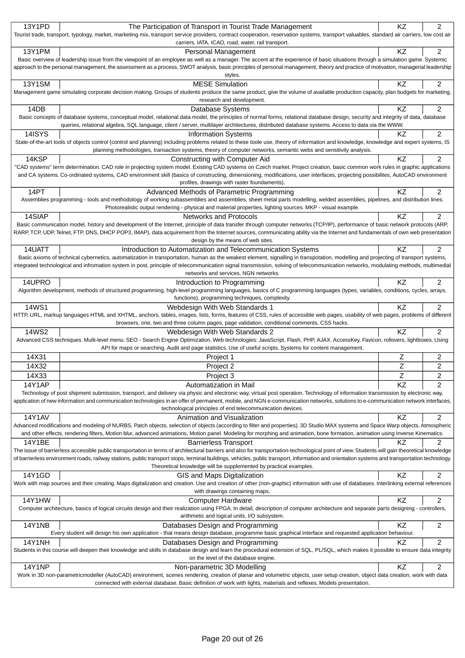| 13Y1PD        | The Participation of Transport in Tourist Trade Management                                                                                                                                                                                                                                                                           | KZ        | 2              |
|---------------|--------------------------------------------------------------------------------------------------------------------------------------------------------------------------------------------------------------------------------------------------------------------------------------------------------------------------------------|-----------|----------------|
|               | Tourist trade, transport, typology, market, marketing mix, transport service providers, contract cooperation, reservation systems, transport valuables, standard air carriers, low cost air                                                                                                                                          |           |                |
|               | carriers, IATA, ICAO, road, water, rail transport.                                                                                                                                                                                                                                                                                   |           |                |
| 13Y1PM        | Personal Management<br>Basic overview of leadership issue from the viewpoint of an employee as well as a manager. The accent at the experience of basic situations through a simulation game. Systemic                                                                                                                               | KZ        | 2              |
|               | approach to the personal management, the assessment as a process, SWOT analysis, basic principles of personal management, theory and practice of motivation, managerial leadership                                                                                                                                                   |           |                |
|               | styles.                                                                                                                                                                                                                                                                                                                              |           |                |
| <b>13Y1SM</b> | <b>MESE Simulation</b>                                                                                                                                                                                                                                                                                                               | KZ        | 2              |
|               | Management game simulating corporate decision making. Groups of students produce the same product, give the volume of available production capacity, plan budgets for marketing,                                                                                                                                                     |           |                |
|               | research and development.                                                                                                                                                                                                                                                                                                            |           |                |
| 14DB          | Database Systems                                                                                                                                                                                                                                                                                                                     | KZ        | 2              |
|               | Basic concepts of database systems, conceptual model, relational data model, the principles of normal forms, relational database design, security and integrity of data, database<br>queries, relational algebra, SQL language, client / server, multilayer architectures, distributed database systems. Access to data via the WWW. |           |                |
| 14ISYS        | <b>Information Systems</b>                                                                                                                                                                                                                                                                                                           | KZ        | $\overline{2}$ |
|               | State-of-the-art tools of objects control (control and planning) including problems related to these toole use, theory of information and knowledge, knowledge and expert systems, IS                                                                                                                                                |           |                |
|               | planning methodologies, transaction systems, theory of computer networks, semantic webs and sensitivity analysis.                                                                                                                                                                                                                    |           |                |
| 14KSP         | Constructing with Computer Aid                                                                                                                                                                                                                                                                                                       | KZ        | 2              |
|               | "CAD systems" term determination. CAD role in projecting system model. Existing CAD systems on Czech market. Project creation, basic common work rules in graphic applications                                                                                                                                                       |           |                |
|               | and CA systems. Co-ordinated systems, CAD environment skill (basics of constructing, dimensioning, modifications, user interfaces, projecting possibilites, AutoCAD environment                                                                                                                                                      |           |                |
|               | profiles, drawings with raster foundaments).                                                                                                                                                                                                                                                                                         |           |                |
| 14PT          | Advanced Methods of Parametric Programming<br>Assemblies programming - tools and methodology of working subassemblies and assemblies, sheet metal parts modelling, welded assemblies, pipelines, and distribution lines.                                                                                                             | KZ        | 2              |
|               | Photorealistic output rendering - physical and material properties, lighting sources. MKP - visual example.                                                                                                                                                                                                                          |           |                |
| 14SIAP        | <b>Networks and Protocols</b>                                                                                                                                                                                                                                                                                                        | KZ        | 2              |
|               | Basic communication model, history and development of the Internet, principle of data transfer through computer networks (TCP/IP), performance of basic network protocols (ARP,                                                                                                                                                      |           |                |
|               | RARP, TCP, UDP, Telnet, FTP, DNS, DHCP POP3, IMAP), data acquirement from the Internet sources, communicating ability via the Internet and fundamentals of own web presentation                                                                                                                                                      |           |                |
|               | design by the means of web sites.                                                                                                                                                                                                                                                                                                    |           |                |
| 14UATT        | Introduction to Automatization and Telecommunication Systems                                                                                                                                                                                                                                                                         | <b>KZ</b> | 2              |
|               | Basic axioms of technical cybernetics, automatization in transportation, human as the weakest element, signalling in transpotation, modelling and projecting of transport systems,                                                                                                                                                   |           |                |
|               | integrated technological and infromation system in post, principle of telecommunication signal transmission, solving of telecommunication networks, modulating methods, multimedial                                                                                                                                                  |           |                |
|               | networks and services, NGN networks.                                                                                                                                                                                                                                                                                                 |           |                |
| 14UPRO        | Introduction to Programming<br>Algorithm development, methods of structured programming, high-level programming languages, basics of C programming languages (types, variables, conditions, cycles, arrays,                                                                                                                          | KZ        | 2              |
|               | functions), programming techniques, complexity.                                                                                                                                                                                                                                                                                      |           |                |
| 14WS1         | Webdesign With Web Standards 1                                                                                                                                                                                                                                                                                                       | <b>KZ</b> | 2              |
|               | HTTP, URL, markup languages HTML and XHTML, anchors, tables, images, lists, forms, features of CSS, rules of accessible web pages, usability of web pages, problems of different                                                                                                                                                     |           |                |
|               | browsers, one, two and three column pages, page validation, conditional comments, CSS hacks.                                                                                                                                                                                                                                         |           |                |
| 14WS2         | Webdesign With Web Standards 2                                                                                                                                                                                                                                                                                                       | KZ        | 2              |
|               | Advanced CSS techniques. Multi-level menu. SEO - Search Engine Optimization. Web technologies: JavaScript, Flash, PHP, AJAX. AccessKey, Favicon, rollovers, lightboxes. Using                                                                                                                                                        |           |                |
|               | API for maps or searching. Audit and page statistics. Use of useful scripts. Systems for content management.                                                                                                                                                                                                                         |           |                |
| 14X31         | Project 1                                                                                                                                                                                                                                                                                                                            | Ζ         | 2              |
| 14X32         | Project 2                                                                                                                                                                                                                                                                                                                            | Z         | 2              |
| 14X33         | Project 3                                                                                                                                                                                                                                                                                                                            | Ζ         | 2              |
| 14Y1AP        | Automatization in Mail                                                                                                                                                                                                                                                                                                               | KZ        | $\overline{c}$ |
|               | Technology of post shipment submission, transport, and delivery via physic and electronic way, virtual post operation. Technology of information transmission by electronic way,                                                                                                                                                     |           |                |
|               | application of new information and communication technologies in an offer of permanent, mobile, and NGN e-communication networks, solutions to e-communication network interfaces,<br>technological principles of end telecommunication devices.                                                                                     |           |                |
| <b>14Y1AV</b> | Animation and Visualization                                                                                                                                                                                                                                                                                                          | <b>KZ</b> | $\overline{2}$ |
|               | Advanced modifications and modeling of NURBS, Patch objects, selection of objects (according to filter and properties). 3D Studio MAX systems and Space Warp objects. Atmospheric                                                                                                                                                    |           |                |
|               | and other effects, rendering filters, Motion blur, advanced animations, Motion panel. Modeling for morphing and animation, bone formation, animation using Inverse Kinematics.                                                                                                                                                       |           |                |
| 14Y1BE        | <b>Barrierless Transport</b>                                                                                                                                                                                                                                                                                                         | KZ.       | 2              |
|               | The issue of barrierless accessible public transportation in terms of architectural barriers and also for transportation-technological point of view. Students will gain theoretical knowledge                                                                                                                                       |           |                |
|               | of barrierless environment roads, railway stations, public transport stops, terminal buildings, vehicles, public transport, information and orientation systems and transportation technology.                                                                                                                                       |           |                |
|               | Theoretical knowledge will be supplemented by practical examples.                                                                                                                                                                                                                                                                    |           |                |
| 14Y1GD        | GIS and Maps Digitalization                                                                                                                                                                                                                                                                                                          | KZ        | $\overline{c}$ |
|               | Work with map sources and their creating. Maps digitalization and creation. Use and creation of other (non-graphic) information with use of databases. Interlinking external references<br>with drawings containing maps.                                                                                                            |           |                |
| 14Y1HW        | Computer Hardware                                                                                                                                                                                                                                                                                                                    | KZ        | 2              |
|               | Computer architecture, basics of logical circuits design and their realization using FPGA. In detail, description of computer architecture and separate parts designing - controllers,                                                                                                                                               |           |                |
|               | arithmetic and logical units, I/O subsystem.                                                                                                                                                                                                                                                                                         |           |                |
| <b>14Y1NB</b> | Databases Design and Programming                                                                                                                                                                                                                                                                                                     | KZ        | 2              |
|               | Every student will design his own application - that means design database, programme basic graphical interface and requested application behaviour.                                                                                                                                                                                 |           |                |
| <b>14Y1NH</b> | Databases Design and Programming                                                                                                                                                                                                                                                                                                     | KZ        | 2              |
|               | Students in this course will deepen their knowledge and skills in database design and learn the procedural extension of SQL, PL/SQL, which makes it possible to ensure data integrity                                                                                                                                                |           |                |
|               | on the level of the database engine.                                                                                                                                                                                                                                                                                                 |           |                |
| <b>14Y1NP</b> | Non-parametric 3D Modelling                                                                                                                                                                                                                                                                                                          | KZ        | 2              |
|               | Work in 3D non-parametricmodeller (AutoCAD) environment, scenes rendering, creation of planar and volumetric objects, user setup creation, object data creation, work with data<br>connected with external database. Basic definition of work with lights, materials and reflexes. Models presentation.                              |           |                |
|               |                                                                                                                                                                                                                                                                                                                                      |           |                |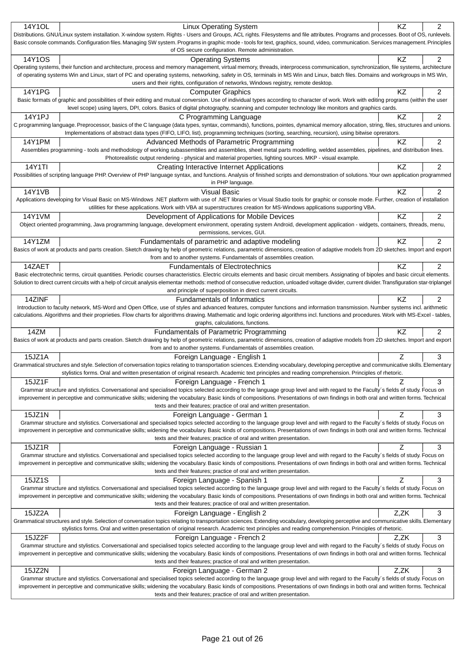| 14Y1OL | <b>Linux Operating System</b>                                                                                                                                                                                                                                                                                                                                          | ΚZ   | 2              |
|--------|------------------------------------------------------------------------------------------------------------------------------------------------------------------------------------------------------------------------------------------------------------------------------------------------------------------------------------------------------------------------|------|----------------|
|        | Distributions. GNU/Linux system installation. X-window system. Rights - Users and Groups, ACL rights. Filesystems and file attributes. Programs and processes. Boot of OS, runlevels.                                                                                                                                                                                  |      |                |
|        | Basic console commands. Configuration files. Managing SW system. Programs in graphic mode - tools for text, graphics, sound, video, communication. Services management. Principles<br>of OS secure configuration. Remote administration.                                                                                                                               |      |                |
| 14Y1OS | <b>Operating Systems</b>                                                                                                                                                                                                                                                                                                                                               | ΚZ   | $\overline{2}$ |
|        | Operating systems, their function and architecture, process and memory management, virtual memory, threads, interprocess communication, synchronization, file systems, architecture                                                                                                                                                                                    |      |                |
|        | of operating systems Win and Linux, start of PC and operating systems, networking, safety in OS, terminals in MS Win and Linux, batch files. Domains and workgroups in MS Win,                                                                                                                                                                                         |      |                |
|        | users and their rights, configuration of networks, Windows registry, remote desktop.                                                                                                                                                                                                                                                                                   |      |                |
| 14Y1PG | <b>Computer Graphics</b><br>Basic formats of graphic and possibilities of their editing and mutual conversion. Use of individual types according to character of work. Work with editing programs (within the user                                                                                                                                                     | KZ   | 2              |
|        | level scope) using layers, DPI, colors. Basics of digital photography, scanning and computer technology like monitors and graphics cards.                                                                                                                                                                                                                              |      |                |
| 14Y1PJ | C Programming Language                                                                                                                                                                                                                                                                                                                                                 | KZ   | 2              |
|        | C programming language. Preprocessor, basics of the C language (data types, syntax, commands), functions, pointes, dynamical memory allocation, string, files, structures and unions.                                                                                                                                                                                  |      |                |
|        | Implementations of abstract data types (FIFO, LIFO, list), programming techniques (sorting, searching, recursion), using bitwise oprerators.                                                                                                                                                                                                                           |      |                |
| 14Y1PM | Advanced Methods of Parametric Programming                                                                                                                                                                                                                                                                                                                             | ΚZ   | 2              |
|        | Assemblies programming - tools and methodology of working subassemblies and assemblies, sheet metal parts modelling, welded assemblies, pipelines, and distribution lines.                                                                                                                                                                                             |      |                |
|        | Photorealistic output rendering - physical and material properties, lighting sources. MKP - visual example.                                                                                                                                                                                                                                                            |      |                |
| 14Y1TI | Creating Interactive Internet Applications<br>Possibilities of scripting language PHP. Overview of PHP language syntax, and functions. Analysis of finished scripts and demonstration of solutions. Your own application programmed                                                                                                                                    | KZ   | $\overline{2}$ |
|        | in PHP language.                                                                                                                                                                                                                                                                                                                                                       |      |                |
| 14Y1VB | <b>Visual Basic</b>                                                                                                                                                                                                                                                                                                                                                    | KZ   | 2              |
|        | Applications developing for Visual Basic on MS-Windows .NET platform with use of .NET libraries or Visual Studio tools for graphic or console mode. Further, creation of installation                                                                                                                                                                                  |      |                |
|        | utilities for these applications. Work with VBA at superstructures creation for MS-Windows applications supporting VBA.                                                                                                                                                                                                                                                |      |                |
| 14Y1VM | Development of Applications for Mobile Devices                                                                                                                                                                                                                                                                                                                         | ΚZ   | 2              |
|        | Object oriented programming, Java programming language, development environment, operating system Android, development application - widgets, containers, threads, menu,                                                                                                                                                                                               |      |                |
|        | permissions, services, GUI.                                                                                                                                                                                                                                                                                                                                            |      |                |
| 14Y1ZM | Fundamentals of parametric and adaptive modeling<br>Basics of work at products and parts creation. Sketch drawing by help of geometric relations, parametric dimensions, creation of adaptive models from 2D sketches. Import and export                                                                                                                               | KZ   | $\overline{2}$ |
|        | from and to another systems. Fundamentals of assemblies creation.                                                                                                                                                                                                                                                                                                      |      |                |
| 14ZAET | <b>Fundamentals of Electrotechnics</b>                                                                                                                                                                                                                                                                                                                                 | KZ   | 2              |
|        | Basic electrotechnic terms, circuit quantities. Periodic courses characteristics. Electric circuits elements and basic circuit members. Assignating of bipoles and basic circuit elements.                                                                                                                                                                             |      |                |
|        | Solution to direct current circuits with a help of circuit analysis elementar methods: method of consecutive reduction, unloaded voltage divider, current divider. Transfiguration star-triplangel                                                                                                                                                                     |      |                |
|        | and principle of superposition in direct current circuits.                                                                                                                                                                                                                                                                                                             |      |                |
| 14ZINF | <b>Fundamentals of Informatics</b>                                                                                                                                                                                                                                                                                                                                     | ΚZ   | 2              |
|        | Introduction to faculty network, MS-Word and Open Office, use of styles and advanced features, computer functions and information transmission. Number systems incl. arithmetic                                                                                                                                                                                        |      |                |
|        | calculations. Algorithms and their proprieties. Flow charts for algorithms drawing. Mathematic and logic ordering algorithms incl. functions and procedures. Work with MS-Excel - tables,<br>graphs, calculations, functions.                                                                                                                                          |      |                |
| 14ZM   | <b>Fundamentals of Parametric Programming</b>                                                                                                                                                                                                                                                                                                                          | KZ   | $\overline{2}$ |
|        | Basics of work at products and parts creation. Sketch drawing by help of geometric relations, parametric dimensions, creation of adaptive models from 2D sketches. Import and export                                                                                                                                                                                   |      |                |
|        | from and to another systems. Fundamentals of assemblies creation.                                                                                                                                                                                                                                                                                                      |      |                |
| 15JZ1A | Foreign Language - English 1                                                                                                                                                                                                                                                                                                                                           | Z    | 3              |
|        | Grammatical structures and style. Selection of conversation topics relating to transportation sciences. Extending vocabulary, developing perceptive and communicative skills. Elementary                                                                                                                                                                               |      |                |
|        | stylistics forms. Oral and written presentation of original research. Academic text principles and reading comprehension. Principles of rhetoric.                                                                                                                                                                                                                      |      |                |
| 15JZ1F | Foreign Language - French 1                                                                                                                                                                                                                                                                                                                                            | Z    | 3              |
|        | Grammar structure and stylistics. Conversational and specialised topics selected according to the language group level and with regard to the Faculty's fields of study. Focus on<br>improvement in perceptive and communicative skills; widening the vocabulary. Basic kinds of compositions. Presentations of own findings in both oral and written forms. Technical |      |                |
|        | texts and their features; practice of oral and written presentation.                                                                                                                                                                                                                                                                                                   |      |                |
| 15JZ1N | Foreign Language - German 1                                                                                                                                                                                                                                                                                                                                            | Z    | 3              |
|        | Grammar structure and stylistics. Conversational and specialised topics selected according to the language group level and with regard to the Faculty's fields of study. Focus on                                                                                                                                                                                      |      |                |
|        | improvement in perceptive and communicative skills; widening the vocabulary. Basic kinds of compositions. Presentations of own findings in both oral and written forms. Technical                                                                                                                                                                                      |      |                |
|        | texts and their features; practice of oral and written presentation.                                                                                                                                                                                                                                                                                                   |      |                |
| 15JZ1R | Foreign Language - Russian 1<br>Grammar structure and stylistics. Conversational and specialised topics selected according to the language group level and with regard to the Faculty's fields of study. Focus on                                                                                                                                                      | Z    | 3              |
|        | improvement in perceptive and communicative skills; widening the vocabulary. Basic kinds of compositions. Presentations of own findings in both oral and written forms. Technical                                                                                                                                                                                      |      |                |
|        | texts and their features; practice of oral and written presentation.                                                                                                                                                                                                                                                                                                   |      |                |
| 15JZ1S | Foreign Language - Spanish 1                                                                                                                                                                                                                                                                                                                                           | Z    | 3              |
|        | Grammar structure and stylistics. Conversational and specialised topics selected according to the language group level and with regard to the Faculty's fields of study. Focus on                                                                                                                                                                                      |      |                |
|        | improvement in perceptive and communicative skills; widening the vocabulary. Basic kinds of compositions. Presentations of own findings in both oral and written forms. Technical                                                                                                                                                                                      |      |                |
|        | texts and their features; practice of oral and written presentation.                                                                                                                                                                                                                                                                                                   |      |                |
| 15JZ2A | Foreign Language - English 2                                                                                                                                                                                                                                                                                                                                           | Z.ZK | 3              |
|        | Grammatical structures and style. Selection of conversation topics relating to transportation sciences. Extending vocabulary, developing perceptive and communicative skills. Elementary<br>stylistics forms. Oral and written presentation of original research. Academic text principles and reading comprehension. Principles of rhetoric.                          |      |                |
| 15JZ2F | Foreign Language - French 2                                                                                                                                                                                                                                                                                                                                            | Z.ZK | 3              |
|        |                                                                                                                                                                                                                                                                                                                                                                        |      |                |
|        | Grammar structure and stylistics. Conversational and specialised topics selected according to the language group level and with regard to the Faculty's fields of study. Focus on                                                                                                                                                                                      |      |                |
|        | improvement in perceptive and communicative skills; widening the vocabulary. Basic kinds of compositions. Presentations of own findings in both oral and written forms. Technical                                                                                                                                                                                      |      |                |
|        | texts and their features; practice of oral and written presentation.                                                                                                                                                                                                                                                                                                   |      |                |
| 15JZ2N | Foreign Language - German 2                                                                                                                                                                                                                                                                                                                                            | Z,ZK | 3              |
|        | Grammar structure and stylistics. Conversational and specialised topics selected according to the language group level and with regard to the Faculty's fields of study. Focus on                                                                                                                                                                                      |      |                |
|        | improvement in perceptive and communicative skills; widening the vocabulary. Basic kinds of compositions. Presentations of own findings in both oral and written forms. Technical<br>texts and their features; practice of oral and written presentation.                                                                                                              |      |                |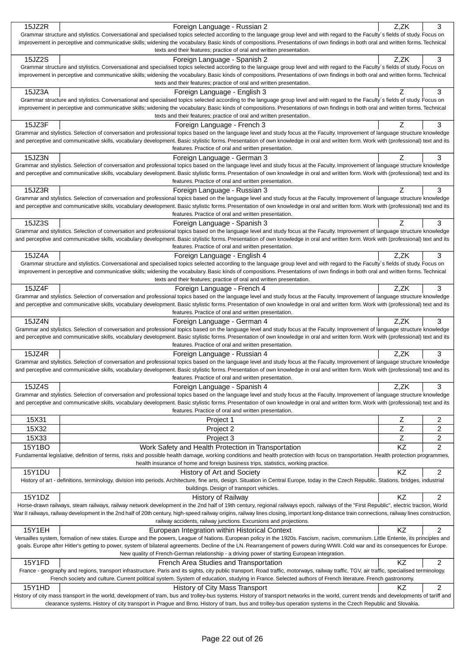| 15JZ2R        | Foreign Language - Russian 2                                                                                                                                                                                                                                                                                                                                           | Z,ZK           | 3                |
|---------------|------------------------------------------------------------------------------------------------------------------------------------------------------------------------------------------------------------------------------------------------------------------------------------------------------------------------------------------------------------------------|----------------|------------------|
|               | Grammar structure and stylistics. Conversational and specialised topics selected according to the language group level and with regard to the Faculty's fields of study. Focus on                                                                                                                                                                                      |                |                  |
|               | improvement in perceptive and communicative skills; widening the vocabulary. Basic kinds of compositions. Presentations of own findings in both oral and written forms. Technical<br>texts and their features; practice of oral and written presentation.                                                                                                              |                |                  |
| 15JZ2S        | Foreign Language - Spanish 2                                                                                                                                                                                                                                                                                                                                           | Z,ZK           | 3                |
|               | Grammar structure and stylistics. Conversational and specialised topics selected according to the language group level and with regard to the Faculty's fields of study. Focus on                                                                                                                                                                                      |                |                  |
|               | improvement in perceptive and communicative skills; widening the vocabulary. Basic kinds of compositions. Presentations of own findings in both oral and written forms. Technical                                                                                                                                                                                      |                |                  |
|               | texts and their features; practice of oral and written presentation.                                                                                                                                                                                                                                                                                                   |                |                  |
| 15JZ3A        | Foreign Language - English 3                                                                                                                                                                                                                                                                                                                                           | Z              | 3                |
|               | Grammar structure and stylistics. Conversational and specialised topics selected according to the language group level and with regard to the Faculty's fields of study. Focus on<br>improvement in perceptive and communicative skills; widening the vocabulary. Basic kinds of compositions. Presentations of own findings in both oral and written forms. Technical |                |                  |
|               | texts and their features; practice of oral and written presentation.                                                                                                                                                                                                                                                                                                   |                |                  |
| 15JZ3F        | Foreign Language - French 3                                                                                                                                                                                                                                                                                                                                            | Z              | 3                |
|               | Grammar and stylistics. Selection of conversation and professional topics based on the language level and study focus at the Faculty. Improvement of language structure knowledge                                                                                                                                                                                      |                |                  |
|               | and perceptive and communicative skills, vocabulary development. Basic stylistic forms. Presentation of own knowledge in oral and written form. Work with (professional) text and its                                                                                                                                                                                  |                |                  |
|               | features. Practice of oral and written presentation.                                                                                                                                                                                                                                                                                                                   | Z              |                  |
| 15JZ3N        | Foreign Language - German 3<br>Grammar and stylistics. Selection of conversation and professional topics based on the language level and study focus at the Faculty. Improvement of language structure knowledge                                                                                                                                                       |                | 3                |
|               | and perceptive and communicative skills, vocabulary development. Basic stylistic forms. Presentation of own knowledge in oral and written form. Work with (professional) text and its                                                                                                                                                                                  |                |                  |
|               | features. Practice of oral and written presentation.                                                                                                                                                                                                                                                                                                                   |                |                  |
| 15JZ3R        | Foreign Language - Russian 3                                                                                                                                                                                                                                                                                                                                           | Z              | 3                |
|               | Grammar and stylistics. Selection of conversation and professional topics based on the language level and study focus at the Faculty. Improvement of language structure knowledge                                                                                                                                                                                      |                |                  |
|               | and perceptive and communicative skills, vocabulary development. Basic stylistic forms. Presentation of own knowledge in oral and written form. Work with (professional) text and its<br>features. Practice of oral and written presentation.                                                                                                                          |                |                  |
| 15JZ3S        | Foreign Language - Spanish 3                                                                                                                                                                                                                                                                                                                                           | Z              | 3                |
|               | Grammar and stylistics. Selection of conversation and professional topics based on the language level and study focus at the Faculty. Improvement of language structure knowledge                                                                                                                                                                                      |                |                  |
|               | and perceptive and communicative skills, vocabulary development. Basic stylistic forms. Presentation of own knowledge in oral and written form. Work with (professional) text and its                                                                                                                                                                                  |                |                  |
|               | features. Practice of oral and written presentation.                                                                                                                                                                                                                                                                                                                   |                |                  |
| 15JZ4A        | Foreign Language - English 4                                                                                                                                                                                                                                                                                                                                           | Z,ZK           | 3                |
|               | Grammar structure and stylistics. Conversational and specialised topics selected according to the language group level and with regard to the Faculty's fields of study. Focus on                                                                                                                                                                                      |                |                  |
|               | improvement in perceptive and communicative skills; widening the vocabulary. Basic kinds of compositions. Presentations of own findings in both oral and written forms. Technical<br>texts and their features; practice of oral and written presentation.                                                                                                              |                |                  |
| 15JZ4F        | Foreign Language - French 4                                                                                                                                                                                                                                                                                                                                            | Z.ZK           | 3                |
|               | Grammar and stylistics. Selection of conversation and professional topics based on the language level and study focus at the Faculty. Improvement of language structure knowledge                                                                                                                                                                                      |                |                  |
|               | and perceptive and communicative skills, vocabulary development. Basic stylistic forms. Presentation of own knowledge in oral and written form. Work with (professional) text and its                                                                                                                                                                                  |                |                  |
|               | features. Practice of oral and written presentation.                                                                                                                                                                                                                                                                                                                   |                |                  |
|               |                                                                                                                                                                                                                                                                                                                                                                        |                |                  |
| 15JZ4N        | Foreign Language - German 4                                                                                                                                                                                                                                                                                                                                            | Z,ZK           | 3                |
|               | Grammar and stylistics. Selection of conversation and professional topics based on the language level and study focus at the Faculty. Improvement of language structure knowledge                                                                                                                                                                                      |                |                  |
|               | and perceptive and communicative skills, vocabulary development. Basic stylistic forms. Presentation of own knowledge in oral and written form. Work with (professional) text and its<br>features. Practice of oral and written presentation.                                                                                                                          |                |                  |
| 15JZ4R        | Foreign Language - Russian 4                                                                                                                                                                                                                                                                                                                                           | Z.ZK           | 3                |
|               | Grammar and stylistics. Selection of conversation and professional topics based on the language level and study focus at the Faculty. Improvement of language structure knowledge                                                                                                                                                                                      |                |                  |
|               | and perceptive and communicative skills, vocabulary development. Basic stylistic forms. Presentation of own knowledge in oral and written form. Work with (professional) text and its                                                                                                                                                                                  |                |                  |
|               | features. Practice of oral and written presentation.                                                                                                                                                                                                                                                                                                                   |                |                  |
| 15JZ4S        | Foreign Language - Spanish 4<br>Grammar and stylistics. Selection of conversation and professional topics based on the language level and study focus at the Faculty. Improvement of language structure knowledge                                                                                                                                                      | Z,ZK           | 3                |
|               | and perceptive and communicative skills, vocabulary development. Basic stylistic forms. Presentation of own knowledge in oral and written form. Work with (professional) text and its                                                                                                                                                                                  |                |                  |
|               | features. Practice of oral and written presentation.                                                                                                                                                                                                                                                                                                                   |                |                  |
| 15X31         | Project 1                                                                                                                                                                                                                                                                                                                                                              | Ζ              | 2                |
| 15X32         | Project 2                                                                                                                                                                                                                                                                                                                                                              | $\overline{z}$ | 2                |
| 15X33         | Project 3                                                                                                                                                                                                                                                                                                                                                              | Z              | 2                |
| 15Y1BO        | Work Safety and Health Protection in Transportation                                                                                                                                                                                                                                                                                                                    | KZ             | $\overline{c}$   |
|               | Fundamental legislative, definition of terms, risks and possible health damage, working conditions and health protection with focus on transportation. Health protection programmes,                                                                                                                                                                                   |                |                  |
|               | health insurance of home and foreign business trips, statistics, working practice.                                                                                                                                                                                                                                                                                     |                |                  |
| 15Y1DU        | History of Art and Society<br>History of art - definitions, terminology, division into periods. Architecture, fine arts, design. Situation in Central Europe, today in the Czech Republic. Stations, bridges, industrial                                                                                                                                               | KZ             | 2                |
|               | buildings. Design of transport vehicles.                                                                                                                                                                                                                                                                                                                               |                |                  |
| 15Y1DZ        | <b>History of Railway</b>                                                                                                                                                                                                                                                                                                                                              | KZ             | 2                |
|               | Horse-drawn railways, steam railways, railway network development in the 2nd half of 19th century, regional railways epoch, railways of the "First Republic", electric traction, World                                                                                                                                                                                 |                |                  |
|               | War II railways, railway development in the 2nd half of 20th century, high-speed railway origins, railway lines closing, important long-distance train connections, railway lines construction,                                                                                                                                                                        |                |                  |
| <b>15Y1EH</b> | railway accidents, railway junctions. Excursions and projections.                                                                                                                                                                                                                                                                                                      | <b>KZ</b>      | 2                |
|               | European Integration within Historical Context<br>Versailles system, formation of new states. Europe and the powers, League of Nations. European policy in the 1920s. Fascism, nacism, communism. Little Entente, its principles and                                                                                                                                   |                |                  |
|               | goals. Europe after Hitler's getting to power, system of bilateral agreements. Decline of the LN. Rearrangement of powers during WWII. Cold war and its consequences for Europe.                                                                                                                                                                                       |                |                  |
|               | New quality of French-German relationship - a driving power of starting European integration.                                                                                                                                                                                                                                                                          |                |                  |
| 15Y1FD        | French Area Studies and Transportation                                                                                                                                                                                                                                                                                                                                 | <b>KZ</b>      | 2                |
|               | France - geography and regions, transport infrastructure. Paris and its sights, city public transport. Road traffic, motorways, railway traffic, TGV, air traffic, specialised terminology.                                                                                                                                                                            |                |                  |
|               | French society and culture. Current political system. System of education, studying in France. Selected authors of French literature. French gastronomy.                                                                                                                                                                                                               |                |                  |
| 15Y1HD        | History of City Mass Transport<br>History of city mass transport in the world, development of tram, bus and trolley-bus systems. History of transport networks in the world, current trends and developments of tariff and                                                                                                                                             | ΚZ             | $\boldsymbol{2}$ |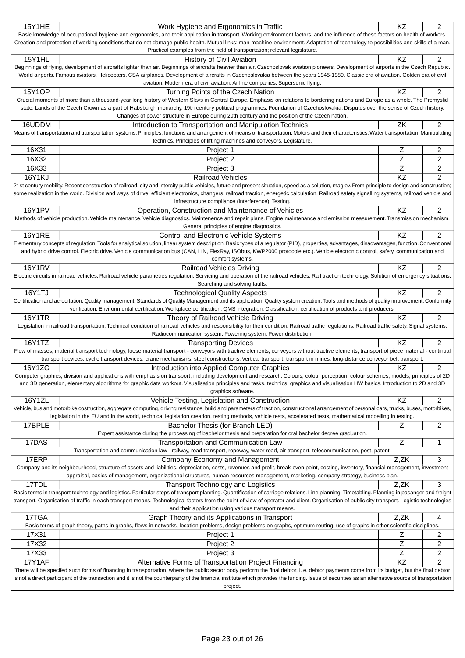| <b>15Y1HE</b>                                                                                                                                                                                 | Work Hygiene and Ergonomics in Traffic                                                                                                                                                                                                                                                                                                                      | <b>KZ</b>      | 2              |  |
|-----------------------------------------------------------------------------------------------------------------------------------------------------------------------------------------------|-------------------------------------------------------------------------------------------------------------------------------------------------------------------------------------------------------------------------------------------------------------------------------------------------------------------------------------------------------------|----------------|----------------|--|
|                                                                                                                                                                                               | Basic knowledge of occupational hygiene and ergonomics, and their application in transport. Working environment factors, and the influence of these factors on health of workers.                                                                                                                                                                           |                |                |  |
| Creation and protection of working conditions that do not damage public health. Mutual links: man-machine-environment. Adaptation of technology to possibilities and skills of a man.         |                                                                                                                                                                                                                                                                                                                                                             |                |                |  |
|                                                                                                                                                                                               | Practical examples from the field of transportation; relevant legislature.                                                                                                                                                                                                                                                                                  |                |                |  |
| <b>15Y1HL</b>                                                                                                                                                                                 | <b>History of Civil Aviation</b><br>Beginnings of flying, development of aircrafts lighter than air. Beginnings of aircrafts heavier than air. Czechoslovak aviation pioneers. Development of airports in the Czech Republic.                                                                                                                               | KZ             | 2              |  |
|                                                                                                                                                                                               | World airports. Famous aviators. Helicopters. CSA airplanes. Development of aircrafts in Czechoslovakia between the years 1945-1989. Classic era of aviation. Golden era of civil                                                                                                                                                                           |                |                |  |
|                                                                                                                                                                                               | aviation. Modern era of civil aviation. Airline companies. Supersonic flying.                                                                                                                                                                                                                                                                               |                |                |  |
| 15Y1OP                                                                                                                                                                                        | Turning Points of the Czech Nation                                                                                                                                                                                                                                                                                                                          | <b>KZ</b>      | $\overline{2}$ |  |
|                                                                                                                                                                                               | Crucial moments of more than a thousand-year long history of Western Slavs in Central Europe. Emphasis on relations to bordering nations and Europe as a whole. The Premyslid                                                                                                                                                                               |                |                |  |
|                                                                                                                                                                                               | state. Lands of the Czech Crown as a part of Habsburgh monarchy. 19th century political programmes. Foundation of Czechoslovakia. Disputes over the sense of Czech history.                                                                                                                                                                                 |                |                |  |
|                                                                                                                                                                                               | Changes of power structure in Europe during 20th century and the position of the Czech nation.                                                                                                                                                                                                                                                              |                |                |  |
| 16UDDM                                                                                                                                                                                        | Introduction to Transportation and Manipulation Technics                                                                                                                                                                                                                                                                                                    | ZK             | $\overline{2}$ |  |
|                                                                                                                                                                                               | Means of transportation and transportation systems. Principles, functions and arrangement of means of transportation. Motors and their characteristics. Water transportation. Manipulating<br>technics. Principles of lifting machines and conveyors. Legislature.                                                                                          |                |                |  |
| 16X31                                                                                                                                                                                         | Project 1                                                                                                                                                                                                                                                                                                                                                   | Ζ              | 2              |  |
| 16X32                                                                                                                                                                                         | Project 2                                                                                                                                                                                                                                                                                                                                                   | Z              | 2              |  |
| 16X33                                                                                                                                                                                         | Project 3                                                                                                                                                                                                                                                                                                                                                   | $\overline{z}$ | $\overline{c}$ |  |
| <b>16Y1KJ</b>                                                                                                                                                                                 | <b>Railroad Vehicles</b>                                                                                                                                                                                                                                                                                                                                    | KZ             | $\overline{2}$ |  |
|                                                                                                                                                                                               | 21st century mobility. Recent construction of railroad, city and intercity public vehicles, future and present situation, speed as a solution, maglev. From principle to design and construction;                                                                                                                                                           |                |                |  |
|                                                                                                                                                                                               | some realization in the world. Division and ways of drive, efficient electronics, changers, railroad traction, energetic calculation. Railroad safety signalling systems, railroad vehicle and                                                                                                                                                              |                |                |  |
|                                                                                                                                                                                               | infrastructure compliance (interference). Testing.                                                                                                                                                                                                                                                                                                          |                |                |  |
| 16Y1PV                                                                                                                                                                                        | Operation, Construction and Maintenance of Vehicles                                                                                                                                                                                                                                                                                                         | KZ             | 2              |  |
|                                                                                                                                                                                               | Methods of vehicle production. Vehicle maintenance. Vehicle diagnostics. Maintenence and repair plans. Engine maintenance and emission measurement. Transmission mechanism.                                                                                                                                                                                 |                |                |  |
|                                                                                                                                                                                               | General principles of engine diagnostics.                                                                                                                                                                                                                                                                                                                   |                |                |  |
| 16Y1RE                                                                                                                                                                                        | <b>Control and Electronic Vehicle Systems</b>                                                                                                                                                                                                                                                                                                               | ΚZ             | $\overline{2}$ |  |
|                                                                                                                                                                                               | Elementary concepts of regulation. Tools for analytical solution, linear system description. Basic types of a regulator (PID), properties, advantages, disadvantages, function. Conventional                                                                                                                                                                |                |                |  |
|                                                                                                                                                                                               | and hybrid drive control. Electric drive. Vehicle communication bus (CAN, LIN, FlexRay, ISObus, KWP2000 protocole etc.). Vehicle electronic control, safety, communication and<br>comfort systems.                                                                                                                                                          |                |                |  |
| <b>16Y1RV</b>                                                                                                                                                                                 | <b>Railroad Vehicles Driving</b>                                                                                                                                                                                                                                                                                                                            | <b>KZ</b>      | $\overline{2}$ |  |
|                                                                                                                                                                                               | Electric circuits in railroad vehicles. Railroad vehicle parametres regulation. Servicing and operation of the railroad vehicles. Rail traction technology. Solution of emergency situations.                                                                                                                                                               |                |                |  |
|                                                                                                                                                                                               | Searching and solving faults.                                                                                                                                                                                                                                                                                                                               |                |                |  |
| 16Y1TJ                                                                                                                                                                                        | <b>Technological Quality Aspects</b>                                                                                                                                                                                                                                                                                                                        | KZ             | 2              |  |
|                                                                                                                                                                                               | Certification and acreditation. Quality management. Standards of Quality Management and its application. Quality system creation. Tools and methods of quality improvement. Conformity                                                                                                                                                                      |                |                |  |
|                                                                                                                                                                                               | verification. Environmental certification. Workplace certification. QMS integration. Classification, certification of products and producers.                                                                                                                                                                                                               |                |                |  |
| <b>16Y1TR</b>                                                                                                                                                                                 | Theory of Railroad Vehicle Driving                                                                                                                                                                                                                                                                                                                          | KZ             | 2              |  |
|                                                                                                                                                                                               | Legislation in railroad transportation. Technical condition of railroad vehicles and responsibility for their condition. Railroad traffic regulations. Railroad traffic safety. Signal systems.                                                                                                                                                             |                |                |  |
| 16Y1TZ                                                                                                                                                                                        | Radiocommunication system. Powering system. Power distribution.                                                                                                                                                                                                                                                                                             | <b>KZ</b>      | 2              |  |
|                                                                                                                                                                                               | <b>Transporting Devices</b><br>Flow of masses, material transport technology, loose material transport - conveyors with tractive elements, conveyors without tractive elements, transport of piece material - continual                                                                                                                                     |                |                |  |
|                                                                                                                                                                                               | transport devices, cyclic transport devices, crane mechanisms, steel constructions. Vertical transport, transport in mines, long-distance conveyor belt transport.                                                                                                                                                                                          |                |                |  |
| 16Y1ZG                                                                                                                                                                                        | Introduction into Applied Computer Graphics                                                                                                                                                                                                                                                                                                                 | KZ             | $\overline{c}$ |  |
|                                                                                                                                                                                               | Computer graphics, division and applications with emphasis on transport, including development and research. Colours, colour perception, colour schemes, models, principles of 2D                                                                                                                                                                           |                |                |  |
|                                                                                                                                                                                               | and 3D generation, elementary algorithms for graphic data workout. Visualisation principles and tasks, technics, graphics and visualisation HW basics. Introduction to 2D and 3D                                                                                                                                                                            |                |                |  |
|                                                                                                                                                                                               | graphics software.                                                                                                                                                                                                                                                                                                                                          |                |                |  |
| 16Y1ZL                                                                                                                                                                                        | Vehicle Testing, Legislation and Construction                                                                                                                                                                                                                                                                                                               | KZ             | $\overline{c}$ |  |
|                                                                                                                                                                                               | Vehicle, bus and motorbike costruction, aggregate computing, driving resistance, build and parameters of traction, constructional arrangement of personal cars, trucks, buses, motorbikes,<br>legislation in the EU and in the world, technical legislation creation, testing methods, vehicle tests, accelerated tests, mathematical modelling in testing. |                |                |  |
| 17BPLE                                                                                                                                                                                        | Bachelor Thesis (for Branch LED)                                                                                                                                                                                                                                                                                                                            | Ζ              | 2              |  |
|                                                                                                                                                                                               | Expert assistance during the processing of bachelor thesis and preparation for oral bachelor degree graduation.                                                                                                                                                                                                                                             |                |                |  |
| 17DAS                                                                                                                                                                                         | Transportation and Communication Law                                                                                                                                                                                                                                                                                                                        | Z              | 1              |  |
|                                                                                                                                                                                               | Transportation and communication law - railway, road transport, ropeway, water road, air transport, telecommunication, post, patent.                                                                                                                                                                                                                        |                |                |  |
| 17ERP                                                                                                                                                                                         | Company Economy and Management                                                                                                                                                                                                                                                                                                                              | Z,ZK           | 3              |  |
|                                                                                                                                                                                               | Company and its neighbourhood, structure of assets and liabilities, depreciation, costs, revenues and profit, break-even point, costing, inventory, financial management, investment                                                                                                                                                                        |                |                |  |
|                                                                                                                                                                                               | appraisal, basics of management, organizational structures, human resources management, marketing, company strategy, business plan.                                                                                                                                                                                                                         |                |                |  |
| 17TDL                                                                                                                                                                                         | <b>Transport Technology and Logistics</b>                                                                                                                                                                                                                                                                                                                   | Z,ZK           | 3              |  |
|                                                                                                                                                                                               | Basic terms in transport technology and logistics. Particular steps of transport planning. Quantification of carriage relations. Line planning. Timetabling. Planning in pasanger and freight                                                                                                                                                               |                |                |  |
| transport. Organisation of traffic in each transport means. Technological factors from the point of view of operator and client. Organisation of public city transport. Logistic technologies |                                                                                                                                                                                                                                                                                                                                                             |                |                |  |
| 17TGA                                                                                                                                                                                         | and their application using various transport means.<br>Graph Theory and its Applications in Transport                                                                                                                                                                                                                                                      | Z,ZK           | 4              |  |
|                                                                                                                                                                                               | Basic terms of graph theory, paths in graphs, flows in networks, location problems, design problems on graphs, optimum routing, use of graphs in other scientific disciplines.                                                                                                                                                                              |                |                |  |
| 17X31                                                                                                                                                                                         | Project 1                                                                                                                                                                                                                                                                                                                                                   | Ζ              | 2              |  |
| 17X32                                                                                                                                                                                         | Project 2                                                                                                                                                                                                                                                                                                                                                   | Ζ              | 2              |  |
| 17X33                                                                                                                                                                                         | Project 3                                                                                                                                                                                                                                                                                                                                                   | Ζ              | 2              |  |
| <b>17Y1AF</b>                                                                                                                                                                                 | Alternative Forms of Transportation Project Financing                                                                                                                                                                                                                                                                                                       | KZ             | 2              |  |
|                                                                                                                                                                                               | There will be specifed such forms of financing in transportation, where the public sector body perform the final debtor, i. e. debtor payments come from its budget, but the final debtor                                                                                                                                                                   |                |                |  |
|                                                                                                                                                                                               | is not a direct participant of the transaction and it is not the counterparty of the financial institute which provides the funding. Issue of securities as an alternative source of transportation                                                                                                                                                         |                |                |  |
|                                                                                                                                                                                               | project.                                                                                                                                                                                                                                                                                                                                                    |                |                |  |
|                                                                                                                                                                                               |                                                                                                                                                                                                                                                                                                                                                             |                |                |  |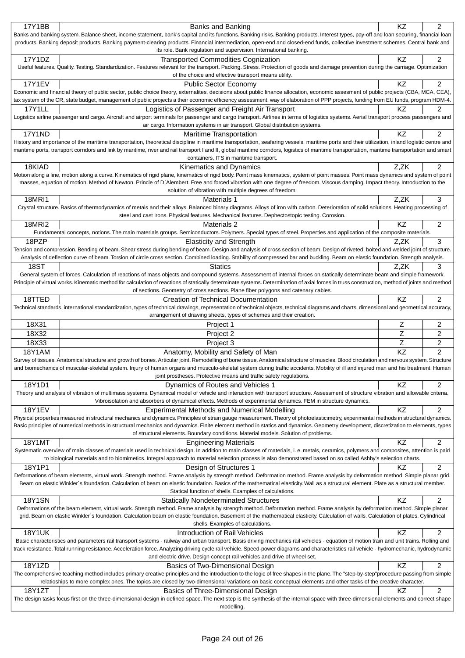| 17Y1BB                                                            | <b>Banks and Banking</b>                                                                                                                                                                                                                                                                                                                                                                         | KZ        | 2              |  |
|-------------------------------------------------------------------|--------------------------------------------------------------------------------------------------------------------------------------------------------------------------------------------------------------------------------------------------------------------------------------------------------------------------------------------------------------------------------------------------|-----------|----------------|--|
|                                                                   | Banks and banking system. Balance sheet, income statement, bank's capital and its functions. Banking risks. Banking products. Interest types, pay-off and loan securing, financial loan                                                                                                                                                                                                          |           |                |  |
|                                                                   | products. Banking deposit products. Banking payment-clearing products. Financial intermediation, open-end and closed-end funds, collective investment schemes. Central bank and                                                                                                                                                                                                                  |           |                |  |
| its role. Bank regulation and supervision. International banking. |                                                                                                                                                                                                                                                                                                                                                                                                  |           |                |  |
| 17Y1DZ                                                            | <b>Transported Commodities Cognization</b><br>Useful features. Quality. Testing. Standardization. Features relevant for the transport. Packing. Stress. Protection of goods and damage prevention during the carriage. Optimization                                                                                                                                                              | <b>KZ</b> | 2              |  |
|                                                                   | of the choice and effective transport means utility.                                                                                                                                                                                                                                                                                                                                             |           |                |  |
| <b>17Y1EV</b>                                                     | <b>Public Sector Economy</b>                                                                                                                                                                                                                                                                                                                                                                     | <b>KZ</b> | $\overline{2}$ |  |
|                                                                   | Economic and financial theory of public sector, public choice theory, externalites, decisions about public finance allocation, economic assesment of public projects (CBA, MCA, CEA),                                                                                                                                                                                                            |           |                |  |
|                                                                   | tax system of the CR, state budget, management of public projects a their economic efficiency assessment, way of elaboration of PPP projects, funding from EU funds, program HDM-4.                                                                                                                                                                                                              |           |                |  |
| <b>17Y1LL</b>                                                     | Logistics of Passenger and Freight Air Transport                                                                                                                                                                                                                                                                                                                                                 | <b>KZ</b> | 2              |  |
|                                                                   | Logistics airline passenger and cargo. Aircraft and airport terminals for passenger and cargo transport. Airlines in terms of logistics systems. Aerial transport process passengers and                                                                                                                                                                                                         |           |                |  |
|                                                                   | air cargo. Information systems in air transport. Global distribution systems.                                                                                                                                                                                                                                                                                                                    |           |                |  |
| 17Y1ND                                                            | <b>Maritime Transportation</b>                                                                                                                                                                                                                                                                                                                                                                   | KZ        | $\overline{c}$ |  |
|                                                                   | History and importance of the maritime transportation, theoretical discipline in maritime transportation, seafaring vessels, maritime ports and their utilization, inland logistic centre and<br>maritime ports, transport corridors and link by maritime, river and rail transport I and II, global maritime corridors, logistics of maritime transportation, maritime transportation and smart |           |                |  |
|                                                                   | containers, ITS in maritime transport.                                                                                                                                                                                                                                                                                                                                                           |           |                |  |
| 18KIAD                                                            | Kinematics and Dynamics                                                                                                                                                                                                                                                                                                                                                                          | Z,ZK      | $\overline{2}$ |  |
|                                                                   | Motion along a line, motion along a curve. Kinematics of rigid plane, kinematics of rigid body. Point mass kinematics, system of point masses. Point mass dynamics and system of point                                                                                                                                                                                                           |           |                |  |
|                                                                   | masses, equation of motion. Method of Newton. Princle of D'Alembert. Free and forced vibration with one degree of freedom. Viscous damping. Impact theory. Introduction to the                                                                                                                                                                                                                   |           |                |  |
|                                                                   | solution of vibration with multiple degrees of freedom.                                                                                                                                                                                                                                                                                                                                          |           |                |  |
| <b>18MRI1</b>                                                     | Materials 1                                                                                                                                                                                                                                                                                                                                                                                      | Z,ZK      | 3              |  |
|                                                                   | Crystal structure. Basics of thermodynamics of metals and their alloys. Balanced binary diagrams. Alloys of iron with carbon. Deterioration of solid solutions. Heating processing of                                                                                                                                                                                                            |           |                |  |
|                                                                   | steel and cast irons. Physical features. Mechanical features. Dephectostopic testing. Corosion.                                                                                                                                                                                                                                                                                                  |           |                |  |
| <b>18MRI2</b>                                                     | Materials 2                                                                                                                                                                                                                                                                                                                                                                                      | KZ        | 2              |  |
|                                                                   | Fundamental concepts, notions. The main materials groups. Semiconductors. Polymers. Special types of steel. Properties and application of the composite materials.                                                                                                                                                                                                                               |           |                |  |
| 18PZP                                                             | <b>Elasticity and Strength</b><br>Tension and compression. Bending of beam. Shear stress during bending of beam. Design and analysis of cross section of beam. Design of riveted, bolted and welded joint of structure.                                                                                                                                                                          | Z,ZK      | 3              |  |
|                                                                   | Analysis of deflection curve of beam. Torsion of circle cross section. Combined loading. Stability of compressed bar and buckling. Beam on elastic foundation. Strength analysis.                                                                                                                                                                                                                |           |                |  |
| 18ST                                                              | <b>Statics</b>                                                                                                                                                                                                                                                                                                                                                                                   | Z,ZK      | 3              |  |
|                                                                   | General system of forces. Calculation of reactions of mass objects and compound systems. Assessment of internal forces on statically determinate beam and simple framework.                                                                                                                                                                                                                      |           |                |  |
|                                                                   | Principle of virtual works. Kinematic method for calculation of reactions of statically determinate systems. Determination of axial forces in truss construction, method of joints and method                                                                                                                                                                                                    |           |                |  |
|                                                                   | of sections. Geometry of cross sections. Plane fiber polygons and catenary cables.                                                                                                                                                                                                                                                                                                               |           |                |  |
| 18TTED                                                            | Creation of Technical Documentation                                                                                                                                                                                                                                                                                                                                                              | KZ        | 2              |  |
|                                                                   | Technical standards, international standardization, types of technical drawings, representation of technical objects, technical diagrams and charts, dimensional and geometrical accuracy,                                                                                                                                                                                                       |           |                |  |
|                                                                   |                                                                                                                                                                                                                                                                                                                                                                                                  |           |                |  |
|                                                                   | arrangement of drawing sheets, types of schemes and their creation.                                                                                                                                                                                                                                                                                                                              |           |                |  |
| 18X31                                                             | Project 1                                                                                                                                                                                                                                                                                                                                                                                        | Ζ         | 2              |  |
| 18X32                                                             | Project 2                                                                                                                                                                                                                                                                                                                                                                                        | Ζ         | 2              |  |
| 18X33                                                             | Project 3                                                                                                                                                                                                                                                                                                                                                                                        | Z         | $\overline{c}$ |  |
| <b>18Y1AM</b>                                                     | Anatomy, Mobility and Safety of Man                                                                                                                                                                                                                                                                                                                                                              | KZ        | $\overline{c}$ |  |
|                                                                   | Survey of tissues. Anatomical structure and growth of bones. Articular joint. Remodelling of bone tissue. Anatomical structure of muscles. Blood circulation and nervous system. Structure                                                                                                                                                                                                       |           |                |  |
|                                                                   | and biomechanics of muscular-skeletal system. Injury of human organs and musculo-skeletal system during traffic accidents. Mobility of ill and injured man and his treatment. Human<br>joint prostheses. Protective means and traffic safety regulations.                                                                                                                                        |           |                |  |
|                                                                   |                                                                                                                                                                                                                                                                                                                                                                                                  | KZ        | 2              |  |
| 18Y1D1                                                            | Dynamics of Routes and Vehicles 1<br>Theory and analysis of vibration of multimass systems. Dynamical model of vehicle and interaction with transport structure. Assessment of structure vibration and allowable criteria.                                                                                                                                                                       |           |                |  |
|                                                                   | Vibroisolation and absorbers of dynamical effects. Methods of experimental dynamics. FEM in structure dynamics.                                                                                                                                                                                                                                                                                  |           |                |  |
| 18Y1EV                                                            | <b>Experimental Methods and Numerical Modelling</b>                                                                                                                                                                                                                                                                                                                                              | KZ        | $\overline{c}$ |  |
|                                                                   | Physical properties measured in structural mechanics and dynamics. Principles of strain gauge measurement. Theory of photoelasticimetry, experimental methods in structural dynamics.                                                                                                                                                                                                            |           |                |  |
|                                                                   | Basic principles of numerical methods in structural mechanics and dynamics. Finite element method in statics and dynamics. Geometry development, discretization to elements, types                                                                                                                                                                                                               |           |                |  |
|                                                                   | of structural elements. Boundary conditions. Material models. Solution of problems.                                                                                                                                                                                                                                                                                                              |           |                |  |
| <b>18Y1MT</b>                                                     | <b>Engineering Materials</b>                                                                                                                                                                                                                                                                                                                                                                     | KZ        | 2              |  |
|                                                                   | Systematic overview of main classes of materials used in technical design. In addition to main classes of materials, i. e. metals, ceramics, polymers and composites, attention is paid<br>to biological materials and to biomimetics. Integral approach to material selection process is also demonstrated based on so called Ashby's selection charts.                                         |           |                |  |
|                                                                   |                                                                                                                                                                                                                                                                                                                                                                                                  | KZ        | $\overline{c}$ |  |
| 18Y1P1                                                            | Design of Structures 1<br>Deformations of beam elements, virtual work. Strength method. Frame analysis by strength method. Deformation method. Frame analysis by deformation method. Simple planar grid.                                                                                                                                                                                         |           |                |  |
|                                                                   | Beam on elastic Winkler's foundation. Calculation of beam on elastic foundation. Basics of the mathematical elasticity. Wall as a structural element. Plate as a structural member.                                                                                                                                                                                                              |           |                |  |
|                                                                   | Statical function of shells. Examples of calculations.                                                                                                                                                                                                                                                                                                                                           |           |                |  |
| <b>18Y1SN</b>                                                     | <b>Statically Nondeterminated Structures</b>                                                                                                                                                                                                                                                                                                                                                     | KZ        | $\overline{2}$ |  |
|                                                                   | Deformations of the beam element, virtual work. Strength method. Frame analysis by strength method. Deformation method. Frame analysis by deformation method. Simple planar                                                                                                                                                                                                                      |           |                |  |
|                                                                   | grid. Beam on elastic Winkler's foundation. Calculation beam on elastic foundation. Basement of the mathematical elasticity. Calculation of walls. Calculation of plates. Cylindrical                                                                                                                                                                                                            |           |                |  |
|                                                                   | shells. Examples of calculations.                                                                                                                                                                                                                                                                                                                                                                |           |                |  |
| <b>18Y1UK</b>                                                     | Introduction of Rail Vehicles<br>Basic characteristics and parameters rail transport systems - railway and urban transport. Basis driving mechanics rail vehicles - equation of motion train and unit trains. Rolling and                                                                                                                                                                        | <b>KZ</b> | $\overline{2}$ |  |
|                                                                   | track resistance. Total running resistance. Acceleration force. Analyzing driving cycle rail vehicle. Speed-power diagrams and characteristics rail vehicle - hydromechanic, hydrodynamic                                                                                                                                                                                                        |           |                |  |
|                                                                   | and electric drive. Design concept rail vehicles and drive of wheel set.                                                                                                                                                                                                                                                                                                                         |           |                |  |
| 18Y1ZD                                                            | Basics of Two-Dimensional Design                                                                                                                                                                                                                                                                                                                                                                 | <b>KZ</b> | $\overline{2}$ |  |
|                                                                   | The comprehensive teaching method includes primary creative principles and the introduction to the logic of free shapes in the plane. The "step-by-step"procedure passing from simple                                                                                                                                                                                                            |           |                |  |
|                                                                   | relatioships to more complex ones. The topics are closed by two-dimensional variations on basic conceptual elements and other tasks of the creative character.                                                                                                                                                                                                                                   |           |                |  |
| 18Y1ZT                                                            | Basics of Three-Dimensional Design<br>The design tasks focus first on the three-dimensional design in defined space. The next step is the synthesis of the internal space with three-dimensional elements and correct shape                                                                                                                                                                      | KZ        | 2              |  |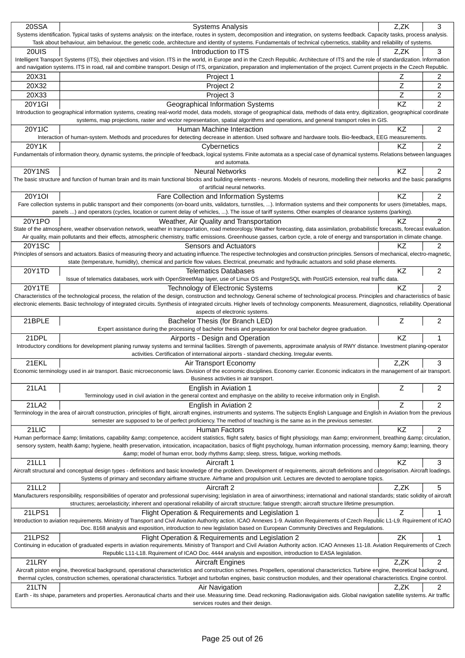| 20SSA         | <b>Systems Analysis</b>                                                                                                                                                                                                       | Z.ZK      | 3              |
|---------------|-------------------------------------------------------------------------------------------------------------------------------------------------------------------------------------------------------------------------------|-----------|----------------|
|               | Systems identification. Typical tasks of systems analysis: on the interface, routes in system, decomposition and integration, on systems feedback. Capacity tasks, process analysis.                                          |           |                |
|               | Task about behaviour, aim behaviour, the genetic code, architecture and identity of systems. Fundamentals of technical cybernetics, stability and reliability of systems.                                                     |           |                |
| 20UIS         | Introduction to ITS                                                                                                                                                                                                           | Z.ZK      | 3              |
|               | Intelligent Transport Systems (ITS), their objectives and vision. ITS in the world, in Europe and in the Czech Republic. Architecture of ITS and the role of standardization. Information                                     |           |                |
|               | and navigation systems. ITS in road, rail and combine transport. Design of ITS, organization, preparation and implementation of the project. Current projects in the Czech Republic.                                          |           |                |
| 20X31         | Project 1                                                                                                                                                                                                                     | z         | 2              |
| 20X32         | Project 2                                                                                                                                                                                                                     | Z         | 2              |
|               |                                                                                                                                                                                                                               |           |                |
| 20X33         | Project 3                                                                                                                                                                                                                     | Z         | 2              |
| 20Y1GI        | Geographical Information Systems                                                                                                                                                                                              | <b>KZ</b> | $\overline{2}$ |
|               | Introduction to geographical information systems, creating real-world model, data models, storage of geographical data, methods of data entry, digitization, geographical coordinate                                          |           |                |
|               | systems, map projections, raster and vector representation, spatial algorithms and operations, and general transport roles in GIS.                                                                                            |           |                |
| 20Y1IC        | Human Machine Interaction                                                                                                                                                                                                     | <b>KZ</b> | 2              |
|               | Interaction of human-system. Methods and procedures for detecting decrease in attention. Used software and hardware tools. Bio-feedback, EEG measurements                                                                     |           |                |
| 20Y1K         | Cybernetics                                                                                                                                                                                                                   | ΚZ        | $\overline{c}$ |
|               | Fundamentals of information theory, dynamic systems, the principle of feedback, logical systems. Finite automata as a special case of dynamical systems. Relations between languages                                          |           |                |
|               | and automata.                                                                                                                                                                                                                 |           |                |
| <b>20Y1NS</b> | <b>Neural Networks</b>                                                                                                                                                                                                        | KZ        | 2              |
|               | The basic structure and function of human brain and its main functional blocks and building elements - neurons. Models of neurons, modelling their networks and the basic paradigms                                           |           |                |
|               | of artificial neural networks.                                                                                                                                                                                                |           |                |
| 20Y1OI        | Fare Collection and Information Systems                                                                                                                                                                                       | KZ        | 2              |
|               | Fare collection systems in public transport and their components (on-board units, validators, turnstiles, ). Information systems and their components for users (timetables, maps,                                            |           |                |
|               | panels ) and operators (cycles, location or current delay of vehicles, ). The issue of tariff systems. Other examples of clearance systems (parking).                                                                         |           |                |
| 20Y1PO        | Weather, Air Quality and Transportation                                                                                                                                                                                       | ΚZ        | 2              |
|               | State of the atmosphere, weather observation network, weather in transportation, road meteorology. Weather forecasting, data assimilation, probabilistic forecasts, forecast evaluation.                                      |           |                |
|               | Air quality, main pollutants and their effects, atmospheric chemistry, traffic emissions. Greenhouse gasses, carbon cycle, a role of energy and transportation in climate change.                                             |           |                |
| 20Y1SC        | Sensors and Actuators                                                                                                                                                                                                         | ΚZ        | $\overline{2}$ |
|               | Principles of sensors and actuators. Basics of measuring theory and actuating influence. The respective technologies and construction principles. Sensors of mechanical, electro-magnetic,                                    |           |                |
|               | state (temperature, humidity), chemical and particle flow values. Electrical, pneumatic and hydraulic actuators and solid phase elements.                                                                                     |           |                |
| 20Y1TD        | <b>Telematics Databases</b>                                                                                                                                                                                                   | KZ        | 2              |
|               | Issue of telematics databases, work with OpenStreetMap layer, use of Linux OS and PostgreSQL with PostGIS extension, real traffic data.                                                                                       |           |                |
| 20Y1TE        | Technology of Electronic Systems                                                                                                                                                                                              | KZ        | $\overline{2}$ |
|               | Characteristics of the technological process, the relation of the design, construction and technology. General scheme of technological process. Principles and characteristics of basic                                       |           |                |
|               | electronic elements. Basic technology of integrated circuits. Synthesis of integrated circuits. Higher levels of technology components. Measurement, diagnostics, reliability. Operational                                    |           |                |
|               |                                                                                                                                                                                                                               |           |                |
|               | aspects of electronic systems.                                                                                                                                                                                                |           |                |
| 21BPLE        | Bachelor Thesis (for Branch LED)                                                                                                                                                                                              | Ζ         | 2              |
|               | Expert assistance during the processing of bachelor thesis and preparation for oral bachelor degree graduation.                                                                                                               |           |                |
| 21DPL         |                                                                                                                                                                                                                               | KZ        | 1              |
|               | Airports - Design and Operation<br>Introductory conditions for development planing runway systems and terminal facilities. Strength of pavements, approximate analysis of RWY distance. Investment planing-operator           |           |                |
|               | activities. Certification of international airports - standard checking. Irregular events.                                                                                                                                    |           |                |
|               |                                                                                                                                                                                                                               |           |                |
| 21EKL         | Air Transport Economy                                                                                                                                                                                                         | Z,ZK      | 3              |
|               | Economic terminology used in air transport. Basic microeconomic laws. Division of the economic disciplines. Economy carrier. Economic indicators in the management of air transport.<br>Business activities in air transport. |           |                |
|               |                                                                                                                                                                                                                               | Z         |                |
| 21LA1         | English in Aviation 1                                                                                                                                                                                                         |           | 2              |
|               | Terminology used in civil aviation in the general context and emphasiye on the ability to receive information only in English.                                                                                                |           |                |
| 21LA2         | English in Aviation 2                                                                                                                                                                                                         | Z         | $\overline{2}$ |
|               | Terminology in the area of aircraft construction, principles of flight, aircraft engines, instruments and systems. The subjects English Language and English in Aviation from the previous                                    |           |                |
|               | semester are supposed to be of perfect proficiency. The method of teaching is the same as in the previous semester.                                                                                                           |           |                |
| 21LIC         | <b>Human Factors</b>                                                                                                                                                                                                          | KZ        | 2              |
|               | Human performace & limitations, capability & competence, accident statistics, flight safety, basics of flight physiology, man & environment, breathing & circulation,                                                         |           |                |
|               | sensory system, health & hygiene, health preservation, intoxication, incapacitation, basics of flight psychology, human information processing, memory & learning, theory                                                     |           |                |
|               | & model of human error, body rhythms & sleep, stress, fatigue, working methods.                                                                                                                                               |           |                |
| 21LL1         | Aircraft 1                                                                                                                                                                                                                    | <b>KZ</b> | 3              |
|               | Aircraft structural and conceptual design types - definitions and basic knowledge of the problem. Development of requirements, aircraft definitions and categorisation. Aircraft loadings.                                    |           |                |
|               | Systems of primary and secondary airframe structure. Airframe and propulsion unit. Lectures are devoted to aeroplane topics.                                                                                                  |           |                |
| 21LL2         | Aircraft 2                                                                                                                                                                                                                    | Z,ZK      | 5              |
|               | Manufacturers responsibility, responsibilities of operator and professional supervising; legislation in area of airworthiness; international and national standards; static solidity of aircraft                              |           |                |
|               | structures; aeroelasticity; inherent and operational reliability of aircraft structure; fatigue strength; aircraft structure lifetime presumption.                                                                            |           |                |
| 21LPS1        | Flight Operation & Requirements and Legislation 1                                                                                                                                                                             | Ζ         |                |
|               | Introduction to aviation requirements. Ministry of Transport and Civil Aviation Authority action. ICAO Annexes 1-9. Aviation Requirements of Czech Republic L1-L9. Rquirement of ICAO                                         |           |                |
|               | Doc. 8168 analysis and exposition, introduction to new legislation based on European Community Directives and Regulations.                                                                                                    |           |                |
| 21LPS2        | Flight Operation & Requirements and Legislation 2                                                                                                                                                                             | ΖK        | 1              |
|               | Continuing in education of graduated experts in aviation requirements. Ministry of Transport and Civil Aviation Authority action. ICAO Annexes 11-18. Aviation Requirements of Czech                                          |           |                |
|               | Republic L11-L18. Rquirement of ICAO Doc. 4444 analysis and exposition, introduction to EASA legislation.                                                                                                                     |           |                |
| 21LRY         | <b>Aircraft Engines</b>                                                                                                                                                                                                       | Z,ZK      | $\overline{2}$ |
|               | Aircraft piston engine, theoretical background, operational characteristics and construction schemes. Propellers, operational characterictics. Turbine engine, theoretical background,                                        |           |                |
|               | thermal cycles, construction schemes, operational characteristics. Turbojet and turbofan engines, basic construction modules, and their operational characteristics. Engine control.                                          |           |                |
| 21LTN         | Air Navigation                                                                                                                                                                                                                | Z,ZK      | 2              |
|               | Earth - its shape, parameters and properties. Aeronautical charts and their use. Measuring time. Dead reckoning. Radionavigation aids. Global navigation satellite systems. Air traffic<br>services routes and their design.  |           |                |